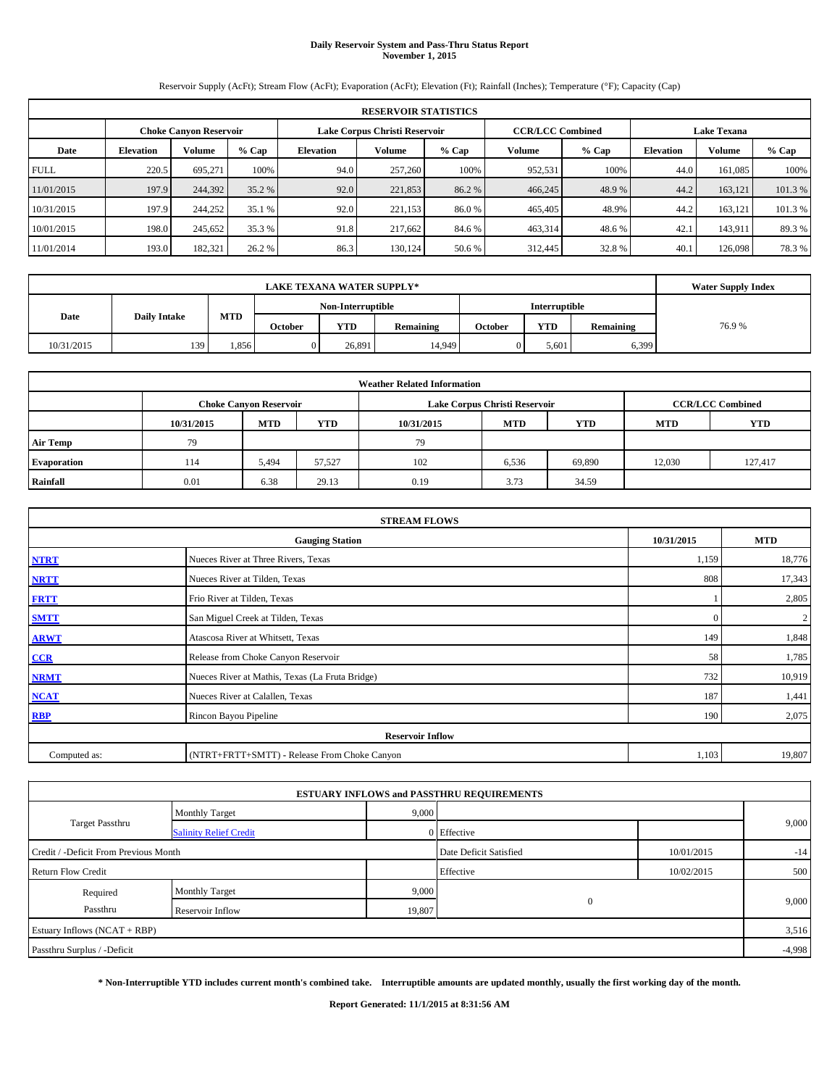### **Daily Reservoir System and Pass-Thru Status Report November 1, 2015**

Reservoir Supply (AcFt); Stream Flow (AcFt); Evaporation (AcFt); Elevation (Ft); Rainfall (Inches); Temperature (°F); Capacity (Cap)

| <b>RESERVOIR STATISTICS</b> |                                                                                                          |         |         |                  |               |         |         |         |                  |               |        |  |
|-----------------------------|----------------------------------------------------------------------------------------------------------|---------|---------|------------------|---------------|---------|---------|---------|------------------|---------------|--------|--|
|                             | <b>CCR/LCC Combined</b><br><b>Lake Texana</b><br>Lake Corpus Christi Reservoir<br>Choke Canvon Reservoir |         |         |                  |               |         |         |         |                  |               |        |  |
| Date                        | <b>Elevation</b>                                                                                         | Volume  | $%$ Cap | <b>Elevation</b> | <b>Volume</b> | $%$ Cap | Volume  | $%$ Cap | <b>Elevation</b> | <b>Volume</b> | % Cap  |  |
| <b>FULL</b>                 | 220.5                                                                                                    | 695.271 | 100%    | 94.0             | 257,260       | 100%    | 952.531 | 100%    | 44.0             | 161.085       | 100%   |  |
| 11/01/2015                  | 197.9                                                                                                    | 244,392 | 35.2 %  | 92.0             | 221,853       | 86.2%   | 466,245 | 48.9%   | 44.2             | 163.121       | 101.3% |  |
| 10/31/2015                  | 197.9                                                                                                    | 244,252 | 35.1 %  | 92.0             | 221.153       | 86.0%   | 465,405 | 48.9%   | 44.2             | 163.121       | 101.3% |  |
| 10/01/2015                  | 198.0                                                                                                    | 245,652 | 35.3 %  | 91.8             | 217.662       | 84.6 %  | 463,314 | 48.6%   | 42.1             | 143.911       | 89.3%  |  |
| 11/01/2014                  | 193.0                                                                                                    | 182,321 | 26.2 %  | 86.3             | 130.124       | 50.6 %  | 312,445 | 32.8%   | 40.1             | 126,098       | 78.3%  |  |

|            | <b>LAKE TEXANA WATER SUPPLY*</b> |            |         |                   |           |         |                      |           |       |  |  |
|------------|----------------------------------|------------|---------|-------------------|-----------|---------|----------------------|-----------|-------|--|--|
|            | <b>Daily Intake</b>              |            |         | Non-Interruptible |           |         | <b>Interruptible</b> |           |       |  |  |
| Date       |                                  | <b>MTD</b> | October | <b>YTD</b>        | Remaining | October | <b>YTD</b>           | Remaining | 76.9% |  |  |
| 10/31/2015 | 139                              | .856       |         | 26.891            | 14,949    |         | 5,601                | 6,399     |       |  |  |

| <b>Weather Related Information</b> |                                                                                  |                               |        |      |                               |                         |            |            |  |  |  |
|------------------------------------|----------------------------------------------------------------------------------|-------------------------------|--------|------|-------------------------------|-------------------------|------------|------------|--|--|--|
|                                    |                                                                                  | <b>Choke Canyon Reservoir</b> |        |      | Lake Corpus Christi Reservoir | <b>CCR/LCC Combined</b> |            |            |  |  |  |
|                                    | <b>YTD</b><br><b>MTD</b><br><b>MTD</b><br><b>YTD</b><br>10/31/2015<br>10/31/2015 |                               |        |      |                               |                         | <b>MTD</b> | <b>YTD</b> |  |  |  |
| <b>Air Temp</b>                    | 79                                                                               |                               |        | 79   |                               |                         |            |            |  |  |  |
| Evaporation                        | 114                                                                              | 5,494                         | 57,527 | 102  | 6,536                         | 69,890                  | 12,030     | 127.417    |  |  |  |
| Rainfall                           | 0.01                                                                             | 6.38                          | 29.13  | 0.19 | 3.73                          | 34.59                   |            |            |  |  |  |

| <b>STREAM FLOWS</b> |                                                    |          |                         |  |  |  |  |  |  |
|---------------------|----------------------------------------------------|----------|-------------------------|--|--|--|--|--|--|
|                     | 10/31/2015<br><b>MTD</b><br><b>Gauging Station</b> |          |                         |  |  |  |  |  |  |
| <b>NTRT</b>         | Nueces River at Three Rivers, Texas                | 1,159    | 18,776                  |  |  |  |  |  |  |
| <b>NRTT</b>         | Nueces River at Tilden, Texas                      | 808      | 17,343                  |  |  |  |  |  |  |
| <b>FRTT</b>         | Frio River at Tilden, Texas                        |          | 2,805                   |  |  |  |  |  |  |
| <b>SMTT</b>         | San Miguel Creek at Tilden, Texas                  | $\Omega$ | $\overline{\mathbf{c}}$ |  |  |  |  |  |  |
| <b>ARWT</b>         | Atascosa River at Whitsett, Texas                  | 149      | 1,848                   |  |  |  |  |  |  |
| $CCR$               | Release from Choke Canyon Reservoir                | 58       | 1,785                   |  |  |  |  |  |  |
| <b>NRMT</b>         | Nueces River at Mathis, Texas (La Fruta Bridge)    | 732      | 10,919                  |  |  |  |  |  |  |
| <b>NCAT</b>         | Nueces River at Calallen, Texas                    | 187      | 1,441                   |  |  |  |  |  |  |
| <b>RBP</b>          | Rincon Bayou Pipeline                              | 190      | 2,075                   |  |  |  |  |  |  |
|                     | <b>Reservoir Inflow</b>                            |          |                         |  |  |  |  |  |  |
| Computed as:        | (NTRT+FRTT+SMTT) - Release From Choke Canyon       |          |                         |  |  |  |  |  |  |

|                                       |                               |        | <b>ESTUARY INFLOWS and PASSTHRU REQUIREMENTS</b> |            |          |
|---------------------------------------|-------------------------------|--------|--------------------------------------------------|------------|----------|
|                                       | <b>Monthly Target</b>         | 9,000  |                                                  |            |          |
| Target Passthru                       | <b>Salinity Relief Credit</b> |        | 0 Effective                                      |            | 9,000    |
| Credit / -Deficit From Previous Month |                               |        | Date Deficit Satisfied                           | 10/01/2015 | $-14$    |
| <b>Return Flow Credit</b>             |                               |        | Effective                                        | 10/02/2015 | 500      |
| Required                              | <b>Monthly Target</b>         | 9,000  |                                                  |            |          |
| Passthru                              | Reservoir Inflow              | 19,807 | $\mathbf{0}$                                     |            | 9,000    |
| Estuary Inflows (NCAT + RBP)          |                               |        |                                                  |            | 3,516    |
| Passthru Surplus / -Deficit           |                               |        |                                                  |            | $-4,998$ |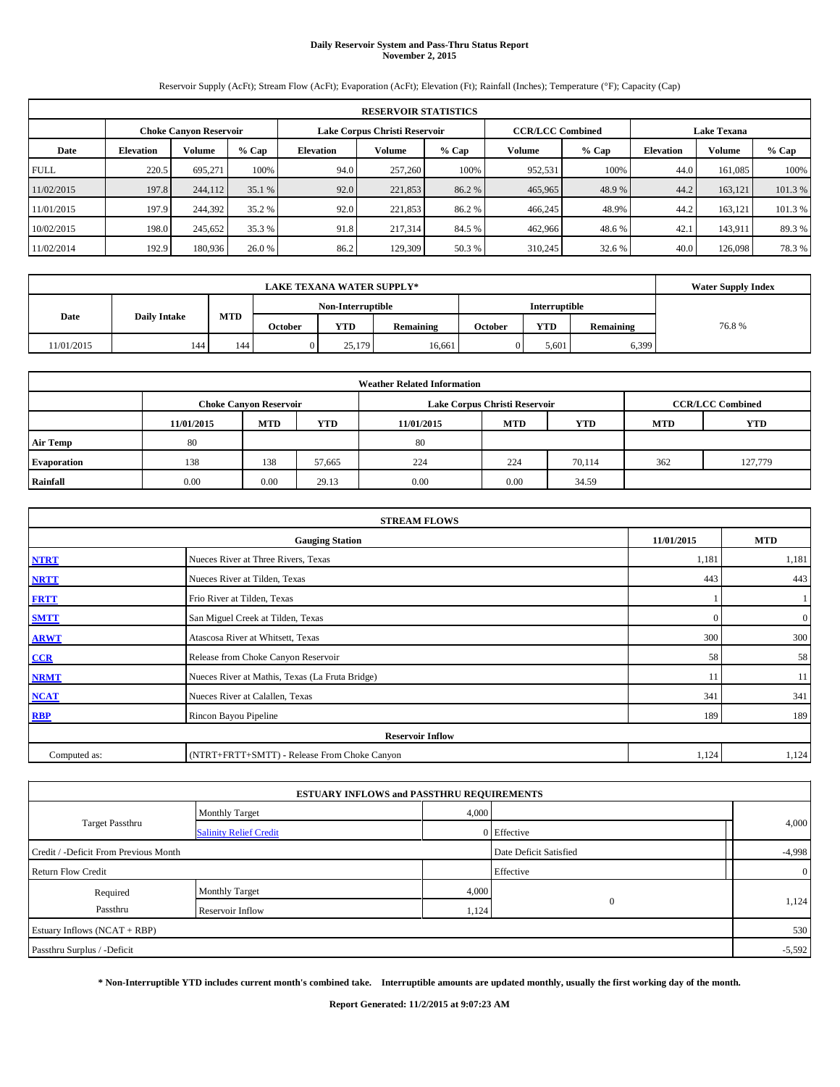### **Daily Reservoir System and Pass-Thru Status Report November 2, 2015**

Reservoir Supply (AcFt); Stream Flow (AcFt); Evaporation (AcFt); Elevation (Ft); Rainfall (Inches); Temperature (°F); Capacity (Cap)

| <b>RESERVOIR STATISTICS</b> |                                                                                                                 |               |         |                  |         |         |         |         |                  |               |        |  |
|-----------------------------|-----------------------------------------------------------------------------------------------------------------|---------------|---------|------------------|---------|---------|---------|---------|------------------|---------------|--------|--|
|                             | <b>CCR/LCC Combined</b><br>Lake Corpus Christi Reservoir<br><b>Lake Texana</b><br><b>Choke Canyon Reservoir</b> |               |         |                  |         |         |         |         |                  |               |        |  |
| Date                        | <b>Elevation</b>                                                                                                | <b>Volume</b> | $%$ Cap | <b>Elevation</b> | Volume  | $%$ Cap | Volume  | $%$ Cap | <b>Elevation</b> | <b>Volume</b> | % Cap  |  |
| <b>FULL</b>                 | 220.5                                                                                                           | 695.271       | 100%    | 94.0             | 257,260 | 100%    | 952,531 | 100%    | 44.0             | 161,085       | 100%   |  |
| 11/02/2015                  | 197.8                                                                                                           | 244,112       | 35.1 %  | 92.0             | 221,853 | 86.2%   | 465,965 | 48.9%   | 44.2             | 163.121       | 101.3% |  |
| 11/01/2015                  | 197.9                                                                                                           | 244,392       | 35.2 %  | 92.0             | 221,853 | 86.2%   | 466,245 | 48.9%   | 44.2             | 163.121       | 101.3% |  |
| 10/02/2015                  | 198.0                                                                                                           | 245,652       | 35.3 %  | 91.8             | 217,314 | 84.5 %  | 462,966 | 48.6 %  | 42.1             | 143,911       | 89.3%  |  |
| 11/02/2014                  | 192.9                                                                                                           | 180,936       | 26.0 %  | 86.2             | 129,309 | 50.3 %  | 310,245 | 32.6 %  | 40.0             | 126,098       | 78.3%  |  |

|            | <b>Water Supply Index</b> |            |         |                   |           |         |               |           |       |
|------------|---------------------------|------------|---------|-------------------|-----------|---------|---------------|-----------|-------|
|            | <b>Daily Intake</b>       |            |         | Non-Interruptible |           |         | Interruptible |           |       |
| Date       |                           | <b>MTD</b> | October | <b>YTD</b>        | Remaining | October | <b>YTD</b>    | Remaining | 76.8% |
| 11/01/2015 | 144                       | 144        |         | 25,179            | 16,661    |         | 5,601         | 6,399     |       |

| <b>Weather Related Information</b> |            |                               |        |            |                               |                         |     |         |  |  |  |
|------------------------------------|------------|-------------------------------|--------|------------|-------------------------------|-------------------------|-----|---------|--|--|--|
|                                    |            | <b>Choke Canyon Reservoir</b> |        |            | Lake Corpus Christi Reservoir | <b>CCR/LCC Combined</b> |     |         |  |  |  |
|                                    | 11/01/2015 | <b>MTD</b>                    | YTD    | 11/01/2015 | <b>MTD</b>                    | <b>YTD</b>              |     |         |  |  |  |
| <b>Air Temp</b>                    | 80         |                               |        | 80         |                               |                         |     |         |  |  |  |
| <b>Evaporation</b>                 | 138        | 138                           | 57,665 | 224        | 224                           | 70,114                  | 362 | 127,779 |  |  |  |
| Rainfall                           | 0.00       | 0.00                          | 29.13  | 0.00       | 0.00                          | 34.59                   |     |         |  |  |  |

| <b>STREAM FLOWS</b> |                                                    |          |                  |  |  |  |  |  |  |  |
|---------------------|----------------------------------------------------|----------|------------------|--|--|--|--|--|--|--|
|                     | 11/01/2015<br><b>Gauging Station</b><br><b>MTD</b> |          |                  |  |  |  |  |  |  |  |
| <b>NTRT</b>         | Nueces River at Three Rivers, Texas                | 1,181    | 1,181            |  |  |  |  |  |  |  |
| <b>NRTT</b>         | Nueces River at Tilden, Texas                      | 443      | 443              |  |  |  |  |  |  |  |
| <b>FRTT</b>         | Frio River at Tilden, Texas                        |          |                  |  |  |  |  |  |  |  |
| <b>SMTT</b>         | San Miguel Creek at Tilden, Texas                  | $\Omega$ | $\boldsymbol{0}$ |  |  |  |  |  |  |  |
| <b>ARWT</b>         | Atascosa River at Whitsett, Texas                  | 300      | 300              |  |  |  |  |  |  |  |
| CCR                 | Release from Choke Canyon Reservoir                | 58       | 58               |  |  |  |  |  |  |  |
| <b>NRMT</b>         | Nueces River at Mathis, Texas (La Fruta Bridge)    | 11       | 11               |  |  |  |  |  |  |  |
| <b>NCAT</b>         | Nueces River at Calallen, Texas                    | 341      | 341              |  |  |  |  |  |  |  |
| <b>RBP</b>          | Rincon Bayou Pipeline                              | 189      | 189              |  |  |  |  |  |  |  |
|                     | <b>Reservoir Inflow</b>                            |          |                  |  |  |  |  |  |  |  |
| Computed as:        | (NTRT+FRTT+SMTT) - Release From Choke Canyon       |          |                  |  |  |  |  |  |  |  |

|                                       |                               | <b>ESTUARY INFLOWS and PASSTHRU REQUIREMENTS</b> |                        |              |
|---------------------------------------|-------------------------------|--------------------------------------------------|------------------------|--------------|
|                                       | <b>Monthly Target</b>         | 4,000                                            |                        |              |
| Target Passthru                       | <b>Salinity Relief Credit</b> |                                                  | 0 Effective            | 4,000        |
| Credit / -Deficit From Previous Month |                               |                                                  | Date Deficit Satisfied | $-4,998$     |
| <b>Return Flow Credit</b>             |                               |                                                  | Effective              | $\mathbf{0}$ |
| Required                              | <b>Monthly Target</b>         | 4,000                                            |                        |              |
| Passthru                              | Reservoir Inflow              | 1,124                                            | $\Omega$               | 1,124        |
| Estuary Inflows (NCAT + RBP)          |                               |                                                  |                        | 530          |
| Passthru Surplus / -Deficit           |                               |                                                  |                        | $-5,592$     |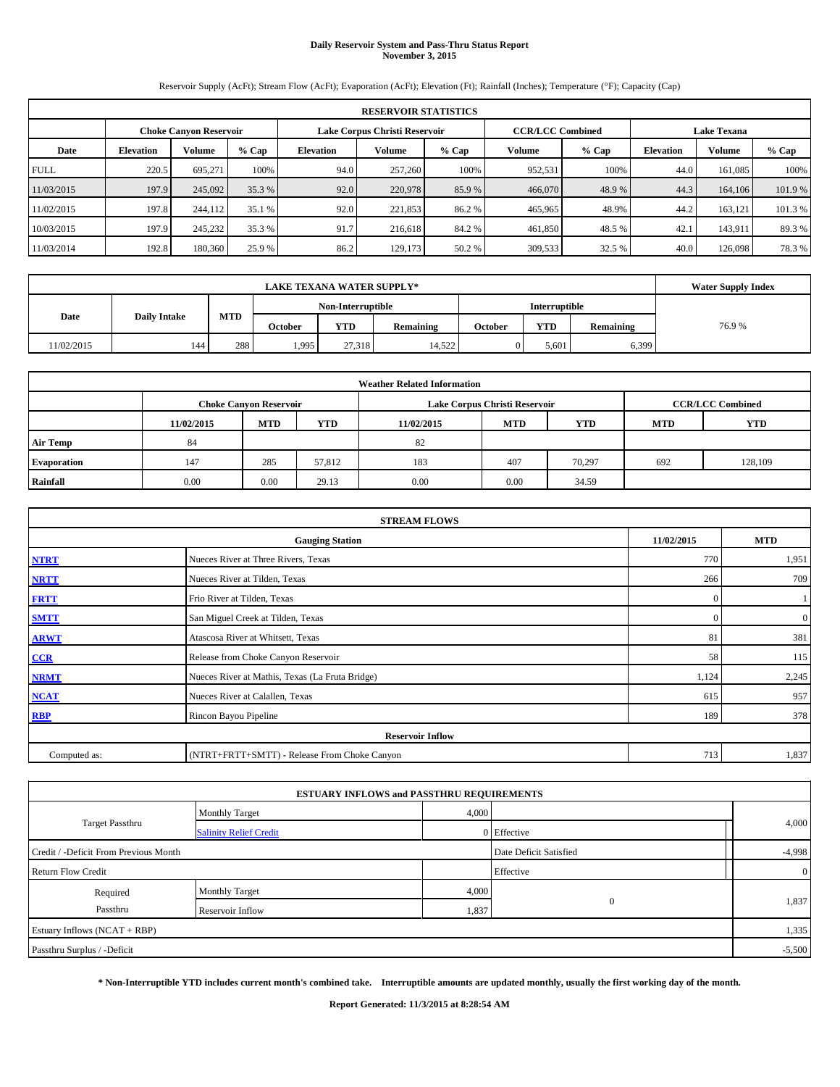### **Daily Reservoir System and Pass-Thru Status Report November 3, 2015**

Reservoir Supply (AcFt); Stream Flow (AcFt); Evaporation (AcFt); Elevation (Ft); Rainfall (Inches); Temperature (°F); Capacity (Cap)

| <b>RESERVOIR STATISTICS</b> |                                                                                                          |         |         |                  |               |         |         |         |                  |               |        |  |
|-----------------------------|----------------------------------------------------------------------------------------------------------|---------|---------|------------------|---------------|---------|---------|---------|------------------|---------------|--------|--|
|                             | <b>CCR/LCC Combined</b><br><b>Lake Texana</b><br>Lake Corpus Christi Reservoir<br>Choke Canvon Reservoir |         |         |                  |               |         |         |         |                  |               |        |  |
| Date                        | <b>Elevation</b>                                                                                         | Volume  | $%$ Cap | <b>Elevation</b> | <b>Volume</b> | $%$ Cap | Volume  | $%$ Cap | <b>Elevation</b> | <b>Volume</b> | % Cap  |  |
| <b>FULL</b>                 | 220.5                                                                                                    | 695.271 | 100%    | 94.0             | 257,260       | 100%    | 952.531 | 100%    | 44.0             | 161.085       | 100%   |  |
| 11/03/2015                  | 197.9                                                                                                    | 245,092 | 35.3 %  | 92.0             | 220,978       | 85.9%   | 466,070 | 48.9%   | 44.3             | 164,106       | 101.9% |  |
| 11/02/2015                  | 197.8                                                                                                    | 244,112 | 35.1 %  | 92.0             | 221,853       | 86.2%   | 465,965 | 48.9%   | 44.2             | 163.121       | 101.3% |  |
| 10/03/2015                  | 197.9                                                                                                    | 245,232 | 35.3 %  | 91.7             | 216,618       | 84.2%   | 461,850 | 48.5 %  | 42.1             | 143.911       | 89.3%  |  |
| 11/03/2014                  | 192.8                                                                                                    | 180,360 | 25.9 %  | 86.2             | 129,173       | 50.2 %  | 309,533 | 32.5 %  | 40.0             | 126,098       | 78.3%  |  |

|            | <b>LAKE TEXANA WATER SUPPLY*</b> |            |         |                   |           |         |               |           |       |  |  |  |
|------------|----------------------------------|------------|---------|-------------------|-----------|---------|---------------|-----------|-------|--|--|--|
|            |                                  |            |         | Non-Interruptible |           |         | Interruptible |           |       |  |  |  |
| Date       | <b>Daily Intake</b>              | <b>MTD</b> | October | <b>YTD</b>        | Remaining | October | <b>YTD</b>    | Remaining | 76.9% |  |  |  |
| 11/02/2015 | 144                              | 288        | 1,995   | 27.318            | 14.522    |         | 5.601         | 6,399     |       |  |  |  |

| <b>Weather Related Information</b> |            |                               |        |            |                               |                         |            |            |  |  |
|------------------------------------|------------|-------------------------------|--------|------------|-------------------------------|-------------------------|------------|------------|--|--|
|                                    |            | <b>Choke Canyon Reservoir</b> |        |            | Lake Corpus Christi Reservoir | <b>CCR/LCC Combined</b> |            |            |  |  |
|                                    | 11/02/2015 | <b>MTD</b>                    | YTD    | 11/02/2015 | <b>MTD</b>                    | <b>YTD</b>              | <b>MTD</b> | <b>YTD</b> |  |  |
| <b>Air Temp</b>                    | 84         |                               |        | 82         |                               |                         |            |            |  |  |
| <b>Evaporation</b>                 | 147        | 285                           | 57,812 | 183        | 407                           | 70.297                  | 692        | 128,109    |  |  |
| Rainfall                           | 0.00       | 0.00                          | 29.13  | 0.00       | 0.00                          | 34.59                   |            |            |  |  |

| <b>STREAM FLOWS</b> |                                                 |              |                  |  |  |  |  |  |  |
|---------------------|-------------------------------------------------|--------------|------------------|--|--|--|--|--|--|
|                     | <b>Gauging Station</b>                          |              |                  |  |  |  |  |  |  |
| <b>NTRT</b>         | Nueces River at Three Rivers, Texas             | 770          | 1,951            |  |  |  |  |  |  |
| <b>NRTT</b>         | Nueces River at Tilden, Texas                   | 266          | 709              |  |  |  |  |  |  |
| <b>FRTT</b>         | Frio River at Tilden, Texas                     | $\mathbf{0}$ |                  |  |  |  |  |  |  |
| <b>SMTT</b>         | San Miguel Creek at Tilden, Texas               | $\Omega$     | $\boldsymbol{0}$ |  |  |  |  |  |  |
| <b>ARWT</b>         | Atascosa River at Whitsett, Texas               | 81           | 381              |  |  |  |  |  |  |
| $CCR$               | Release from Choke Canyon Reservoir             | 58           | 115              |  |  |  |  |  |  |
| <b>NRMT</b>         | Nueces River at Mathis, Texas (La Fruta Bridge) | 1,124        | 2,245            |  |  |  |  |  |  |
| <b>NCAT</b>         | Nueces River at Calallen, Texas                 | 615          | 957              |  |  |  |  |  |  |
| <b>RBP</b>          | Rincon Bayou Pipeline                           | 189          | 378              |  |  |  |  |  |  |
|                     | <b>Reservoir Inflow</b>                         |              |                  |  |  |  |  |  |  |
| Computed as:        | (NTRT+FRTT+SMTT) - Release From Choke Canyon    | 713          | 1,837            |  |  |  |  |  |  |

|                                       |                               | <b>ESTUARY INFLOWS and PASSTHRU REQUIREMENTS</b> |                        |              |
|---------------------------------------|-------------------------------|--------------------------------------------------|------------------------|--------------|
|                                       | <b>Monthly Target</b>         | 4,000                                            |                        |              |
| Target Passthru                       | <b>Salinity Relief Credit</b> |                                                  | 0 Effective            | 4,000        |
| Credit / -Deficit From Previous Month |                               |                                                  | Date Deficit Satisfied | $-4,998$     |
| <b>Return Flow Credit</b>             |                               |                                                  | Effective              | $\mathbf{0}$ |
| Required                              | <b>Monthly Target</b>         | 4,000                                            |                        |              |
| Passthru                              | Reservoir Inflow              | 1,837                                            | $\Omega$               | 1,837        |
| Estuary Inflows (NCAT + RBP)          |                               |                                                  |                        | 1,335        |
| Passthru Surplus / -Deficit           |                               |                                                  |                        | $-5,500$     |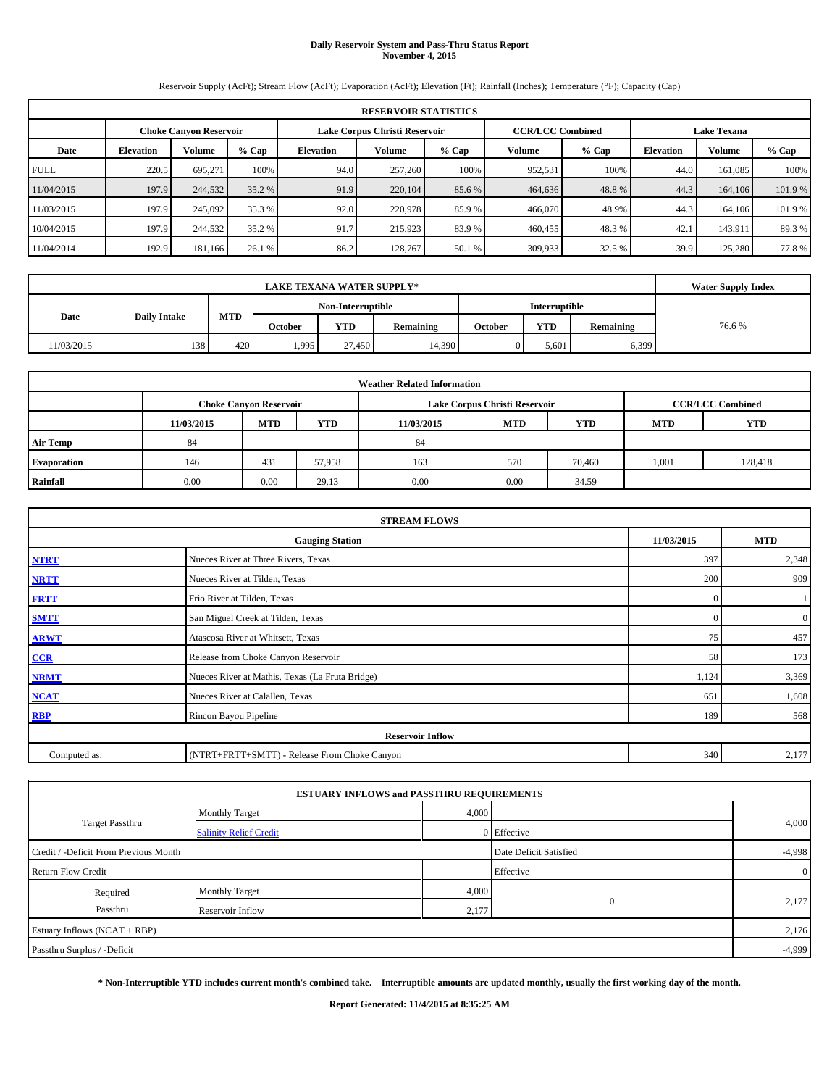## **Daily Reservoir System and Pass-Thru Status Report November 4, 2015**

Reservoir Supply (AcFt); Stream Flow (AcFt); Evaporation (AcFt); Elevation (Ft); Rainfall (Inches); Temperature (°F); Capacity (Cap)

|             | <b>RESERVOIR STATISTICS</b> |                               |         |                  |                               |         |         |                         |                    |               |        |  |
|-------------|-----------------------------|-------------------------------|---------|------------------|-------------------------------|---------|---------|-------------------------|--------------------|---------------|--------|--|
|             |                             | <b>Choke Canyon Reservoir</b> |         |                  | Lake Corpus Christi Reservoir |         |         | <b>CCR/LCC Combined</b> | <b>Lake Texana</b> |               |        |  |
| Date        | <b>Elevation</b>            | Volume                        | $%$ Cap | <b>Elevation</b> | <b>Volume</b>                 | $%$ Cap | Volume  | $%$ Cap                 | <b>Elevation</b>   | <b>Volume</b> | % Cap  |  |
| <b>FULL</b> | 220.5                       | 695.271                       | 100%    | 94.0             | 257,260                       | 100%    | 952.531 | 100%                    | 44.0               | 161.085       | 100%   |  |
| 11/04/2015  | 197.9                       | 244,532                       | 35.2 %  | 91.9             | 220,104                       | 85.6 %  | 464,636 | 48.8%                   | 44.3               | 164,106       | 101.9% |  |
| 11/03/2015  | 197.9                       | 245,092                       | 35.3 %  | 92.0             | 220,978                       | 85.9%   | 466,070 | 48.9%                   | 44.3               | 164,106       | 101.9% |  |
| 10/04/2015  | 197.9                       | 244,532                       | 35.2 %  | 91.7             | 215,923                       | 83.9%   | 460,455 | 48.3%                   | 42.                | 143,911       | 89.3%  |  |
| 11/04/2014  | 192.9                       | 181,166                       | 26.1 %  | 86.2             | 128,767                       | 50.1 %  | 309,933 | 32.5 %                  | 39.9               | 125.280       | 77.8%  |  |

|            | <b>Water Supply Index</b> |            |         |                   |           |         |               |           |       |
|------------|---------------------------|------------|---------|-------------------|-----------|---------|---------------|-----------|-------|
|            |                           |            |         | Non-Interruptible |           |         | Interruptible |           |       |
| Date       | <b>Daily Intake</b>       | <b>MTD</b> | October | YTD               | Remaining | October | <b>YTD</b>    | Remaining | 76.6% |
| 11/03/2015 | 138                       | 420        | 1,995   | 27,450            | 14,390    |         | 5,601         | 6,399     |       |

| <b>Weather Related Information</b> |            |                               |        |            |                               |                         |            |            |  |  |
|------------------------------------|------------|-------------------------------|--------|------------|-------------------------------|-------------------------|------------|------------|--|--|
|                                    |            | <b>Choke Canyon Reservoir</b> |        |            | Lake Corpus Christi Reservoir | <b>CCR/LCC Combined</b> |            |            |  |  |
|                                    | 11/03/2015 | <b>MTD</b>                    | YTD    | 11/03/2015 | <b>MTD</b>                    | <b>YTD</b>              | <b>MTD</b> | <b>YTD</b> |  |  |
| <b>Air Temp</b>                    | 84         |                               |        | 84         |                               |                         |            |            |  |  |
| <b>Evaporation</b>                 | 146        | 431                           | 57,958 | 163        | 570                           | 70,460                  | 1,001      | 128,418    |  |  |
| Rainfall                           | 0.00       | 0.00                          | 29.13  | 0.00       | 0.00                          | 34.59                   |            |            |  |  |

|              | <b>STREAM FLOWS</b>                             |              |                  |  |  |  |  |  |  |  |
|--------------|-------------------------------------------------|--------------|------------------|--|--|--|--|--|--|--|
|              | <b>Gauging Station</b>                          |              |                  |  |  |  |  |  |  |  |
| <b>NTRT</b>  | Nueces River at Three Rivers, Texas             | 397          | 2,348            |  |  |  |  |  |  |  |
| <b>NRTT</b>  | Nueces River at Tilden, Texas                   | 200          | 909              |  |  |  |  |  |  |  |
| <b>FRTT</b>  | Frio River at Tilden, Texas                     | $\mathbf{0}$ |                  |  |  |  |  |  |  |  |
| <b>SMTT</b>  | San Miguel Creek at Tilden, Texas               | $\Omega$     | $\boldsymbol{0}$ |  |  |  |  |  |  |  |
| <b>ARWT</b>  | Atascosa River at Whitsett, Texas               | 75           | 457              |  |  |  |  |  |  |  |
| CCR          | Release from Choke Canyon Reservoir             | 58           | 173              |  |  |  |  |  |  |  |
| <b>NRMT</b>  | Nueces River at Mathis, Texas (La Fruta Bridge) | 1,124        | 3,369            |  |  |  |  |  |  |  |
| <b>NCAT</b>  | Nueces River at Calallen, Texas                 | 651          | 1,608            |  |  |  |  |  |  |  |
| <b>RBP</b>   | Rincon Bayou Pipeline                           | 189          | 568              |  |  |  |  |  |  |  |
|              | <b>Reservoir Inflow</b>                         |              |                  |  |  |  |  |  |  |  |
| Computed as: | (NTRT+FRTT+SMTT) - Release From Choke Canyon    | 340          | 2,177            |  |  |  |  |  |  |  |

|                                       |                               | <b>ESTUARY INFLOWS and PASSTHRU REQUIREMENTS</b> |                        |          |                |  |
|---------------------------------------|-------------------------------|--------------------------------------------------|------------------------|----------|----------------|--|
|                                       | <b>Monthly Target</b>         | 4,000                                            |                        |          |                |  |
| <b>Target Passthru</b>                | <b>Salinity Relief Credit</b> |                                                  | 0 Effective            |          | 4,000          |  |
| Credit / -Deficit From Previous Month |                               |                                                  | Date Deficit Satisfied | $-4,998$ |                |  |
| <b>Return Flow Credit</b>             |                               |                                                  | Effective              |          | $\overline{0}$ |  |
| Required                              | Monthly Target                | 4,000                                            |                        |          |                |  |
| Passthru                              | Reservoir Inflow              | 2,177                                            | $\mathbf{0}$           |          | 2,177          |  |
| Estuary Inflows (NCAT + RBP)          |                               |                                                  |                        |          | 2,176          |  |
| Passthru Surplus / -Deficit           |                               |                                                  |                        |          | $-4,999$       |  |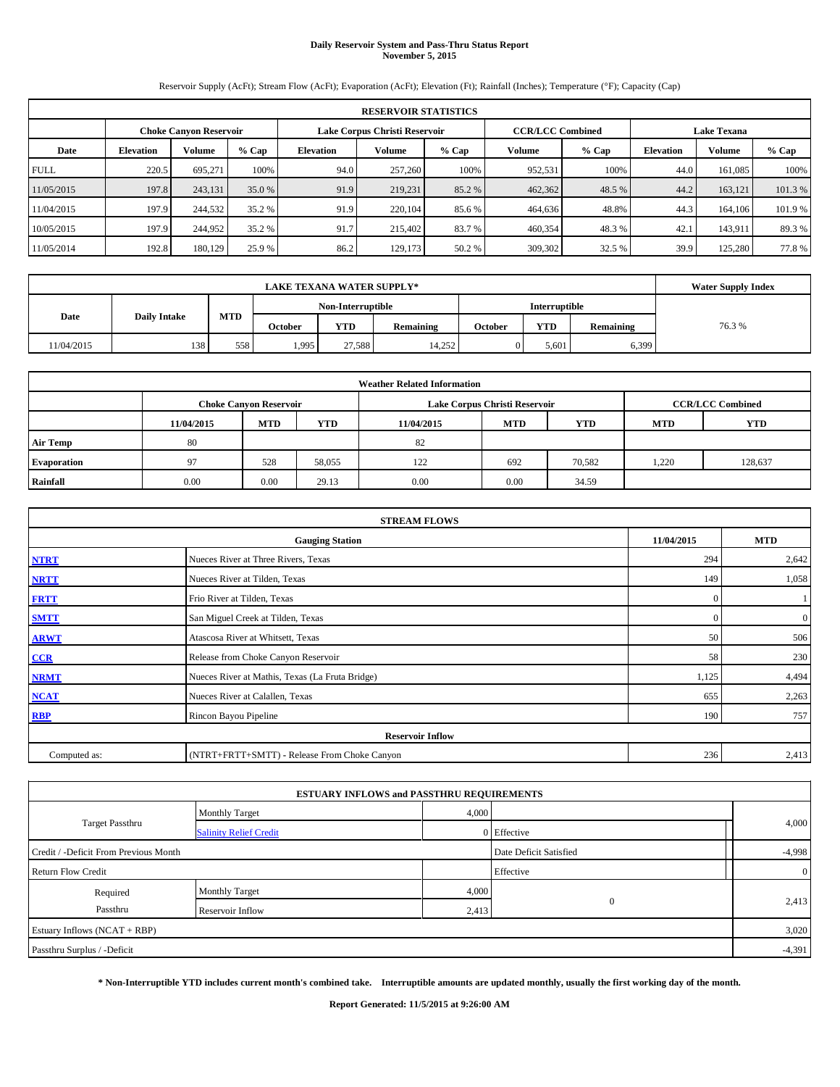### **Daily Reservoir System and Pass-Thru Status Report November 5, 2015**

Reservoir Supply (AcFt); Stream Flow (AcFt); Evaporation (AcFt); Elevation (Ft); Rainfall (Inches); Temperature (°F); Capacity (Cap)

|             | <b>RESERVOIR STATISTICS</b> |                        |         |                  |                               |         |         |                         |                    |               |        |  |
|-------------|-----------------------------|------------------------|---------|------------------|-------------------------------|---------|---------|-------------------------|--------------------|---------------|--------|--|
|             |                             | Choke Canvon Reservoir |         |                  | Lake Corpus Christi Reservoir |         |         | <b>CCR/LCC Combined</b> | <b>Lake Texana</b> |               |        |  |
| Date        | <b>Elevation</b>            | Volume                 | $%$ Cap | <b>Elevation</b> | <b>Volume</b>                 | $%$ Cap | Volume  | $%$ Cap                 | <b>Elevation</b>   | <b>Volume</b> | % Cap  |  |
| <b>FULL</b> | 220.5                       | 695.271                | 100%    | 94.0             | 257,260                       | 100%    | 952.531 | 100%                    | 44.0               | 161.085       | 100%   |  |
| 11/05/2015  | 197.8                       | 243,131                | 35.0 %  | 91.9             | 219.231                       | 85.2 %  | 462,362 | 48.5 %                  | 44.2               | 163.121       | 101.3% |  |
| 11/04/2015  | 197.9                       | 244,532                | 35.2 %  | 91.9             | 220,104                       | 85.6 %  | 464,636 | 48.8%                   | 44.3               | 164,106       | 101.9% |  |
| 10/05/2015  | 197.9                       | 244,952                | 35.2 %  | 91.7             | 215,402                       | 83.7 %  | 460,354 | 48.3 %                  | 42.1               | 143.911       | 89.3%  |  |
| 11/05/2014  | 192.8                       | 180,129                | 25.9 %  | 86.2             | 129,173                       | 50.2 %  | 309,302 | 32.5 %                  | 39.9               | 125.280       | 77.8%  |  |

|            | <b>Water Supply Index</b> |     |         |                   |           |         |                      |           |       |
|------------|---------------------------|-----|---------|-------------------|-----------|---------|----------------------|-----------|-------|
|            |                           |     |         | Non-Interruptible |           |         | <b>Interruptible</b> |           |       |
| Date       | <b>Daily Intake</b>       | MTD | October | <b>YTD</b>        | Remaining | October | <b>YTD</b>           | Remaining | 76.3% |
| 11/04/2015 | 138                       | 558 | 1,995   | 27.588            | 14.252    |         | 5.601                | 6,399     |       |

| <b>Weather Related Information</b> |            |                               |        |            |                               |                         |            |            |  |  |
|------------------------------------|------------|-------------------------------|--------|------------|-------------------------------|-------------------------|------------|------------|--|--|
|                                    |            | <b>Choke Canyon Reservoir</b> |        |            | Lake Corpus Christi Reservoir | <b>CCR/LCC Combined</b> |            |            |  |  |
|                                    | 11/04/2015 | <b>MTD</b>                    | YTD    | 11/04/2015 | <b>MTD</b>                    | <b>YTD</b>              | <b>MTD</b> | <b>YTD</b> |  |  |
| <b>Air Temp</b>                    | 80         |                               |        | 82         |                               |                         |            |            |  |  |
| <b>Evaporation</b>                 | 97         | 528                           | 58,055 | 122        | 692                           | 70,582                  | 1,220      | 128,637    |  |  |
| Rainfall                           | 0.00       | 0.00                          | 29.13  | 0.00       | 0.00                          | 34.59                   |            |            |  |  |

| <b>STREAM FLOWS</b> |                                                 |              |                  |  |  |  |  |  |  |
|---------------------|-------------------------------------------------|--------------|------------------|--|--|--|--|--|--|
|                     | <b>Gauging Station</b>                          |              |                  |  |  |  |  |  |  |
| <b>NTRT</b>         | Nueces River at Three Rivers, Texas             | 294          | 2,642            |  |  |  |  |  |  |
| <b>NRTT</b>         | Nueces River at Tilden, Texas                   | 149          | 1,058            |  |  |  |  |  |  |
| <b>FRTT</b>         | Frio River at Tilden, Texas                     | $\mathbf{0}$ |                  |  |  |  |  |  |  |
| <b>SMTT</b>         | San Miguel Creek at Tilden, Texas               | $\mathbf{0}$ | $\boldsymbol{0}$ |  |  |  |  |  |  |
| <b>ARWT</b>         | Atascosa River at Whitsett, Texas               | 50           | 506              |  |  |  |  |  |  |
| $CCR$               | Release from Choke Canyon Reservoir             | 58           | 230              |  |  |  |  |  |  |
| <b>NRMT</b>         | Nueces River at Mathis, Texas (La Fruta Bridge) | 1,125        | 4,494            |  |  |  |  |  |  |
| <b>NCAT</b>         | Nueces River at Calallen, Texas                 | 655          | 2,263            |  |  |  |  |  |  |
| <b>RBP</b>          | Rincon Bayou Pipeline                           | 190          | 757              |  |  |  |  |  |  |
|                     | <b>Reservoir Inflow</b>                         |              |                  |  |  |  |  |  |  |
| Computed as:        | (NTRT+FRTT+SMTT) - Release From Choke Canyon    | 236          | 2,413            |  |  |  |  |  |  |

|                                       |                               | <b>ESTUARY INFLOWS and PASSTHRU REQUIREMENTS</b> |                        |          |
|---------------------------------------|-------------------------------|--------------------------------------------------|------------------------|----------|
|                                       | <b>Monthly Target</b>         |                                                  | 4,000                  |          |
| Target Passthru                       | <b>Salinity Relief Credit</b> |                                                  | 0 Effective            | 4,000    |
| Credit / -Deficit From Previous Month |                               |                                                  | Date Deficit Satisfied | $-4,998$ |
| <b>Return Flow Credit</b>             |                               |                                                  | Effective              |          |
| Required                              | <b>Monthly Target</b>         | 4,000                                            |                        |          |
| Passthru                              | Reservoir Inflow              | 2,413                                            | $\Omega$               | 2,413    |
| Estuary Inflows (NCAT + RBP)          |                               |                                                  |                        | 3,020    |
| Passthru Surplus / -Deficit           |                               |                                                  |                        | $-4,391$ |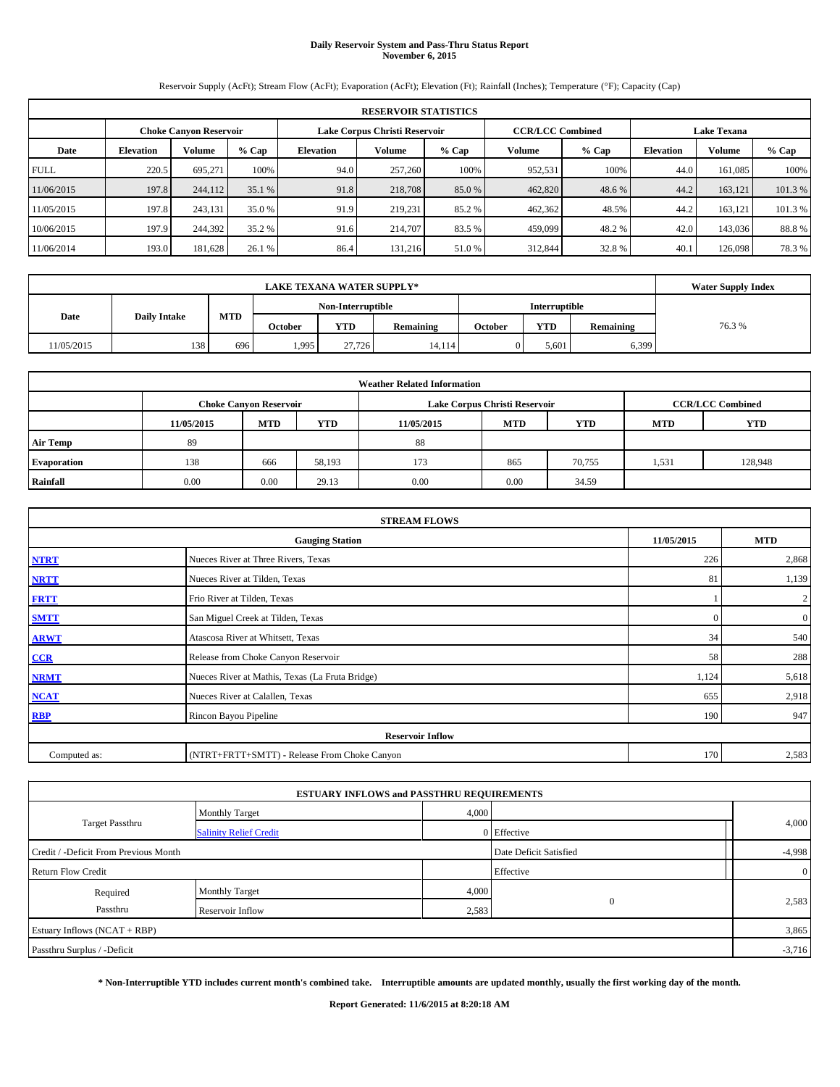### **Daily Reservoir System and Pass-Thru Status Report November 6, 2015**

Reservoir Supply (AcFt); Stream Flow (AcFt); Evaporation (AcFt); Elevation (Ft); Rainfall (Inches); Temperature (°F); Capacity (Cap)

|             | <b>RESERVOIR STATISTICS</b> |                               |         |                               |         |         |                         |         |      |                                     |        |  |  |  |
|-------------|-----------------------------|-------------------------------|---------|-------------------------------|---------|---------|-------------------------|---------|------|-------------------------------------|--------|--|--|--|
|             |                             | <b>Choke Canyon Reservoir</b> |         | Lake Corpus Christi Reservoir |         |         | <b>CCR/LCC Combined</b> |         |      | <b>Lake Texana</b>                  |        |  |  |  |
| Date        | <b>Elevation</b>            | Volume                        | $%$ Cap | <b>Elevation</b>              | Volume  | $%$ Cap | Volume                  | $%$ Cap |      | <b>Elevation</b><br>Volume<br>% Cap |        |  |  |  |
| <b>FULL</b> | 220.5                       | 695.271                       | 100%    | 94.0                          | 257,260 | 100%    | 952,531                 | 100%    | 44.0 | 161,085                             | 100%   |  |  |  |
| 11/06/2015  | 197.8                       | 244,112                       | 35.1 %  | 91.8                          | 218,708 | 85.0 %  | 462,820                 | 48.6 %  | 44.2 | 163.121                             | 101.3% |  |  |  |
| 1/05/2015   | 197.8                       | 243.131                       | 35.0 %  | 91.9                          | 219,231 | 85.2 %  | 462,362                 | 48.5%   | 44.2 | 163.121                             | 101.3% |  |  |  |
| 10/06/2015  | 197.9                       | 244,392                       | 35.2 %  | 91.6                          | 214,707 | 83.5 %  | 459,099                 | 48.2 %  | 42.0 | 143,036                             | 88.8%  |  |  |  |
| 11/06/2014  | 193.0                       | 181,628                       | 26.1 %  | 86.4                          | 131.216 | 51.0 %  | 312,844                 | 32.8%   | 40.1 | 126,098                             | 78.3%  |  |  |  |

|            | <b>Water Supply Index</b> |            |         |                   |           |         |               |           |       |
|------------|---------------------------|------------|---------|-------------------|-----------|---------|---------------|-----------|-------|
|            |                           |            |         | Non-Interruptible |           |         | Interruptible |           |       |
| Date       | <b>Daily Intake</b>       | <b>MTD</b> | October | <b>YTD</b>        | Remaining | October | <b>YTD</b>    | Remaining | 76.3% |
| 11/05/2015 | 138                       | 696        | 1,995   | 27,726            | 14.114    |         | 5,601         | 6,399     |       |

| <b>Weather Related Information</b> |            |                               |            |            |                               |                         |       |         |  |  |
|------------------------------------|------------|-------------------------------|------------|------------|-------------------------------|-------------------------|-------|---------|--|--|
|                                    |            | <b>Choke Canyon Reservoir</b> |            |            | Lake Corpus Christi Reservoir | <b>CCR/LCC Combined</b> |       |         |  |  |
|                                    | 11/05/2015 | <b>MTD</b>                    | <b>YTD</b> | 11/05/2015 | <b>MTD</b>                    | <b>MTD</b>              | YTD   |         |  |  |
| <b>Air Temp</b>                    | 89         |                               |            | 88         |                               |                         |       |         |  |  |
| <b>Evaporation</b>                 | 138        | 666                           | 58,193     | 173        | 865                           | 70,755                  | 1,531 | 128,948 |  |  |
| Rainfall                           | 0.00       | 0.00                          | 29.13      | 0.00       | 0.00                          | 34.59                   |       |         |  |  |

| <b>STREAM FLOWS</b> |                                                 |            |                  |  |  |  |  |  |  |
|---------------------|-------------------------------------------------|------------|------------------|--|--|--|--|--|--|
|                     | 11/05/2015                                      | <b>MTD</b> |                  |  |  |  |  |  |  |
| <b>NTRT</b>         | 226                                             | 2,868      |                  |  |  |  |  |  |  |
| <b>NRTT</b>         | Nueces River at Tilden, Texas                   | 81         | 1,139            |  |  |  |  |  |  |
| <b>FRTT</b>         | Frio River at Tilden, Texas                     |            | $\boldsymbol{2}$ |  |  |  |  |  |  |
| <b>SMTT</b>         | San Miguel Creek at Tilden, Texas               | $\Omega$   | $\boldsymbol{0}$ |  |  |  |  |  |  |
| <b>ARWT</b>         | Atascosa River at Whitsett, Texas               | 34         | 540              |  |  |  |  |  |  |
| $CCR$               | Release from Choke Canyon Reservoir             | 58         | 288              |  |  |  |  |  |  |
| <b>NRMT</b>         | Nueces River at Mathis, Texas (La Fruta Bridge) | 1,124      | 5,618            |  |  |  |  |  |  |
| <b>NCAT</b>         | Nueces River at Calallen, Texas                 | 655        | 2,918            |  |  |  |  |  |  |
| <b>RBP</b>          | Rincon Bayou Pipeline                           | 190        | 947              |  |  |  |  |  |  |
|                     |                                                 |            |                  |  |  |  |  |  |  |
| Computed as:        | (NTRT+FRTT+SMTT) - Release From Choke Canyon    | 170        | 2,583            |  |  |  |  |  |  |

|                                       |                               | <b>ESTUARY INFLOWS and PASSTHRU REQUIREMENTS</b> |                        |                |
|---------------------------------------|-------------------------------|--------------------------------------------------|------------------------|----------------|
|                                       | Monthly Target                | 4,000                                            |                        |                |
| <b>Target Passthru</b>                | <b>Salinity Relief Credit</b> |                                                  | 0 Effective            | 4,000          |
| Credit / -Deficit From Previous Month |                               |                                                  | Date Deficit Satisfied | $-4,998$       |
| <b>Return Flow Credit</b>             |                               |                                                  | Effective              | $\overline{0}$ |
| Required                              | Monthly Target                | 4,000                                            |                        |                |
| Passthru<br>Reservoir Inflow          |                               | 2,583                                            | $\mathbf{0}$           | 2,583          |
| Estuary Inflows (NCAT + RBP)          |                               |                                                  |                        | 3,865          |
| Passthru Surplus / -Deficit           |                               |                                                  |                        | $-3,716$       |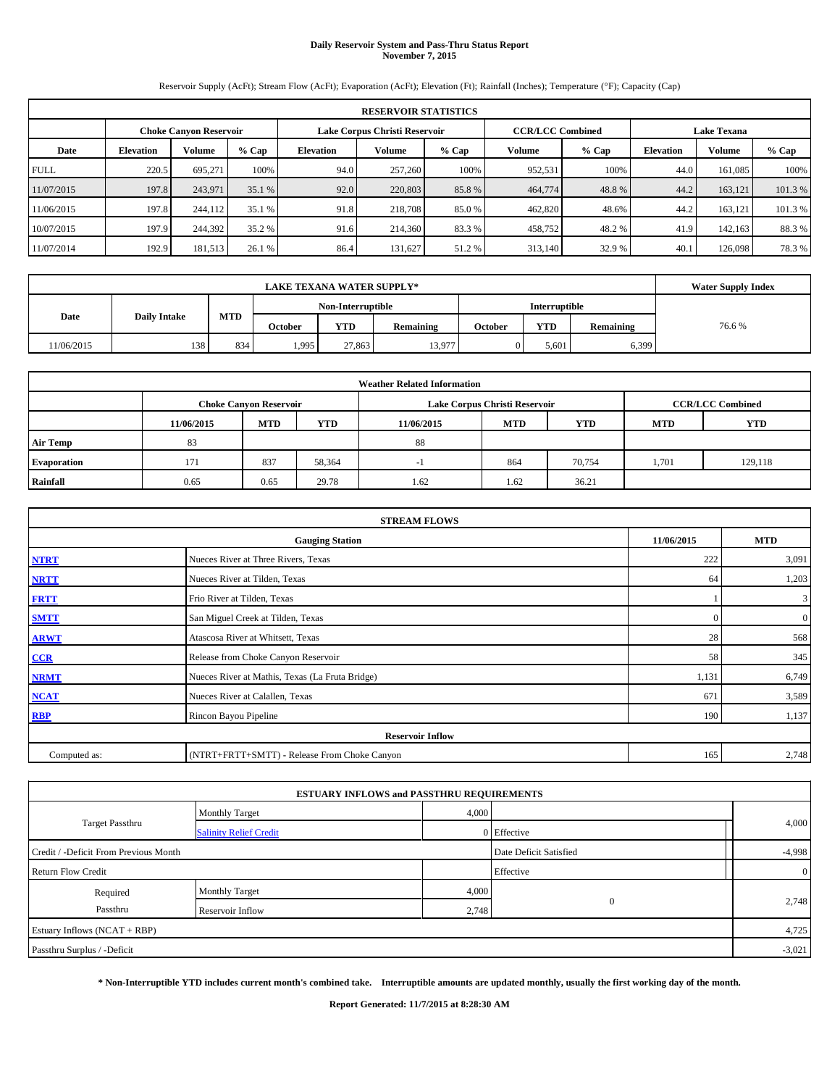### **Daily Reservoir System and Pass-Thru Status Report November 7, 2015**

Reservoir Supply (AcFt); Stream Flow (AcFt); Evaporation (AcFt); Elevation (Ft); Rainfall (Inches); Temperature (°F); Capacity (Cap)

|             | <b>RESERVOIR STATISTICS</b> |                               |         |                  |                               |        |                         |         |                  |                    |         |  |  |  |
|-------------|-----------------------------|-------------------------------|---------|------------------|-------------------------------|--------|-------------------------|---------|------------------|--------------------|---------|--|--|--|
|             |                             | <b>Choke Canyon Reservoir</b> |         |                  | Lake Corpus Christi Reservoir |        | <b>CCR/LCC Combined</b> |         |                  | <b>Lake Texana</b> |         |  |  |  |
| Date        | <b>Elevation</b>            | Volume                        | $%$ Cap | <b>Elevation</b> | Volume<br>% Cap               |        |                         | $%$ Cap | <b>Elevation</b> | <b>Volume</b>      | $%$ Cap |  |  |  |
| <b>FULL</b> | 220.5                       | 695.271                       | 100%    | 94.0             | 257,260                       | 100%   | 952,531                 | 100%    | 44.0             | 161.085            | 100%    |  |  |  |
| 11/07/2015  | 197.8                       | 243,971                       | 35.1 %  | 92.0             | 220,803                       | 85.8 % | 464,774                 | 48.8%   | 44.2             | 163.121            | 101.3 % |  |  |  |
| 11/06/2015  | 197.8                       | 244,112                       | 35.1 %  | 91.8             | 218,708                       | 85.0 % | 462,820                 | 48.6%   | 44.2             | 163.121            | 101.3 % |  |  |  |
| 10/07/2015  | 197.9                       | 244,392                       | 35.2 %  | 91.6             | 214,360                       | 83.3 % | 458,752                 | 48.2%   | 41.9             | 142.163            | 88.3%   |  |  |  |
| 11/07/2014  | 192.9                       | 181,513                       | 26.1 %  | 86.4             | 131.627                       | 51.2 % | 313,140                 | 32.9 %  | 40.1             | 126,098            | 78.3 %  |  |  |  |

|            | <b>Water Supply Index</b> |     |         |                   |           |         |                      |           |       |
|------------|---------------------------|-----|---------|-------------------|-----------|---------|----------------------|-----------|-------|
|            |                           |     |         | Non-Interruptible |           |         | <b>Interruptible</b> |           |       |
| Date       | <b>Daily Intake</b>       | MTD | October | <b>YTD</b>        | Remaining | October | <b>YTD</b>           | Remaining | 76.6% |
| 11/06/2015 | 138                       | 834 | 1,995   | 27,863            | 13,977    |         | 5.601                | 6,399     |       |

| <b>Weather Related Information</b> |                                                                                  |                               |        |      |                               |                         |       |            |  |  |  |
|------------------------------------|----------------------------------------------------------------------------------|-------------------------------|--------|------|-------------------------------|-------------------------|-------|------------|--|--|--|
|                                    |                                                                                  | <b>Choke Canyon Reservoir</b> |        |      | Lake Corpus Christi Reservoir | <b>CCR/LCC Combined</b> |       |            |  |  |  |
|                                    | <b>MTD</b><br><b>YTD</b><br><b>MTD</b><br><b>YTD</b><br>11/06/2015<br>11/06/2015 |                               |        |      |                               |                         |       | <b>YTD</b> |  |  |  |
| <b>Air Temp</b>                    | 83                                                                               |                               |        | 88   |                               |                         |       |            |  |  |  |
| <b>Evaporation</b>                 | 171                                                                              | 837                           | 58,364 |      | 864                           | 70,754                  | 1,701 | 129,118    |  |  |  |
| Rainfall                           | 0.65                                                                             | 0.65                          | 29.78  | 1.62 | 1.62                          | 36.21                   |       |            |  |  |  |

| <b>STREAM FLOWS</b> |                                                 |            |                  |  |  |  |  |  |  |
|---------------------|-------------------------------------------------|------------|------------------|--|--|--|--|--|--|
|                     | 11/06/2015                                      | <b>MTD</b> |                  |  |  |  |  |  |  |
| <b>NTRT</b>         | 222                                             | 3,091      |                  |  |  |  |  |  |  |
| <b>NRTT</b>         | Nueces River at Tilden, Texas                   | 64         | 1,203            |  |  |  |  |  |  |
| <b>FRTT</b>         | Frio River at Tilden, Texas                     |            | 3                |  |  |  |  |  |  |
| <b>SMTT</b>         | San Miguel Creek at Tilden, Texas               | $\Omega$   | $\boldsymbol{0}$ |  |  |  |  |  |  |
| <b>ARWT</b>         | Atascosa River at Whitsett, Texas               | 28         | 568              |  |  |  |  |  |  |
| $CCR$               | Release from Choke Canyon Reservoir             | 58         | 345              |  |  |  |  |  |  |
| <b>NRMT</b>         | Nueces River at Mathis, Texas (La Fruta Bridge) | 1,131      | 6,749            |  |  |  |  |  |  |
| <b>NCAT</b>         | Nueces River at Calallen, Texas                 | 671        | 3,589            |  |  |  |  |  |  |
| <b>RBP</b>          | Rincon Bayou Pipeline                           | 190        | 1,137            |  |  |  |  |  |  |
|                     | <b>Reservoir Inflow</b>                         |            |                  |  |  |  |  |  |  |
| Computed as:        | (NTRT+FRTT+SMTT) - Release From Choke Canyon    | 165        | 2,748            |  |  |  |  |  |  |

|                                       | <b>ESTUARY INFLOWS and PASSTHRU REQUIREMENTS</b> |       |                        |          |
|---------------------------------------|--------------------------------------------------|-------|------------------------|----------|
|                                       | <b>Monthly Target</b>                            | 4,000 |                        |          |
| <b>Target Passthru</b>                | <b>Salinity Relief Credit</b>                    |       | 0 Effective            | 4,000    |
| Credit / -Deficit From Previous Month |                                                  |       | Date Deficit Satisfied | $-4,998$ |
| <b>Return Flow Credit</b>             |                                                  |       | Effective              |          |
| Required                              | <b>Monthly Target</b>                            | 4,000 |                        |          |
| Passthru<br>Reservoir Inflow          |                                                  | 2,748 | $\Omega$               | 2,748    |
| Estuary Inflows (NCAT + RBP)          |                                                  |       |                        | 4,725    |
| Passthru Surplus / -Deficit           |                                                  |       |                        | $-3,021$ |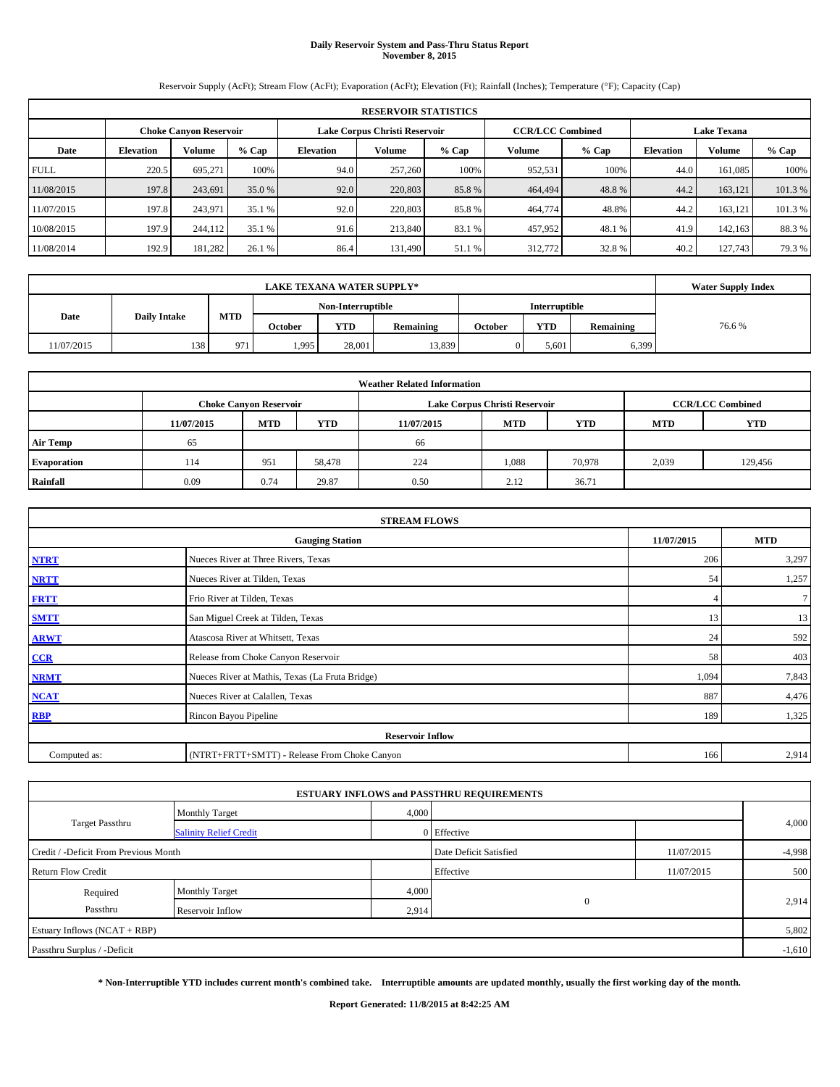### **Daily Reservoir System and Pass-Thru Status Report November 8, 2015**

Reservoir Supply (AcFt); Stream Flow (AcFt); Evaporation (AcFt); Elevation (Ft); Rainfall (Inches); Temperature (°F); Capacity (Cap)

|             | <b>RESERVOIR STATISTICS</b> |                               |         |                  |                               |         |         |                         |                  |                    |        |  |  |  |
|-------------|-----------------------------|-------------------------------|---------|------------------|-------------------------------|---------|---------|-------------------------|------------------|--------------------|--------|--|--|--|
|             |                             | <b>Choke Canyon Reservoir</b> |         |                  | Lake Corpus Christi Reservoir |         |         | <b>CCR/LCC Combined</b> |                  | <b>Lake Texana</b> |        |  |  |  |
| Date        | <b>Elevation</b>            | Volume                        | $%$ Cap | <b>Elevation</b> | Volume                        | $%$ Cap | Volume  | $%$ Cap                 | <b>Elevation</b> | Volume             | % Cap  |  |  |  |
| <b>FULL</b> | 220.5                       | 695.271                       | 100%    | 94.0             | 257,260                       | 100%    | 952,531 | 100%                    | 44.0             | 161,085            | 100%   |  |  |  |
| 11/08/2015  | 197.8                       | 243.691                       | 35.0 %  | 92.0             | 220,803                       | 85.8%   | 464,494 | 48.8%                   | 44.2             | 163.121            | 101.3% |  |  |  |
| 1/07/2015   | 197.8                       | 243.971                       | 35.1 %  | 92.0             | 220,803                       | 85.8%   | 464,774 | 48.8%                   | 44.2             | 163.121            | 101.3% |  |  |  |
| 10/08/2015  | 197.9                       | 244,112                       | 35.1 %  | 91.6             | 213,840                       | 83.1 %  | 457,952 | 48.1 %                  | 41.9             | 142,163            | 88.3%  |  |  |  |
| 11/08/2014  | 192.9                       | 181,282                       | 26.1 %  | 86.4             | 131.490                       | 51.1 %  | 312,772 | 32.8%                   | 40.2             | 127,743            | 79.3%  |  |  |  |

|                                    | <b>LAKE TEXANA WATER SUPPLY*</b> |            |         |        |           |         |            |           |       |  |  |  |
|------------------------------------|----------------------------------|------------|---------|--------|-----------|---------|------------|-----------|-------|--|--|--|
| Non-Interruptible<br>Interruptible |                                  |            |         |        |           |         |            |           |       |  |  |  |
| Date                               | <b>Daily Intake</b>              | <b>MTD</b> | October | YTD    | Remaining | October | <b>YTD</b> | Remaining | 76.6% |  |  |  |
| 11/07/2015                         | 138                              | 971        | 1,995   | 28,001 | 13,839    |         | 5,601      | 6,399     |       |  |  |  |

| <b>Weather Related Information</b> |            |                                                                                           |        |            |            |            |            |            |  |  |  |  |  |  |
|------------------------------------|------------|-------------------------------------------------------------------------------------------|--------|------------|------------|------------|------------|------------|--|--|--|--|--|--|
|                                    |            | <b>CCR/LCC Combined</b><br>Lake Corpus Christi Reservoir<br><b>Choke Canyon Reservoir</b> |        |            |            |            |            |            |  |  |  |  |  |  |
|                                    | 11/07/2015 | <b>MTD</b>                                                                                | YTD    | 11/07/2015 | <b>MTD</b> | <b>YTD</b> | <b>MTD</b> | <b>YTD</b> |  |  |  |  |  |  |
| <b>Air Temp</b>                    | 65         |                                                                                           |        | 66         |            |            |            |            |  |  |  |  |  |  |
| <b>Evaporation</b>                 | 114        | 951                                                                                       | 58,478 | 224        | 1,088      | 70,978     | 2,039      | 129,456    |  |  |  |  |  |  |
| Rainfall                           | 0.09       | 0.74                                                                                      | 29.87  | 0.50       | 2.12       | 36.71      |            |            |  |  |  |  |  |  |

|              | <b>STREAM FLOWS</b>                             |            |            |  |  |  |  |  |  |  |
|--------------|-------------------------------------------------|------------|------------|--|--|--|--|--|--|--|
|              | <b>Gauging Station</b>                          | 11/07/2015 | <b>MTD</b> |  |  |  |  |  |  |  |
| <b>NTRT</b>  | Nueces River at Three Rivers, Texas             | 206        | 3,297      |  |  |  |  |  |  |  |
| <b>NRTT</b>  | Nueces River at Tilden, Texas                   | 54         | 1,257      |  |  |  |  |  |  |  |
| <b>FRTT</b>  | Frio River at Tilden, Texas                     |            | $\tau$     |  |  |  |  |  |  |  |
| <b>SMTT</b>  | San Miguel Creek at Tilden, Texas               | 13         | 13         |  |  |  |  |  |  |  |
| <b>ARWT</b>  | Atascosa River at Whitsett, Texas               | 24         | 592        |  |  |  |  |  |  |  |
| CCR          | Release from Choke Canyon Reservoir             | 58         | 403        |  |  |  |  |  |  |  |
| <b>NRMT</b>  | Nueces River at Mathis, Texas (La Fruta Bridge) | 1,094      | 7,843      |  |  |  |  |  |  |  |
| <b>NCAT</b>  | Nueces River at Calallen, Texas                 | 887        | 4,476      |  |  |  |  |  |  |  |
| <b>RBP</b>   | Rincon Bayou Pipeline                           | 189        | 1,325      |  |  |  |  |  |  |  |
|              | <b>Reservoir Inflow</b>                         |            |            |  |  |  |  |  |  |  |
| Computed as: | (NTRT+FRTT+SMTT) - Release From Choke Canyon    | 166        | 2,914      |  |  |  |  |  |  |  |

|                                       |                               |       | <b>ESTUARY INFLOWS and PASSTHRU REQUIREMENTS</b> |            |          |
|---------------------------------------|-------------------------------|-------|--------------------------------------------------|------------|----------|
|                                       | <b>Monthly Target</b>         | 4,000 |                                                  |            |          |
| <b>Target Passthru</b>                | <b>Salinity Relief Credit</b> |       | 0 Effective                                      |            | 4,000    |
| Credit / -Deficit From Previous Month |                               |       | Date Deficit Satisfied                           | 11/07/2015 | $-4,998$ |
| <b>Return Flow Credit</b>             |                               |       | Effective                                        | 11/07/2015 | 500      |
| Required                              | <b>Monthly Target</b>         | 4,000 |                                                  |            |          |
| Passthru                              | Reservoir Inflow              | 2,914 | $\mathbf{0}$                                     |            | 2,914    |
| Estuary Inflows (NCAT + RBP)          |                               |       |                                                  |            | 5,802    |
| Passthru Surplus / -Deficit           |                               |       |                                                  |            | $-1,610$ |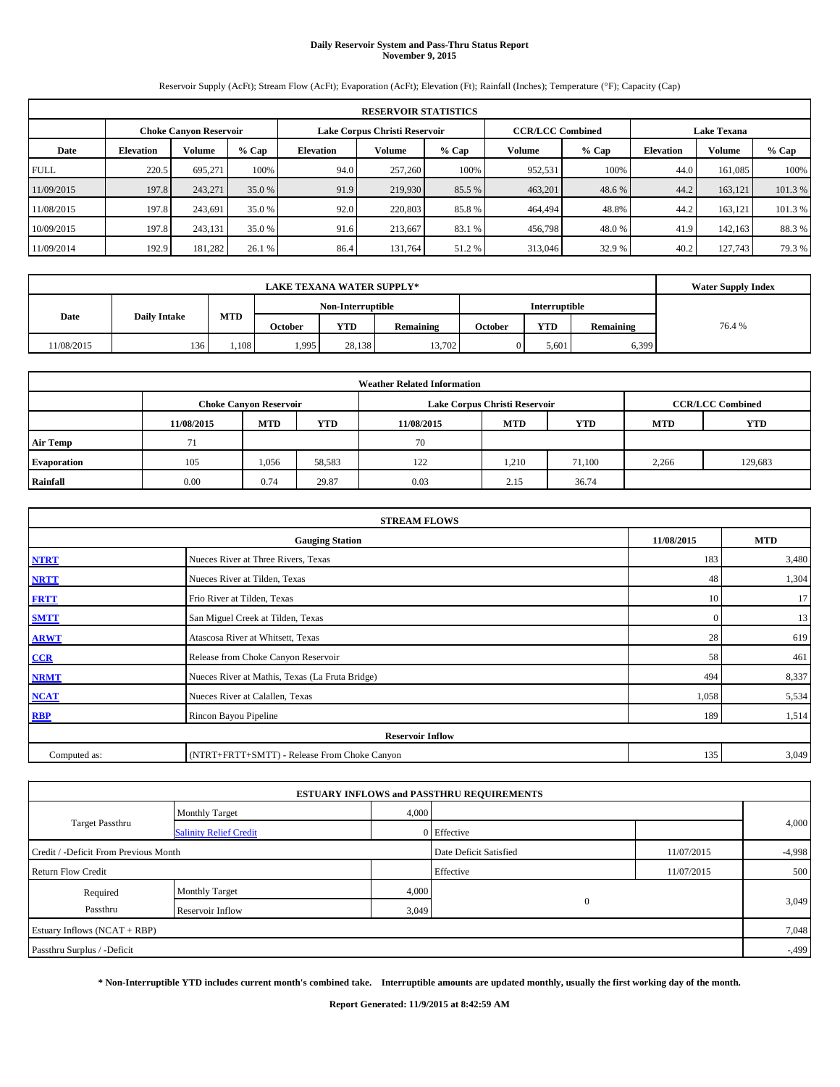### **Daily Reservoir System and Pass-Thru Status Report November 9, 2015**

Reservoir Supply (AcFt); Stream Flow (AcFt); Evaporation (AcFt); Elevation (Ft); Rainfall (Inches); Temperature (°F); Capacity (Cap)

|             | <b>RESERVOIR STATISTICS</b>                                                                                     |         |         |                  |               |         |         |         |                  |         |        |  |  |  |  |
|-------------|-----------------------------------------------------------------------------------------------------------------|---------|---------|------------------|---------------|---------|---------|---------|------------------|---------|--------|--|--|--|--|
|             | <b>CCR/LCC Combined</b><br>Lake Corpus Christi Reservoir<br><b>Lake Texana</b><br><b>Choke Canyon Reservoir</b> |         |         |                  |               |         |         |         |                  |         |        |  |  |  |  |
| Date        | <b>Elevation</b>                                                                                                | Volume  | $%$ Cap | <b>Elevation</b> | <b>Volume</b> | $%$ Cap | Volume  | $%$ Cap | <b>Elevation</b> | Volume  | % Cap  |  |  |  |  |
| <b>FULL</b> | 220.5                                                                                                           | 695.271 | 100%    | 94.0             | 257,260       | 100%    | 952,531 | 100%    | 44.0             | 161,085 | 100%   |  |  |  |  |
| 11/09/2015  | 197.8                                                                                                           | 243.271 | 35.0 %  | 91.9             | 219,930       | 85.5 %  | 463,201 | 48.6%   | 44.2             | 163.121 | 101.3% |  |  |  |  |
| 1/08/2015   | 197.8                                                                                                           | 243.691 | 35.0 %  | 92.0             | 220,803       | 85.8%   | 464,494 | 48.8%   | 44.2             | 163.121 | 101.3% |  |  |  |  |
| 10/09/2015  | 197.8                                                                                                           | 243.131 | 35.0 %  | 91.6             | 213,667       | 83.1 %  | 456,798 | 48.0 %  | 41.9             | 142,163 | 88.3%  |  |  |  |  |
| 11/09/2014  | 192.9                                                                                                           | 181,282 | 26.1 %  | 86.4             | 131.764       | 51.2 %  | 313,046 | 32.9 %  | 40.2             | 127,743 | 79.3%  |  |  |  |  |

|                                    | <b>LAKE TEXANA WATER SUPPLY*</b> |       |                |                   |           |         |                      |           |       |  |  |  |
|------------------------------------|----------------------------------|-------|----------------|-------------------|-----------|---------|----------------------|-----------|-------|--|--|--|
|                                    |                                  |       |                | Non-Interruptible |           |         | <b>Interruptible</b> |           |       |  |  |  |
| MTD<br>Date<br><b>Daily Intake</b> |                                  |       | <b>October</b> | <b>YTD</b>        | Remaining | October | <b>YTD</b>           | Remaining | 76.4% |  |  |  |
| 11/08/2015                         | 136                              | 1,108 | .995           | 28.138            | 13,702    |         | 5.601                | 6,399     |       |  |  |  |

| <b>Weather Related Information</b> |            |                                                                                           |            |            |            |            |            |            |  |  |  |  |  |
|------------------------------------|------------|-------------------------------------------------------------------------------------------|------------|------------|------------|------------|------------|------------|--|--|--|--|--|
|                                    |            | <b>CCR/LCC Combined</b><br>Lake Corpus Christi Reservoir<br><b>Choke Canyon Reservoir</b> |            |            |            |            |            |            |  |  |  |  |  |
|                                    | 11/08/2015 | <b>MTD</b>                                                                                | <b>YTD</b> | 11/08/2015 | <b>MTD</b> | <b>YTD</b> | <b>MTD</b> | <b>YTD</b> |  |  |  |  |  |
| <b>Air Temp</b>                    |            |                                                                                           |            | 70         |            |            |            |            |  |  |  |  |  |
| <b>Evaporation</b>                 | 105        | 1,056                                                                                     | 58,583     | 122        | 1,210      | 71.100     | 2,266      | 129,683    |  |  |  |  |  |
| Rainfall                           | 0.00       | 0.74                                                                                      | 29.87      | 0.03       | 2.15       | 36.74      |            |            |  |  |  |  |  |

|              | <b>STREAM FLOWS</b>                                |              |       |  |  |  |  |  |  |  |
|--------------|----------------------------------------------------|--------------|-------|--|--|--|--|--|--|--|
|              | 11/08/2015<br><b>MTD</b><br><b>Gauging Station</b> |              |       |  |  |  |  |  |  |  |
| <b>NTRT</b>  | Nueces River at Three Rivers, Texas                | 183          | 3,480 |  |  |  |  |  |  |  |
| <b>NRTT</b>  | Nueces River at Tilden, Texas                      | 48           | 1,304 |  |  |  |  |  |  |  |
| <b>FRTT</b>  | Frio River at Tilden, Texas                        | 10           | 17    |  |  |  |  |  |  |  |
| <b>SMTT</b>  | San Miguel Creek at Tilden, Texas                  | $\mathbf{0}$ | 13    |  |  |  |  |  |  |  |
| <b>ARWT</b>  | Atascosa River at Whitsett, Texas                  | 28           | 619   |  |  |  |  |  |  |  |
| $CCR$        | Release from Choke Canyon Reservoir                | 58           | 461   |  |  |  |  |  |  |  |
| <b>NRMT</b>  | Nueces River at Mathis, Texas (La Fruta Bridge)    | 494          | 8,337 |  |  |  |  |  |  |  |
| <b>NCAT</b>  | Nueces River at Calallen, Texas                    | 1,058        | 5,534 |  |  |  |  |  |  |  |
| <b>RBP</b>   | Rincon Bayou Pipeline                              | 189          | 1,514 |  |  |  |  |  |  |  |
|              | <b>Reservoir Inflow</b>                            |              |       |  |  |  |  |  |  |  |
| Computed as: | (NTRT+FRTT+SMTT) - Release From Choke Canyon       | 135          | 3,049 |  |  |  |  |  |  |  |

|                                       |                               |       | <b>ESTUARY INFLOWS and PASSTHRU REQUIREMENTS</b> |            |          |
|---------------------------------------|-------------------------------|-------|--------------------------------------------------|------------|----------|
|                                       | <b>Monthly Target</b>         | 4,000 |                                                  |            |          |
| <b>Target Passthru</b>                | <b>Salinity Relief Credit</b> |       | 0 Effective                                      |            | 4,000    |
| Credit / -Deficit From Previous Month |                               |       | Date Deficit Satisfied                           | 11/07/2015 | $-4,998$ |
| <b>Return Flow Credit</b>             |                               |       | Effective                                        | 11/07/2015 | 500      |
| Required                              | <b>Monthly Target</b>         | 4,000 |                                                  |            |          |
| Passthru                              | Reservoir Inflow              | 3,049 | $\mathbf{0}$                                     |            | 3,049    |
| Estuary Inflows (NCAT + RBP)          |                               |       |                                                  |            | 7,048    |
| Passthru Surplus / -Deficit           |                               |       |                                                  |            | $-0.499$ |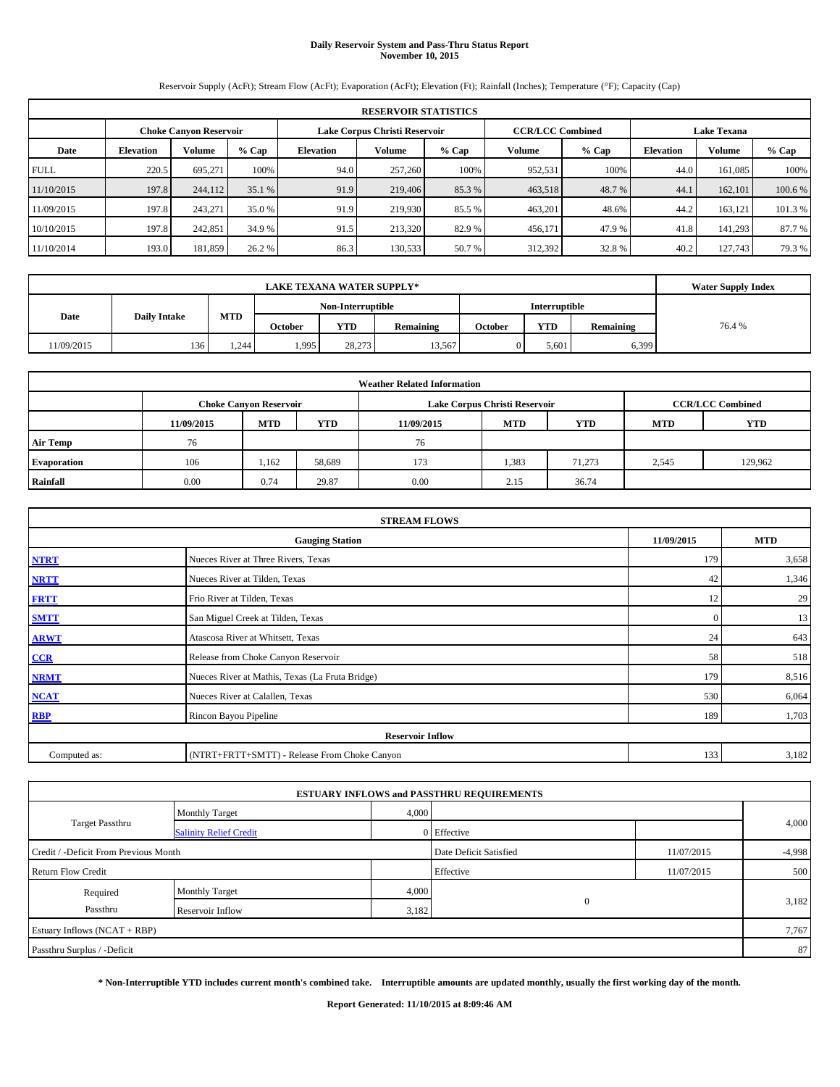# **Daily Reservoir System and Pass-Thru Status Report November 10, 2015**

Reservoir Supply (AcFt); Stream Flow (AcFt); Evaporation (AcFt); Elevation (Ft); Rainfall (Inches); Temperature (°F); Capacity (Cap)

|             | <b>RESERVOIR STATISTICS</b>                                                                                     |         |         |                  |               |         |         |         |                  |         |         |  |  |  |  |
|-------------|-----------------------------------------------------------------------------------------------------------------|---------|---------|------------------|---------------|---------|---------|---------|------------------|---------|---------|--|--|--|--|
|             | <b>CCR/LCC Combined</b><br>Lake Corpus Christi Reservoir<br><b>Lake Texana</b><br><b>Choke Canyon Reservoir</b> |         |         |                  |               |         |         |         |                  |         |         |  |  |  |  |
| Date        | <b>Elevation</b>                                                                                                | Volume  | $%$ Cap | <b>Elevation</b> | <b>Volume</b> | $%$ Cap | Volume  | $%$ Cap | <b>Elevation</b> | Volume  | % Cap   |  |  |  |  |
| <b>FULL</b> | 220.5                                                                                                           | 695.271 | 100%    | 94.0             | 257,260       | 100%    | 952,531 | 100%    | 44.0             | 161,085 | 100%    |  |  |  |  |
| 11/10/2015  | 197.8                                                                                                           | 244,112 | 35.1 %  | 91.9             | 219,406       | 85.3 %  | 463,518 | 48.7 %  | 44.1             | 162,101 | 100.6 % |  |  |  |  |
| 11/09/2015  | 197.8                                                                                                           | 243.271 | 35.0 %  | 91.9             | 219,930       | 85.5 %  | 463,201 | 48.6%   | 44.2             | 163.121 | 101.3%  |  |  |  |  |
| 10/10/2015  | 197.8                                                                                                           | 242,851 | 34.9 %  | 91.5             | 213,320       | 82.9 %  | 456,171 | 47.9 %  | 41.8             | 141.293 | 87.7 %  |  |  |  |  |
| 11/10/2014  | 193.0                                                                                                           | 181,859 | 26.2 %  | 86.3             | 130,533       | 50.7 %  | 312,392 | 32.8%   | 40.2             | 127,743 | 79.3%   |  |  |  |  |

|                                    | <b>Water Supply Index</b> |       |                |                   |           |         |                      |           |       |
|------------------------------------|---------------------------|-------|----------------|-------------------|-----------|---------|----------------------|-----------|-------|
|                                    |                           |       |                | Non-Interruptible |           |         | <b>Interruptible</b> |           |       |
| MTD<br>Date<br><b>Daily Intake</b> |                           |       | <b>October</b> | <b>YTD</b>        | Remaining | October | <b>YTD</b>           | Remaining | 76.4% |
| 11/09/2015                         | 136                       | 1.244 | 1,995          | 28.273            | 13,567    |         | 5.601                | 6,399     |       |

|                 |            |                                                                                           |            | <b>Weather Related Information</b> |            |            |            |            |  |  |  |  |  |
|-----------------|------------|-------------------------------------------------------------------------------------------|------------|------------------------------------|------------|------------|------------|------------|--|--|--|--|--|
|                 |            | <b>CCR/LCC Combined</b><br>Lake Corpus Christi Reservoir<br><b>Choke Canyon Reservoir</b> |            |                                    |            |            |            |            |  |  |  |  |  |
|                 | 11/09/2015 | <b>MTD</b>                                                                                | <b>YTD</b> | 11/09/2015                         | <b>MTD</b> | <b>YTD</b> | <b>MTD</b> | <b>YTD</b> |  |  |  |  |  |
| <b>Air Temp</b> | 76         |                                                                                           |            | 76                                 |            |            |            |            |  |  |  |  |  |
| Evaporation     | 106        | .162                                                                                      | 58,689     | 173                                | 1,383      | 71,273     | 2,545      | 129,962    |  |  |  |  |  |
| Rainfall        | 0.00       | 0.74                                                                                      | 29.87      | 0.00                               | 2.15       | 36.74      |            |            |  |  |  |  |  |

| <b>STREAM FLOWS</b> |                                                 |              |            |  |  |  |  |  |  |  |
|---------------------|-------------------------------------------------|--------------|------------|--|--|--|--|--|--|--|
|                     | <b>Gauging Station</b>                          | 11/09/2015   | <b>MTD</b> |  |  |  |  |  |  |  |
| <b>NTRT</b>         | Nueces River at Three Rivers, Texas             | 179          | 3,658      |  |  |  |  |  |  |  |
| <b>NRTT</b>         | Nueces River at Tilden, Texas                   | 42           | 1,346      |  |  |  |  |  |  |  |
| <b>FRTT</b>         | Frio River at Tilden, Texas                     | 12           | 29         |  |  |  |  |  |  |  |
| <b>SMTT</b>         | San Miguel Creek at Tilden, Texas               | $\mathbf{0}$ | 13         |  |  |  |  |  |  |  |
| <b>ARWT</b>         | Atascosa River at Whitsett, Texas               | 24           | 643        |  |  |  |  |  |  |  |
| $CCR$               | Release from Choke Canyon Reservoir             | 58           | 518        |  |  |  |  |  |  |  |
| <b>NRMT</b>         | Nueces River at Mathis, Texas (La Fruta Bridge) | 179          | 8,516      |  |  |  |  |  |  |  |
| <b>NCAT</b>         | Nueces River at Calallen, Texas                 | 530          | 6,064      |  |  |  |  |  |  |  |
| <b>RBP</b>          | Rincon Bayou Pipeline                           | 189          | 1,703      |  |  |  |  |  |  |  |
|                     | <b>Reservoir Inflow</b>                         |              |            |  |  |  |  |  |  |  |
| Computed as:        | (NTRT+FRTT+SMTT) - Release From Choke Canyon    | 133          | 3,182      |  |  |  |  |  |  |  |

|                                       |                               |                        | <b>ESTUARY INFLOWS and PASSTHRU REQUIREMENTS</b> |            |       |  |
|---------------------------------------|-------------------------------|------------------------|--------------------------------------------------|------------|-------|--|
|                                       | <b>Monthly Target</b>         | 4,000                  |                                                  |            |       |  |
| <b>Target Passthru</b>                | <b>Salinity Relief Credit</b> |                        | 0 Effective                                      |            | 4,000 |  |
| Credit / -Deficit From Previous Month |                               | Date Deficit Satisfied | 11/07/2015                                       | $-4,998$   |       |  |
| <b>Return Flow Credit</b>             |                               |                        | Effective                                        | 11/07/2015 | 500   |  |
| Required                              | Monthly Target                | 4,000                  |                                                  |            |       |  |
| Passthru                              | Reservoir Inflow              | 3,182                  | $\mathbf{0}$                                     |            | 3,182 |  |
| Estuary Inflows (NCAT + RBP)          |                               |                        |                                                  |            | 7,767 |  |
| Passthru Surplus / -Deficit           |                               |                        |                                                  |            | 87    |  |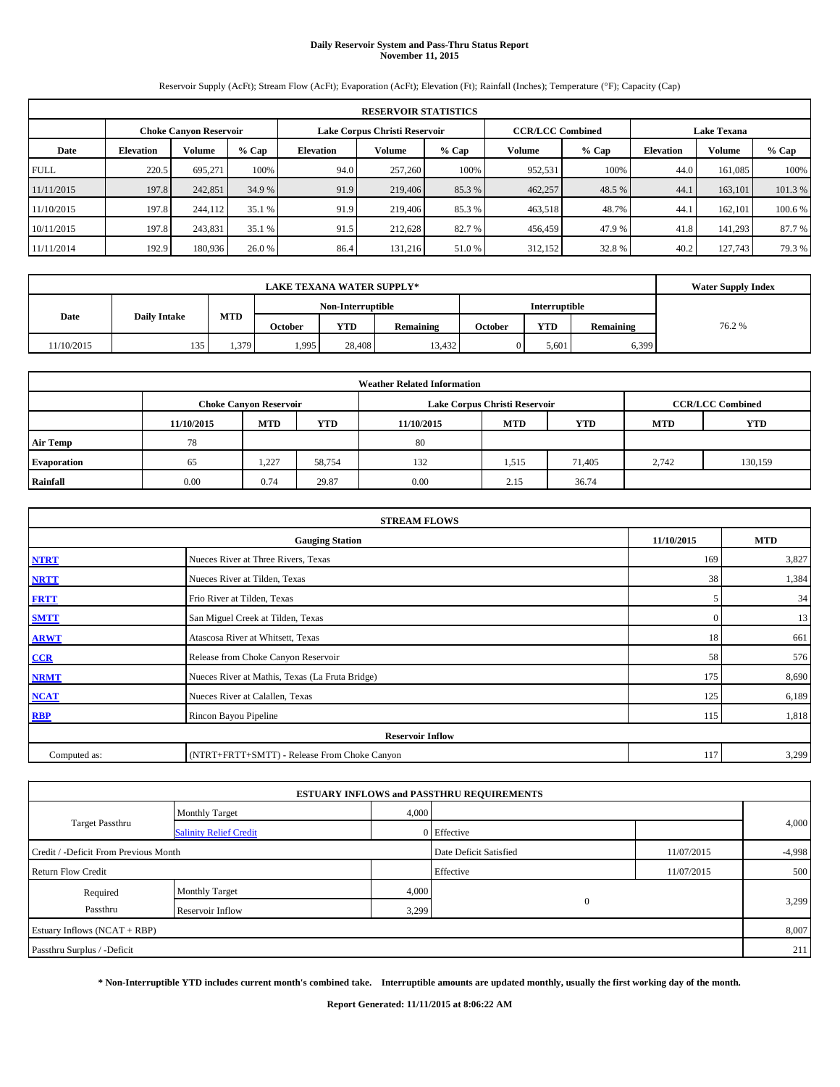# **Daily Reservoir System and Pass-Thru Status Report November 11, 2015**

Reservoir Supply (AcFt); Stream Flow (AcFt); Evaporation (AcFt); Elevation (Ft); Rainfall (Inches); Temperature (°F); Capacity (Cap)

|             | <b>RESERVOIR STATISTICS</b> |                        |         |                  |                               |         |                         |         |                    |         |         |  |
|-------------|-----------------------------|------------------------|---------|------------------|-------------------------------|---------|-------------------------|---------|--------------------|---------|---------|--|
|             |                             | Choke Canvon Reservoir |         |                  | Lake Corpus Christi Reservoir |         | <b>CCR/LCC Combined</b> |         | <b>Lake Texana</b> |         |         |  |
| Date        | <b>Elevation</b>            | Volume                 | $%$ Cap | <b>Elevation</b> | Volume                        | $%$ Cap | Volume                  | $%$ Cap | <b>Elevation</b>   | Volume  | $%$ Cap |  |
| <b>FULL</b> | 220.5                       | 695,271                | 100%    | 94.0             | 257,260                       | 100%    | 952,531                 | 100%    | 44.0               | 161.085 | 100%    |  |
| 11/11/2015  | 197.8                       | 242,851                | 34.9 %  | 91.9             | 219,406                       | 85.3%   | 462,257                 | 48.5 %  | 44.                | 163,101 | 101.3%  |  |
| 11/10/2015  | 197.8                       | 244,112                | 35.1 %  | 91.9             | 219,406                       | 85.3 %  | 463,518                 | 48.7%   | 44.                | 162,101 | 100.6%  |  |
| 10/11/2015  | 197.8                       | 243,831                | 35.1 %  | 91.5             | 212.628                       | 82.7%   | 456,459                 | 47.9 %  | 41.8               | 141.293 | 87.7%   |  |
| 11/11/2014  | 192.9                       | 180,936                | 26.0 %  | 86.4             | 131,216                       | 51.0%   | 312,152                 | 32.8%   | 40.2               | 127,743 | 79.3 %  |  |

| <b>LAKE TEXANA WATER SUPPLY*</b> |                     |       |         |                   |           |         |                      |           | <b>Water Supply Index</b> |
|----------------------------------|---------------------|-------|---------|-------------------|-----------|---------|----------------------|-----------|---------------------------|
|                                  |                     |       |         | Non-Interruptible |           |         | <b>Interruptible</b> |           |                           |
| Date                             | <b>Daily Intake</b> | MTD   | October | YTD               | Remaining | October | YTD                  | Remaining | 76.2%                     |
| 11/10/2015                       | 135                 | 1,379 | 1,995   | 28,408            | 13.432    |         | 5,601                | 6,399     |                           |

| <b>Weather Related Information</b> |            |                               |            |            |                               |                         |            |            |  |  |  |
|------------------------------------|------------|-------------------------------|------------|------------|-------------------------------|-------------------------|------------|------------|--|--|--|
|                                    |            | <b>Choke Canyon Reservoir</b> |            |            | Lake Corpus Christi Reservoir | <b>CCR/LCC Combined</b> |            |            |  |  |  |
|                                    | 11/10/2015 | <b>MTD</b>                    | <b>YTD</b> | 11/10/2015 | <b>MTD</b>                    | <b>YTD</b>              | <b>MTD</b> | <b>YTD</b> |  |  |  |
| <b>Air Temp</b>                    | 78         |                               |            | 80         |                               |                         |            |            |  |  |  |
| Evaporation                        | 65         | 1,227                         | 58,754     | 132        | 1,515                         | 71,405                  | 2,742      | 130,159    |  |  |  |
| Rainfall                           | 0.00       | 0.74                          | 29.87      | 0.00       | 2.15                          | 36.74                   |            |            |  |  |  |

| <b>STREAM FLOWS</b> |                                                 |              |            |  |  |  |  |  |  |  |
|---------------------|-------------------------------------------------|--------------|------------|--|--|--|--|--|--|--|
|                     | <b>Gauging Station</b>                          | 11/10/2015   | <b>MTD</b> |  |  |  |  |  |  |  |
| <b>NTRT</b>         | Nueces River at Three Rivers, Texas             | 169          | 3,827      |  |  |  |  |  |  |  |
| <b>NRTT</b>         | Nueces River at Tilden, Texas                   | 38           | 1,384      |  |  |  |  |  |  |  |
| <b>FRTT</b>         | Frio River at Tilden, Texas                     | 5            | 34         |  |  |  |  |  |  |  |
| <b>SMTT</b>         | San Miguel Creek at Tilden, Texas               | $\mathbf{0}$ | 13         |  |  |  |  |  |  |  |
| <b>ARWT</b>         | Atascosa River at Whitsett, Texas               | 18           | 661        |  |  |  |  |  |  |  |
| CCR                 | Release from Choke Canyon Reservoir             | 58           | 576        |  |  |  |  |  |  |  |
| <b>NRMT</b>         | Nueces River at Mathis, Texas (La Fruta Bridge) | 175          | 8,690      |  |  |  |  |  |  |  |
| <b>NCAT</b>         | Nueces River at Calallen, Texas                 | 125          | 6,189      |  |  |  |  |  |  |  |
| <b>RBP</b>          | Rincon Bayou Pipeline                           | 115          | 1,818      |  |  |  |  |  |  |  |
|                     | <b>Reservoir Inflow</b>                         |              |            |  |  |  |  |  |  |  |
| Computed as:        | (NTRT+FRTT+SMTT) - Release From Choke Canyon    |              |            |  |  |  |  |  |  |  |

| <b>ESTUARY INFLOWS and PASSTHRU REQUIREMENTS</b> |                               |                        |              |            |       |  |  |  |  |  |  |
|--------------------------------------------------|-------------------------------|------------------------|--------------|------------|-------|--|--|--|--|--|--|
|                                                  | <b>Monthly Target</b>         | 4,000                  |              |            |       |  |  |  |  |  |  |
| Target Passthru                                  | <b>Salinity Relief Credit</b> |                        | 0 Effective  |            | 4,000 |  |  |  |  |  |  |
| Credit / -Deficit From Previous Month            |                               | Date Deficit Satisfied | 11/07/2015   | $-4,998$   |       |  |  |  |  |  |  |
| <b>Return Flow Credit</b>                        |                               |                        | Effective    | 11/07/2015 | 500   |  |  |  |  |  |  |
| Required                                         | Monthly Target                | 4,000                  |              |            |       |  |  |  |  |  |  |
| Passthru                                         | Reservoir Inflow              | 3,299                  | $\mathbf{0}$ |            | 3,299 |  |  |  |  |  |  |
| Estuary Inflows (NCAT + RBP)                     |                               |                        |              |            | 8,007 |  |  |  |  |  |  |
| Passthru Surplus / -Deficit                      |                               |                        |              |            |       |  |  |  |  |  |  |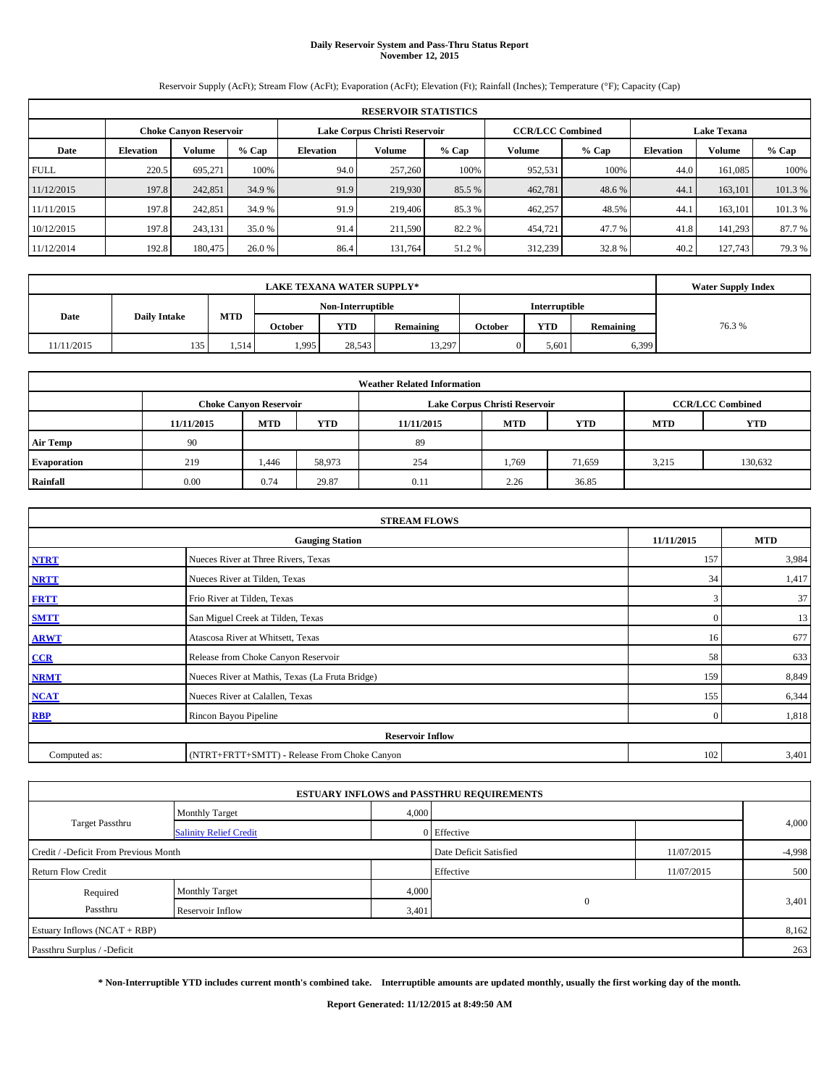# **Daily Reservoir System and Pass-Thru Status Report November 12, 2015**

Reservoir Supply (AcFt); Stream Flow (AcFt); Evaporation (AcFt); Elevation (Ft); Rainfall (Inches); Temperature (°F); Capacity (Cap)

|             | <b>RESERVOIR STATISTICS</b>                                    |         |         |                  |                         |         |         |                    |                  |               |         |  |  |
|-------------|----------------------------------------------------------------|---------|---------|------------------|-------------------------|---------|---------|--------------------|------------------|---------------|---------|--|--|
|             | Lake Corpus Christi Reservoir<br><b>Choke Canyon Reservoir</b> |         |         |                  | <b>CCR/LCC Combined</b> |         |         | <b>Lake Texana</b> |                  |               |         |  |  |
| Date        | <b>Elevation</b>                                               | Volume  | $%$ Cap | <b>Elevation</b> | Volume                  | $%$ Cap | Volume  | $%$ Cap            | <b>Elevation</b> | <b>Volume</b> | $%$ Cap |  |  |
| <b>FULL</b> | 220.5                                                          | 695.271 | 100%    | 94.0             | 257,260                 | 100%    | 952,531 | 100%               | 44.0             | 161.085       | 100%    |  |  |
| 11/12/2015  | 197.8                                                          | 242,851 | 34.9 %  | 91.9             | 219,930                 | 85.5 %  | 462,781 | 48.6%              | 44.1             | 163,101       | 101.3 % |  |  |
| 11/11/2015  | 197.8                                                          | 242,851 | 34.9 %  | 91.9             | 219,406                 | 85.3 %  | 462,257 | 48.5%              | 44.1             | 163.101       | 101.3 % |  |  |
| 10/12/2015  | 197.8                                                          | 243,131 | 35.0 %  | 91.4             | 211.590                 | 82.2 %  | 454,721 | 47.7%              | 41.8             | 141,293       | 87.7 %  |  |  |
| 11/12/2014  | 192.8                                                          | 180,475 | 26.0 %  | 86.4             | 131.764                 | 51.2 %  | 312,239 | 32.8%              | 40.2             | 127,743       | 79.3%   |  |  |

| <b>LAKE TEXANA WATER SUPPLY*</b> |                     |            |         |            |                  |                      |            |           | <b>Water Supply Index</b> |
|----------------------------------|---------------------|------------|---------|------------|------------------|----------------------|------------|-----------|---------------------------|
|                                  | Non-Interruptible   |            |         |            |                  | <b>Interruptible</b> |            |           |                           |
| Date                             | <b>Daily Intake</b> | <b>MTD</b> | October | <b>YTD</b> | <b>Remaining</b> | October              | <b>YTD</b> | Remaining | 76.3%                     |
| 11/11/2015                       | 135                 | 1.514      | 1,995   | 28.543     | 13,297           |                      | 5,601      | 6,399     |                           |

| <b>Weather Related Information</b> |            |                               |            |            |                               |                         |            |            |  |  |  |
|------------------------------------|------------|-------------------------------|------------|------------|-------------------------------|-------------------------|------------|------------|--|--|--|
|                                    |            | <b>Choke Canyon Reservoir</b> |            |            | Lake Corpus Christi Reservoir | <b>CCR/LCC Combined</b> |            |            |  |  |  |
|                                    | 11/11/2015 | <b>MTD</b>                    | <b>YTD</b> | 11/11/2015 | <b>MTD</b>                    | <b>YTD</b>              | <b>MTD</b> | <b>YTD</b> |  |  |  |
| <b>Air Temp</b>                    | 90         |                               |            | 89         |                               |                         |            |            |  |  |  |
| Evaporation                        | 219        | 1,446                         | 58,973     | 254        | 1,769                         | 71,659                  | 3,215      | 130,632    |  |  |  |
| Rainfall                           | 0.00       | 0.74                          | 29.87      | 0.11       | 2.26                          | 36.85                   |            |            |  |  |  |

|              | <b>STREAM FLOWS</b>                             |              |            |  |  |  |  |  |  |  |
|--------------|-------------------------------------------------|--------------|------------|--|--|--|--|--|--|--|
|              | <b>Gauging Station</b>                          | 11/11/2015   | <b>MTD</b> |  |  |  |  |  |  |  |
| <b>NTRT</b>  | Nueces River at Three Rivers, Texas             | 157          | 3,984      |  |  |  |  |  |  |  |
| <b>NRTT</b>  | Nueces River at Tilden, Texas                   | 34           | 1,417      |  |  |  |  |  |  |  |
| <b>FRTT</b>  | Frio River at Tilden, Texas                     | 3            | 37         |  |  |  |  |  |  |  |
| <b>SMTT</b>  | San Miguel Creek at Tilden, Texas               | $\mathbf{0}$ | 13         |  |  |  |  |  |  |  |
| <b>ARWT</b>  | Atascosa River at Whitsett, Texas               | 16           | 677        |  |  |  |  |  |  |  |
| $CCR$        | Release from Choke Canyon Reservoir             | 58           | 633        |  |  |  |  |  |  |  |
| <b>NRMT</b>  | Nueces River at Mathis, Texas (La Fruta Bridge) | 159          | 8,849      |  |  |  |  |  |  |  |
| <b>NCAT</b>  | Nueces River at Calallen, Texas                 | 155          | 6,344      |  |  |  |  |  |  |  |
| <b>RBP</b>   | Rincon Bayou Pipeline                           | $\Omega$     | 1,818      |  |  |  |  |  |  |  |
|              | <b>Reservoir Inflow</b>                         |              |            |  |  |  |  |  |  |  |
| Computed as: | (NTRT+FRTT+SMTT) - Release From Choke Canyon    | 102          | 3,401      |  |  |  |  |  |  |  |

|                                       |                               |                        | <b>ESTUARY INFLOWS and PASSTHRU REQUIREMENTS</b> |            |       |  |
|---------------------------------------|-------------------------------|------------------------|--------------------------------------------------|------------|-------|--|
|                                       | <b>Monthly Target</b>         | 4,000                  |                                                  |            |       |  |
| <b>Target Passthru</b>                | <b>Salinity Relief Credit</b> |                        | 0 Effective                                      |            | 4,000 |  |
| Credit / -Deficit From Previous Month |                               | Date Deficit Satisfied | 11/07/2015                                       | $-4,998$   |       |  |
| <b>Return Flow Credit</b>             |                               |                        | Effective                                        | 11/07/2015 | 500   |  |
| Required                              | Monthly Target                | 4,000                  |                                                  |            |       |  |
| Passthru                              | Reservoir Inflow              | 3,401                  | $\mathbf{0}$                                     |            | 3,401 |  |
| Estuary Inflows (NCAT + RBP)          |                               |                        |                                                  |            | 8,162 |  |
| Passthru Surplus / -Deficit           |                               |                        |                                                  |            | 263   |  |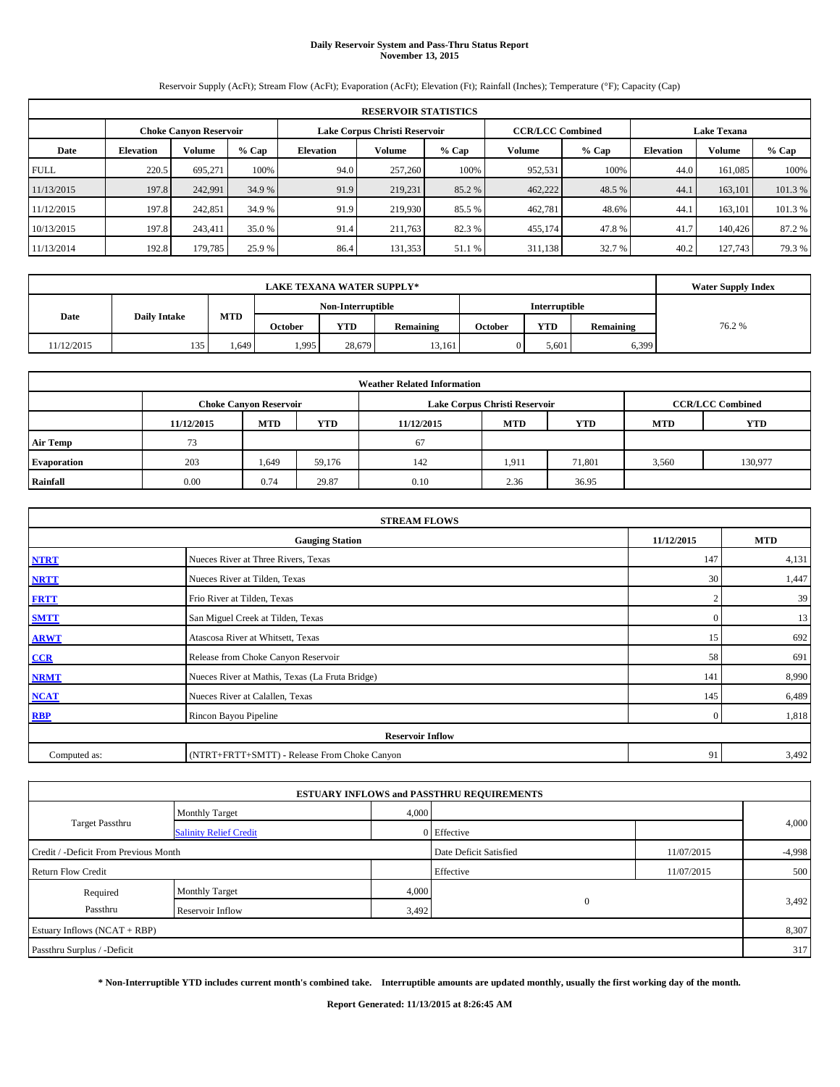# **Daily Reservoir System and Pass-Thru Status Report November 13, 2015**

Reservoir Supply (AcFt); Stream Flow (AcFt); Evaporation (AcFt); Elevation (Ft); Rainfall (Inches); Temperature (°F); Capacity (Cap)

| <b>RESERVOIR STATISTICS</b> |                                                                                    |         |         |                  |         |         |         |         |                  |         |         |
|-----------------------------|------------------------------------------------------------------------------------|---------|---------|------------------|---------|---------|---------|---------|------------------|---------|---------|
|                             | Lake Corpus Christi Reservoir<br><b>CCR/LCC Combined</b><br>Choke Canvon Reservoir |         |         |                  |         |         |         |         |                  |         |         |
| Date                        | <b>Elevation</b>                                                                   | Volume  | $%$ Cap | <b>Elevation</b> | Volume  | $%$ Cap | Volume  | $%$ Cap | <b>Elevation</b> | Volume  | $%$ Cap |
| <b>FULL</b>                 | 220.5                                                                              | 695,271 | 100%    | 94.0             | 257,260 | 100%    | 952,531 | 100%    | 44.0             | 161.085 | 100%    |
| 11/13/2015                  | 197.8                                                                              | 242,991 | 34.9 %  | 91.9             | 219,231 | 85.2 %  | 462,222 | 48.5 %  | 44.              | 163,101 | 101.3%  |
| 11/12/2015                  | 197.8                                                                              | 242,851 | 34.9 %  | 91.9             | 219,930 | 85.5 %  | 462,781 | 48.6%   | 44.              | 163.101 | 101.3%  |
| 10/13/2015                  | 197.8                                                                              | 243.411 | 35.0 %  | 91.4             | 211,763 | 82.3%   | 455,174 | 47.8%   | 41.7             | 140,426 | 87.2 %  |
| 11/13/2014                  | 192.8                                                                              | 179,785 | 25.9 %  | 86.4             | 131,353 | 51.1 %  | 311,138 | 32.7 %  | 40.2             | 127,743 | 79.3 %  |

|            | <b>Water Supply Index</b> |       |         |                   |           |         |               |           |       |
|------------|---------------------------|-------|---------|-------------------|-----------|---------|---------------|-----------|-------|
|            | <b>Daily Intake</b>       |       |         | Non-Interruptible |           |         | Interruptible |           |       |
| Date       |                           | MTD   | October | <b>YTD</b>        | Remaining | October | <b>YTD</b>    | Remaining | 76.2% |
| 11/12/2015 | 135                       | .,649 | 1,995   | 28,679            | 13,161    |         | 5,601         | 6,399     |       |

| <b>Weather Related Information</b> |            |                               |            |            |                               |                         |            |            |  |  |  |
|------------------------------------|------------|-------------------------------|------------|------------|-------------------------------|-------------------------|------------|------------|--|--|--|
|                                    |            | <b>Choke Canyon Reservoir</b> |            |            | Lake Corpus Christi Reservoir | <b>CCR/LCC Combined</b> |            |            |  |  |  |
|                                    | 11/12/2015 | <b>MTD</b>                    | <b>YTD</b> | 11/12/2015 | <b>MTD</b>                    | <b>YTD</b>              | <b>MTD</b> | <b>YTD</b> |  |  |  |
| <b>Air Temp</b>                    | 73         |                               |            | 67         |                               |                         |            |            |  |  |  |
| <b>Evaporation</b>                 | 203        | 1,649                         | 59,176     | 142        | 1,911                         | 71,801                  | 3,560      | 130,977    |  |  |  |
| Rainfall                           | 0.00       | 0.74                          | 29.87      | 0.10       | 2.36                          | 36.95                   |            |            |  |  |  |

| <b>STREAM FLOWS</b> |                                                 |                |            |  |  |  |  |  |  |
|---------------------|-------------------------------------------------|----------------|------------|--|--|--|--|--|--|
|                     | <b>Gauging Station</b>                          | 11/12/2015     | <b>MTD</b> |  |  |  |  |  |  |
| <b>NTRT</b>         | Nueces River at Three Rivers, Texas             | 147            | 4,131      |  |  |  |  |  |  |
| <b>NRTT</b>         | Nueces River at Tilden, Texas                   | 30             | 1,447      |  |  |  |  |  |  |
| <b>FRTT</b>         | Frio River at Tilden, Texas                     |                | 39         |  |  |  |  |  |  |
| <b>SMTT</b>         | San Miguel Creek at Tilden, Texas               | $\mathbf{0}$   | 13         |  |  |  |  |  |  |
| <b>ARWT</b>         | Atascosa River at Whitsett, Texas               | 15             | 692        |  |  |  |  |  |  |
| CCR                 | Release from Choke Canyon Reservoir             | 58             | 691        |  |  |  |  |  |  |
| <b>NRMT</b>         | Nueces River at Mathis, Texas (La Fruta Bridge) | 141            | 8,990      |  |  |  |  |  |  |
| <b>NCAT</b>         | Nueces River at Calallen, Texas                 | 145            | 6,489      |  |  |  |  |  |  |
| <b>RBP</b>          | Rincon Bayou Pipeline                           | $\overline{0}$ | 1,818      |  |  |  |  |  |  |
|                     | <b>Reservoir Inflow</b>                         |                |            |  |  |  |  |  |  |
| Computed as:        | (NTRT+FRTT+SMTT) - Release From Choke Canyon    |                |            |  |  |  |  |  |  |

|                                       |                               |       | <b>ESTUARY INFLOWS and PASSTHRU REQUIREMENTS</b> |            |          |  |  |
|---------------------------------------|-------------------------------|-------|--------------------------------------------------|------------|----------|--|--|
|                                       | <b>Monthly Target</b>         | 4,000 |                                                  |            |          |  |  |
| Target Passthru                       | <b>Salinity Relief Credit</b> |       | 0 Effective                                      |            | 4,000    |  |  |
| Credit / -Deficit From Previous Month |                               |       | Date Deficit Satisfied                           | 11/07/2015 | $-4,998$ |  |  |
| <b>Return Flow Credit</b>             |                               |       | Effective                                        | 11/07/2015 | 500      |  |  |
| Required                              | Monthly Target                | 4,000 |                                                  |            |          |  |  |
| Passthru                              | Reservoir Inflow              | 3,492 | $\mathbf{0}$                                     |            | 3,492    |  |  |
| Estuary Inflows (NCAT + RBP)          |                               |       |                                                  |            | 8,307    |  |  |
| Passthru Surplus / -Deficit           |                               |       |                                                  |            |          |  |  |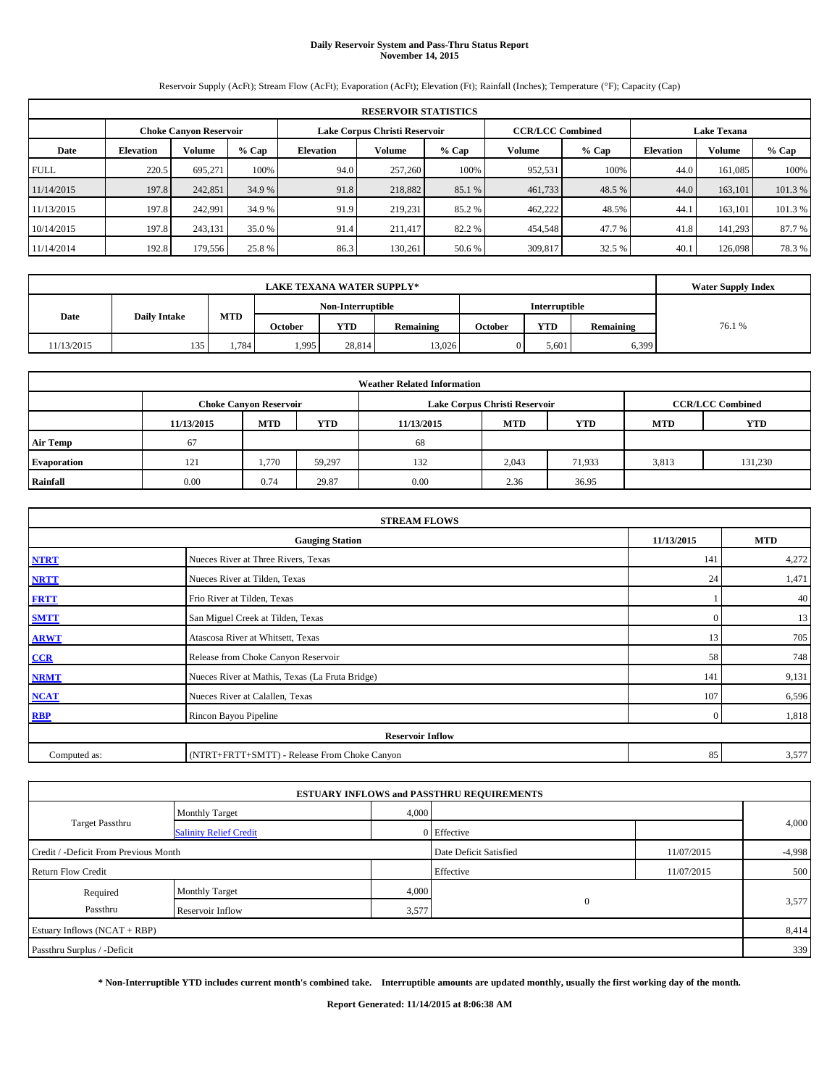# **Daily Reservoir System and Pass-Thru Status Report November 14, 2015**

Reservoir Supply (AcFt); Stream Flow (AcFt); Evaporation (AcFt); Elevation (Ft); Rainfall (Inches); Temperature (°F); Capacity (Cap)

| <b>RESERVOIR STATISTICS</b> |                                                                                                          |         |         |                  |         |         |         |         |                  |         |         |
|-----------------------------|----------------------------------------------------------------------------------------------------------|---------|---------|------------------|---------|---------|---------|---------|------------------|---------|---------|
|                             | Lake Corpus Christi Reservoir<br><b>CCR/LCC Combined</b><br><b>Lake Texana</b><br>Choke Canvon Reservoir |         |         |                  |         |         |         |         |                  |         |         |
| Date                        | <b>Elevation</b>                                                                                         | Volume  | $%$ Cap | <b>Elevation</b> | Volume  | $%$ Cap | Volume  | $%$ Cap | <b>Elevation</b> | Volume  | $%$ Cap |
| <b>FULL</b>                 | 220.5                                                                                                    | 695.271 | 100%    | 94.0             | 257,260 | 100%    | 952,531 | 100%    | 44.0             | 161.085 | 100%    |
| 11/14/2015                  | 197.8                                                                                                    | 242,851 | 34.9 %  | 91.8             | 218,882 | 85.1 %  | 461,733 | 48.5 %  | 44.0             | 163,101 | 101.3%  |
| 11/13/2015                  | 197.8                                                                                                    | 242.991 | 34.9 %  | 91.9             | 219.231 | 85.2 %  | 462,222 | 48.5%   | 44.              | 163.101 | 101.3%  |
| 10/14/2015                  | 197.8                                                                                                    | 243,131 | 35.0 %  | 91.4             | 211,417 | 82.2 %  | 454,548 | 47.7 %  | 41.8             | 141.293 | 87.7%   |
| 11/14/2014                  | 192.8                                                                                                    | 179,556 | 25.8 %  | 86.3             | 130.261 | 50.6 %  | 309,817 | 32.5 %  | 40.1             | 126,098 | 78.3 %  |

|            | <b>Water Supply Index</b> |       |         |                   |           |         |                      |           |        |
|------------|---------------------------|-------|---------|-------------------|-----------|---------|----------------------|-----------|--------|
|            | <b>Daily Intake</b>       |       |         | Non-Interruptible |           |         | <b>Interruptible</b> |           |        |
| Date       |                           | MTD   | October | YTD               | Remaining | October | YTD                  | Remaining | 76.1 % |
| 11/13/2015 | 135                       | 1.784 | ۔ 995،  | 28.814            | 13.026    |         | 5,601                | 6,399     |        |

| <b>Weather Related Information</b> |            |                               |            |            |                               |                         |       |         |  |  |  |
|------------------------------------|------------|-------------------------------|------------|------------|-------------------------------|-------------------------|-------|---------|--|--|--|
|                                    |            | <b>Choke Canyon Reservoir</b> |            |            | Lake Corpus Christi Reservoir | <b>CCR/LCC Combined</b> |       |         |  |  |  |
|                                    | 11/13/2015 | <b>MTD</b>                    | <b>YTD</b> | 11/13/2015 | <b>MTD</b>                    | <b>YTD</b>              |       |         |  |  |  |
| <b>Air Temp</b>                    | 67         |                               |            | 68         |                               |                         |       |         |  |  |  |
| Evaporation                        | 121        | 1.770                         | 59.297     | 132        | 2,043                         | 71,933                  | 3,813 | 131,230 |  |  |  |
| Rainfall                           | 0.00       | 0.74                          | 29.87      | 0.00       | 2.36                          | 36.95                   |       |         |  |  |  |

| <b>STREAM FLOWS</b> |                                                    |              |       |  |  |  |  |  |  |  |
|---------------------|----------------------------------------------------|--------------|-------|--|--|--|--|--|--|--|
|                     | 11/13/2015<br><b>MTD</b><br><b>Gauging Station</b> |              |       |  |  |  |  |  |  |  |
| <b>NTRT</b>         | Nueces River at Three Rivers, Texas                | 141          | 4,272 |  |  |  |  |  |  |  |
| <b>NRTT</b>         | Nueces River at Tilden, Texas                      | 24           | 1,471 |  |  |  |  |  |  |  |
| <b>FRTT</b>         | Frio River at Tilden, Texas                        |              | 40    |  |  |  |  |  |  |  |
| <b>SMTT</b>         | San Miguel Creek at Tilden, Texas                  | $\mathbf{0}$ | 13    |  |  |  |  |  |  |  |
| <b>ARWT</b>         | Atascosa River at Whitsett, Texas                  | 13           | 705   |  |  |  |  |  |  |  |
| CCR                 | Release from Choke Canyon Reservoir                | 58           | 748   |  |  |  |  |  |  |  |
| <b>NRMT</b>         | Nueces River at Mathis, Texas (La Fruta Bridge)    | 141          | 9,131 |  |  |  |  |  |  |  |
| <b>NCAT</b>         | Nueces River at Calallen, Texas                    | 107          | 6,596 |  |  |  |  |  |  |  |
| <b>RBP</b>          | Rincon Bayou Pipeline                              | $\Omega$     | 1,818 |  |  |  |  |  |  |  |
|                     | <b>Reservoir Inflow</b>                            |              |       |  |  |  |  |  |  |  |
| Computed as:        | (NTRT+FRTT+SMTT) - Release From Choke Canyon       |              |       |  |  |  |  |  |  |  |

|                                       |                               |       | <b>ESTUARY INFLOWS and PASSTHRU REQUIREMENTS</b> |            |          |
|---------------------------------------|-------------------------------|-------|--------------------------------------------------|------------|----------|
|                                       | <b>Monthly Target</b>         | 4,000 |                                                  |            |          |
| Target Passthru                       | <b>Salinity Relief Credit</b> |       | 0 Effective                                      |            | 4,000    |
| Credit / -Deficit From Previous Month |                               |       | Date Deficit Satisfied                           | 11/07/2015 | $-4,998$ |
| <b>Return Flow Credit</b>             |                               |       | Effective                                        | 11/07/2015 | 500      |
| Required                              | <b>Monthly Target</b>         | 4,000 |                                                  |            |          |
| Passthru                              | Reservoir Inflow              | 3,577 | $\mathbf{0}$                                     |            | 3,577    |
| Estuary Inflows (NCAT + RBP)          |                               |       |                                                  |            | 8,414    |
| Passthru Surplus / -Deficit           |                               |       |                                                  |            | 339      |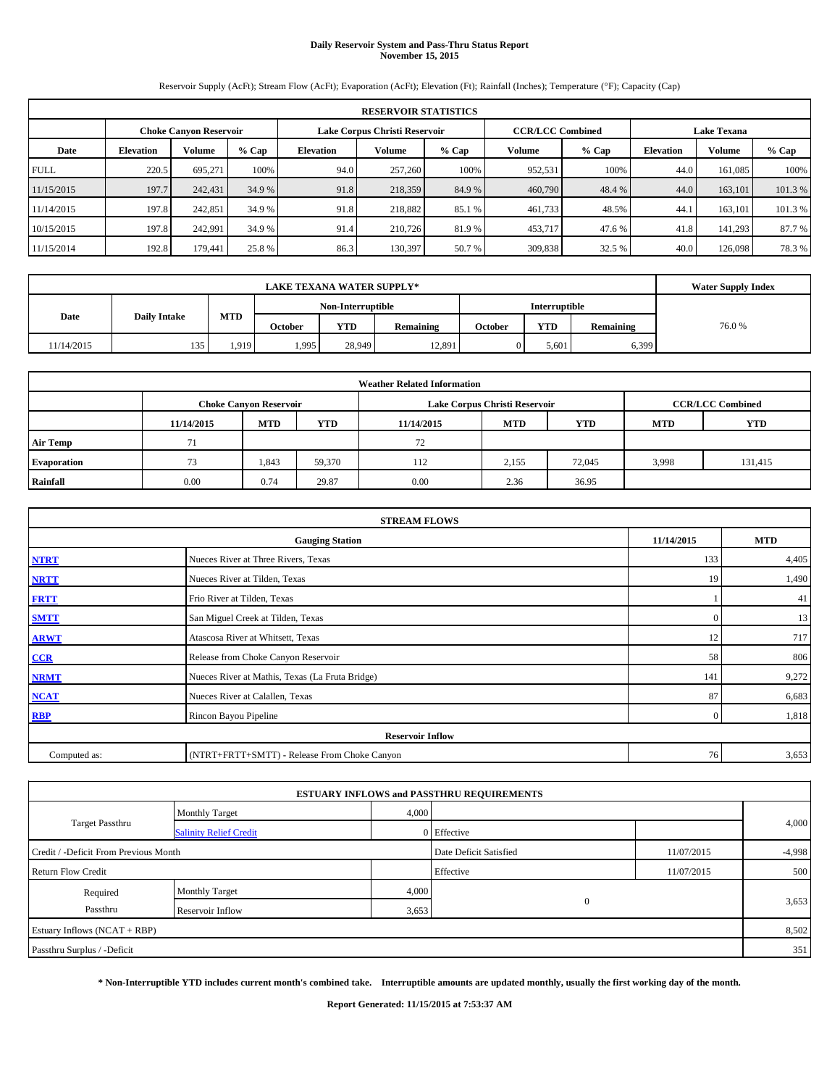# **Daily Reservoir System and Pass-Thru Status Report November 15, 2015**

Reservoir Supply (AcFt); Stream Flow (AcFt); Evaporation (AcFt); Elevation (Ft); Rainfall (Inches); Temperature (°F); Capacity (Cap)

| <b>RESERVOIR STATISTICS</b> |                                                                                                          |         |         |                  |               |         |         |         |                  |               |        |  |
|-----------------------------|----------------------------------------------------------------------------------------------------------|---------|---------|------------------|---------------|---------|---------|---------|------------------|---------------|--------|--|
|                             | <b>CCR/LCC Combined</b><br><b>Lake Texana</b><br>Lake Corpus Christi Reservoir<br>Choke Canvon Reservoir |         |         |                  |               |         |         |         |                  |               |        |  |
| Date                        | <b>Elevation</b>                                                                                         | Volume  | $%$ Cap | <b>Elevation</b> | <b>Volume</b> | $%$ Cap | Volume  | $%$ Cap | <b>Elevation</b> | <b>Volume</b> | % Cap  |  |
| <b>FULL</b>                 | 220.5                                                                                                    | 695.271 | 100%    | 94.0             | 257,260       | 100%    | 952.531 | 100%    | 44.0             | 161.085       | 100%   |  |
| 11/15/2015                  | 197.7                                                                                                    | 242,431 | 34.9 %  | 91.8             | 218,359       | 84.9%   | 460,790 | 48.4 %  | 44.0             | 163,101       | 101.3% |  |
| 11/14/2015                  | 197.8                                                                                                    | 242,851 | 34.9 %  | 91.8             | 218,882       | 85.1 %  | 461,733 | 48.5%   | 44.              | 163.101       | 101.3% |  |
| 10/15/2015                  | 197.8                                                                                                    | 242,991 | 34.9 %  | 91.4             | 210,726       | 81.9%   | 453,717 | 47.6 %  | 41.8             | 141.293       | 87.7 % |  |
| 11/15/2014                  | 192.8                                                                                                    | 179.441 | 25.8 %  | 86.3             | 130.397       | 50.7 %  | 309,838 | 32.5 %  | 40.0             | 126,098       | 78.3%  |  |

|            | <b>Water Supply Index</b> |            |         |                   |           |         |               |           |       |
|------------|---------------------------|------------|---------|-------------------|-----------|---------|---------------|-----------|-------|
|            | <b>Daily Intake</b>       |            |         | Non-Interruptible |           |         | Interruptible |           |       |
| Date       |                           | <b>MTD</b> | October | <b>YTD</b>        | Remaining | October | <b>YTD</b>    | Remaining | 76.0% |
| 11/14/2015 | 135                       | 1,919      | 1,995   | 28,949            | 12,891    |         | 5.601         | 6,399     |       |

| <b>Weather Related Information</b> |            |                               |            |            |                               |                         |            |            |  |  |
|------------------------------------|------------|-------------------------------|------------|------------|-------------------------------|-------------------------|------------|------------|--|--|
|                                    |            | <b>Choke Canyon Reservoir</b> |            |            | Lake Corpus Christi Reservoir | <b>CCR/LCC Combined</b> |            |            |  |  |
|                                    | 11/14/2015 | <b>MTD</b>                    | <b>YTD</b> | 11/14/2015 | <b>MTD</b>                    | <b>YTD</b>              | <b>MTD</b> | <b>YTD</b> |  |  |
| <b>Air Temp</b>                    |            |                               |            | 72         |                               |                         |            |            |  |  |
| Evaporation                        | 73         | 1,843                         | 59,370     | 112        | 2,155                         | 72,045                  | 3,998      | 131,415    |  |  |
| Rainfall                           | 0.00       | 0.74                          | 29.87      | 0.00       | 2.36                          | 36.95                   |            |            |  |  |

| <b>STREAM FLOWS</b> |                                                 |                |       |  |  |  |  |  |  |
|---------------------|-------------------------------------------------|----------------|-------|--|--|--|--|--|--|
|                     | <b>Gauging Station</b>                          |                |       |  |  |  |  |  |  |
| <b>NTRT</b>         | Nueces River at Three Rivers, Texas             | 133            | 4,405 |  |  |  |  |  |  |
| <b>NRTT</b>         | Nueces River at Tilden, Texas                   | 19             | 1,490 |  |  |  |  |  |  |
| <b>FRTT</b>         | Frio River at Tilden, Texas                     |                | 41    |  |  |  |  |  |  |
| <b>SMTT</b>         | San Miguel Creek at Tilden, Texas               | $\mathbf{0}$   | 13    |  |  |  |  |  |  |
| <b>ARWT</b>         | Atascosa River at Whitsett, Texas               | 12             | 717   |  |  |  |  |  |  |
| $CCR$               | Release from Choke Canyon Reservoir             | 58             | 806   |  |  |  |  |  |  |
| <b>NRMT</b>         | Nueces River at Mathis, Texas (La Fruta Bridge) | 141            | 9,272 |  |  |  |  |  |  |
| <b>NCAT</b>         | Nueces River at Calallen, Texas                 | 87             | 6,683 |  |  |  |  |  |  |
| <b>RBP</b>          | Rincon Bayou Pipeline                           | $\overline{0}$ | 1,818 |  |  |  |  |  |  |
|                     | <b>Reservoir Inflow</b>                         |                |       |  |  |  |  |  |  |
| Computed as:        | (NTRT+FRTT+SMTT) - Release From Choke Canyon    | 76             | 3,653 |  |  |  |  |  |  |

|                                       |                               |                        | <b>ESTUARY INFLOWS and PASSTHRU REQUIREMENTS</b> |            |       |
|---------------------------------------|-------------------------------|------------------------|--------------------------------------------------|------------|-------|
|                                       | <b>Monthly Target</b>         | 4,000                  |                                                  |            |       |
| Target Passthru                       | <b>Salinity Relief Credit</b> |                        | 0 Effective                                      |            | 4,000 |
| Credit / -Deficit From Previous Month |                               | Date Deficit Satisfied | 11/07/2015                                       | $-4,998$   |       |
| <b>Return Flow Credit</b>             |                               |                        | Effective                                        | 11/07/2015 | 500   |
| Required                              | <b>Monthly Target</b>         | 4,000                  |                                                  |            |       |
| Passthru                              | Reservoir Inflow              | 3,653                  | $\mathbf{0}$                                     |            | 3,653 |
| Estuary Inflows (NCAT + RBP)          |                               |                        |                                                  |            | 8,502 |
| Passthru Surplus / -Deficit           |                               |                        |                                                  |            | 351   |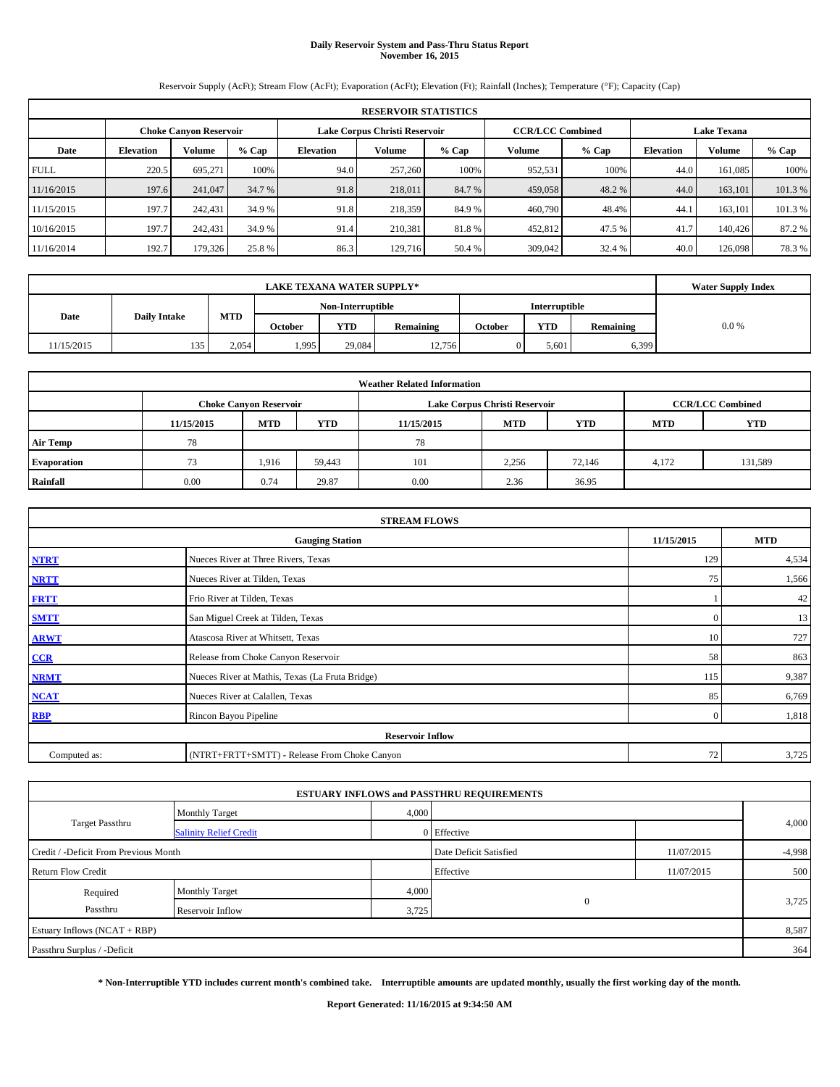# **Daily Reservoir System and Pass-Thru Status Report November 16, 2015**

Reservoir Supply (AcFt); Stream Flow (AcFt); Evaporation (AcFt); Elevation (Ft); Rainfall (Inches); Temperature (°F); Capacity (Cap)

| <b>RESERVOIR STATISTICS</b> |                                                                |               |         |                  |         |        |         |                                               |                  |               |         |
|-----------------------------|----------------------------------------------------------------|---------------|---------|------------------|---------|--------|---------|-----------------------------------------------|------------------|---------------|---------|
|                             | Lake Corpus Christi Reservoir<br><b>Choke Canyon Reservoir</b> |               |         |                  |         |        |         | <b>CCR/LCC Combined</b><br><b>Lake Texana</b> |                  |               |         |
| Date                        | <b>Elevation</b>                                               | <b>Volume</b> | $%$ Cap | <b>Elevation</b> | Volume  | % Cap  | Volume  | $%$ Cap                                       | <b>Elevation</b> | <b>Volume</b> | $%$ Cap |
| <b>FULL</b>                 | 220.5                                                          | 695.271       | 100%    | 94.0             | 257,260 | 100%   | 952,531 | 100%                                          | 44.0             | 161.085       | 100%    |
| 11/16/2015                  | 197.6                                                          | 241,047       | 34.7 %  | 91.8             | 218,011 | 84.7 % | 459,058 | 48.2 %                                        | 44.0             | 163,101       | 101.3%  |
| 11/15/2015                  | 197.7                                                          | 242,431       | 34.9 %  | 91.8             | 218,359 | 84.9 % | 460,790 | 48.4%                                         | 44.1             | 163.101       | 101.3 % |
| 10/16/2015                  | 197.7                                                          | 242,431       | 34.9 %  | 91.4             | 210.381 | 81.8%  | 452,812 | 47.5 %                                        | 41.7             | 140,426       | 87.2 %  |
| 11/16/2014                  | 192.7                                                          | 179,326       | 25.8 %  | 86.3             | 129,716 | 50.4 % | 309,042 | 32.4 %                                        | 40.0             | 126,098       | 78.3 %  |

|            | <b>Water Supply Index</b> |       |                |                   |           |         |                      |           |         |
|------------|---------------------------|-------|----------------|-------------------|-----------|---------|----------------------|-----------|---------|
|            |                           |       |                | Non-Interruptible |           |         | <b>Interruptible</b> |           |         |
| Date       | <b>Daily Intake</b>       | MTD   | <b>October</b> | <b>YTD</b>        | Remaining | October | <b>YTD</b>           | Remaining | $0.0\%$ |
| 11/15/2015 | 135                       | 2,054 | .995           | 29.084            | 12,756    |         | 5.601                | 6,399     |         |

| <b>Weather Related Information</b> |            |                               |            |            |                               |                         |            |            |  |
|------------------------------------|------------|-------------------------------|------------|------------|-------------------------------|-------------------------|------------|------------|--|
|                                    |            | <b>Choke Canyon Reservoir</b> |            |            | Lake Corpus Christi Reservoir | <b>CCR/LCC Combined</b> |            |            |  |
|                                    | 11/15/2015 | <b>MTD</b>                    | <b>YTD</b> | 11/15/2015 | <b>MTD</b>                    | <b>YTD</b>              | <b>MTD</b> | <b>YTD</b> |  |
| <b>Air Temp</b>                    | 78         |                               |            | 78         |                               |                         |            |            |  |
| Evaporation                        | 73         | 1.916                         | 59.443     | 101        | 2,256                         | 72,146                  | 4,172      | 131,589    |  |
| Rainfall                           | 0.00       | 0.74                          | 29.87      | 0.00       | 2.36                          | 36.95                   |            |            |  |

| <b>STREAM FLOWS</b>                  |                                                 |              |       |  |  |  |  |  |  |  |
|--------------------------------------|-------------------------------------------------|--------------|-------|--|--|--|--|--|--|--|
| 11/15/2015<br><b>Gauging Station</b> |                                                 |              |       |  |  |  |  |  |  |  |
| <b>NTRT</b>                          | Nueces River at Three Rivers, Texas             | 129          | 4,534 |  |  |  |  |  |  |  |
| <b>NRTT</b>                          | Nueces River at Tilden, Texas                   | 75           | 1,566 |  |  |  |  |  |  |  |
| <b>FRTT</b>                          | Frio River at Tilden, Texas                     |              | 42    |  |  |  |  |  |  |  |
| <b>SMTT</b>                          | San Miguel Creek at Tilden, Texas               | $\mathbf{0}$ | 13    |  |  |  |  |  |  |  |
| <b>ARWT</b>                          | Atascosa River at Whitsett, Texas               | 10           | 727   |  |  |  |  |  |  |  |
| $CCR$                                | Release from Choke Canyon Reservoir             | 58           | 863   |  |  |  |  |  |  |  |
| <b>NRMT</b>                          | Nueces River at Mathis, Texas (La Fruta Bridge) | 115          | 9,387 |  |  |  |  |  |  |  |
| <b>NCAT</b>                          | Nueces River at Calallen, Texas                 | 85           | 6,769 |  |  |  |  |  |  |  |
| <b>RBP</b>                           | Rincon Bayou Pipeline                           | $\Omega$     | 1,818 |  |  |  |  |  |  |  |
|                                      | <b>Reservoir Inflow</b>                         |              |       |  |  |  |  |  |  |  |
| Computed as:                         | (NTRT+FRTT+SMTT) - Release From Choke Canyon    | 72           | 3,725 |  |  |  |  |  |  |  |

|                                       |                               |                        | <b>ESTUARY INFLOWS and PASSTHRU REQUIREMENTS</b> |            |       |
|---------------------------------------|-------------------------------|------------------------|--------------------------------------------------|------------|-------|
|                                       | <b>Monthly Target</b>         | 4,000                  |                                                  |            |       |
| Target Passthru                       | <b>Salinity Relief Credit</b> |                        | 0 Effective                                      |            | 4,000 |
| Credit / -Deficit From Previous Month |                               | Date Deficit Satisfied | 11/07/2015                                       | $-4,998$   |       |
| <b>Return Flow Credit</b>             |                               |                        | Effective                                        | 11/07/2015 | 500   |
| Required                              | <b>Monthly Target</b>         | 4,000                  |                                                  |            |       |
| Passthru                              | Reservoir Inflow              | 3,725                  | $\mathbf{0}$                                     |            | 3,725 |
| Estuary Inflows (NCAT + RBP)          |                               |                        |                                                  |            | 8,587 |
| Passthru Surplus / -Deficit           |                               |                        |                                                  |            | 364   |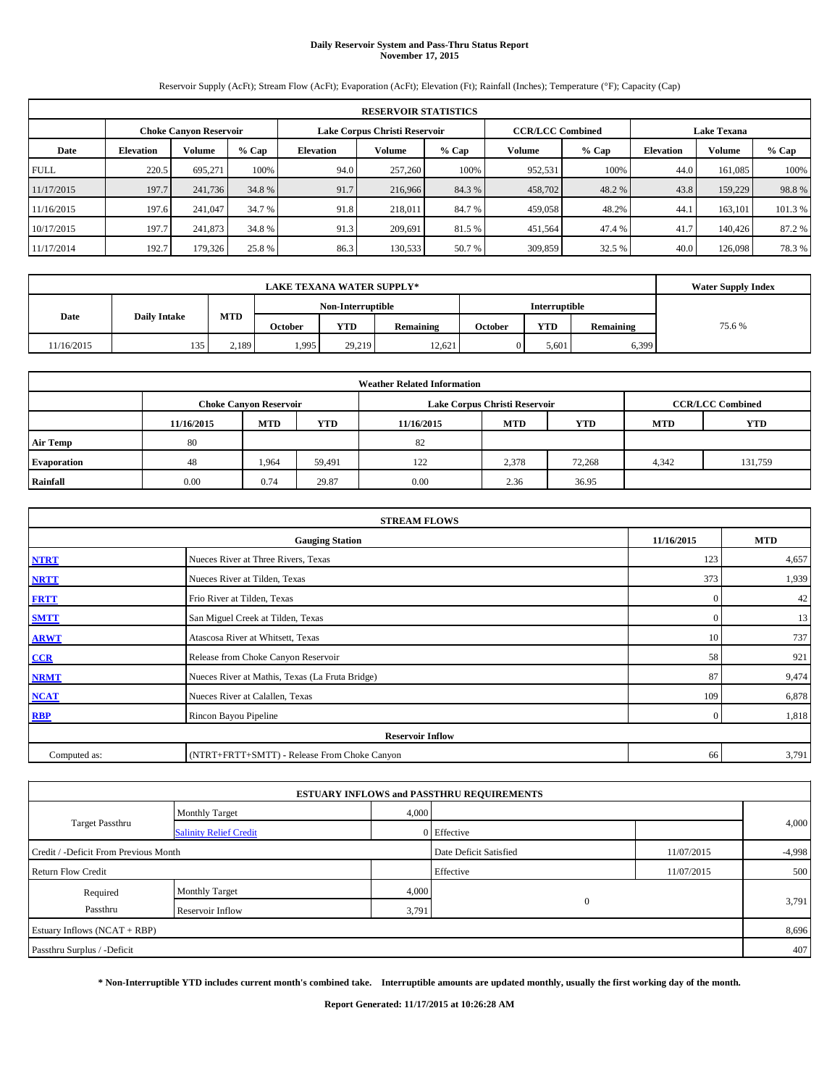# **Daily Reservoir System and Pass-Thru Status Report November 17, 2015**

Reservoir Supply (AcFt); Stream Flow (AcFt); Evaporation (AcFt); Elevation (Ft); Rainfall (Inches); Temperature (°F); Capacity (Cap)

| <b>RESERVOIR STATISTICS</b> |                                                         |         |         |                  |               |         |         |                                               |                  |               |        |
|-----------------------------|---------------------------------------------------------|---------|---------|------------------|---------------|---------|---------|-----------------------------------------------|------------------|---------------|--------|
|                             | Lake Corpus Christi Reservoir<br>Choke Canvon Reservoir |         |         |                  |               |         |         | <b>CCR/LCC Combined</b><br><b>Lake Texana</b> |                  |               |        |
| Date                        | <b>Elevation</b>                                        | Volume  | $%$ Cap | <b>Elevation</b> | <b>Volume</b> | $%$ Cap | Volume  | $%$ Cap                                       | <b>Elevation</b> | <b>Volume</b> | % Cap  |
| <b>FULL</b>                 | 220.5                                                   | 695.271 | 100%    | 94.0             | 257,260       | 100%    | 952.531 | 100%                                          | 44.0             | 161.085       | 100%   |
| 11/17/2015                  | 197.7                                                   | 241,736 | 34.8 %  | 91.7             | 216,966       | 84.3 %  | 458,702 | 48.2 %                                        | 43.8             | 159,229       | 98.8%  |
| 11/16/2015                  | 197.6                                                   | 241,047 | 34.7 %  | 91.8             | 218,011       | 84.7 %  | 459,058 | 48.2%                                         | 44.              | 163.101       | 101.3% |
| 10/17/2015                  | 197.7                                                   | 241,873 | 34.8 %  | 91.3             | 209.691       | 81.5 %  | 451,564 | 47.4 %                                        | 41.7             | 140,426       | 87.2 % |
| 11/17/2014                  | 192.7                                                   | 179,326 | 25.8 %  | 86.3             | 130,533       | 50.7 %  | 309,859 | 32.5 %                                        | 40.0             | 126,098       | 78.3%  |

|            | <b>Water Supply Index</b> |            |                |                   |           |         |               |           |       |
|------------|---------------------------|------------|----------------|-------------------|-----------|---------|---------------|-----------|-------|
|            |                           |            |                | Non-Interruptible |           |         | Interruptible |           |       |
| Date       | <b>Daily Intake</b>       | <b>MTD</b> | <b>October</b> | <b>YTD</b>        | Remaining | October | <b>YTD</b>    | Remaining | 75.6% |
| 11/16/2015 | 135                       | 2,189      | 1,995          | 29.219            | 12.621    |         | 5.601         | 6,399     |       |

| <b>Weather Related Information</b> |            |                               |        |            |                               |                         |            |            |  |  |
|------------------------------------|------------|-------------------------------|--------|------------|-------------------------------|-------------------------|------------|------------|--|--|
|                                    |            | <b>Choke Canyon Reservoir</b> |        |            | Lake Corpus Christi Reservoir | <b>CCR/LCC Combined</b> |            |            |  |  |
|                                    | 11/16/2015 | <b>MTD</b>                    | YTD    | 11/16/2015 | <b>MTD</b>                    | <b>YTD</b>              | <b>MTD</b> | <b>YTD</b> |  |  |
| <b>Air Temp</b>                    | 80         |                               |        | 82         |                               |                         |            |            |  |  |
| <b>Evaporation</b>                 | 48         | 1.964                         | 59,491 | 122        | 2,378                         | 72,268                  | 4,342      | 131,759    |  |  |
| Rainfall                           | 0.00       | 0.74                          | 29.87  | 0.00       | 2.36                          | 36.95                   |            |            |  |  |

| <b>STREAM FLOWS</b> |                                                 |              |       |  |  |  |  |  |  |
|---------------------|-------------------------------------------------|--------------|-------|--|--|--|--|--|--|
|                     | 11/16/2015                                      | <b>MTD</b>   |       |  |  |  |  |  |  |
| <b>NTRT</b>         | Nueces River at Three Rivers, Texas             | 123          | 4,657 |  |  |  |  |  |  |
| <b>NRTT</b>         | Nueces River at Tilden, Texas                   | 373          | 1,939 |  |  |  |  |  |  |
| <b>FRTT</b>         | Frio River at Tilden, Texas                     | $\mathbf{0}$ | 42    |  |  |  |  |  |  |
| <b>SMTT</b>         | San Miguel Creek at Tilden, Texas               | $\mathbf{0}$ | 13    |  |  |  |  |  |  |
| <b>ARWT</b>         | Atascosa River at Whitsett, Texas               | 10           | 737   |  |  |  |  |  |  |
| $CCR$               | Release from Choke Canyon Reservoir             | 58           | 921   |  |  |  |  |  |  |
| <b>NRMT</b>         | Nueces River at Mathis, Texas (La Fruta Bridge) | 87           | 9,474 |  |  |  |  |  |  |
| <b>NCAT</b>         | Nueces River at Calallen, Texas                 | 109          | 6,878 |  |  |  |  |  |  |
| <b>RBP</b>          | Rincon Bayou Pipeline                           | $\Omega$     | 1,818 |  |  |  |  |  |  |
|                     | <b>Reservoir Inflow</b>                         |              |       |  |  |  |  |  |  |
| Computed as:        | (NTRT+FRTT+SMTT) - Release From Choke Canyon    | 66           | 3,791 |  |  |  |  |  |  |

|                                       |                               |       | <b>ESTUARY INFLOWS and PASSTHRU REQUIREMENTS</b> |            |          |
|---------------------------------------|-------------------------------|-------|--------------------------------------------------|------------|----------|
|                                       | <b>Monthly Target</b>         | 4,000 |                                                  |            |          |
| Target Passthru                       | <b>Salinity Relief Credit</b> |       | 0 Effective                                      |            | 4,000    |
| Credit / -Deficit From Previous Month |                               |       | Date Deficit Satisfied                           | 11/07/2015 | $-4,998$ |
| <b>Return Flow Credit</b>             |                               |       | Effective                                        | 11/07/2015 | 500      |
| Required                              | <b>Monthly Target</b>         | 4,000 |                                                  |            |          |
| Passthru                              | Reservoir Inflow              | 3,791 | $\mathbf{0}$                                     |            | 3,791    |
| Estuary Inflows (NCAT + RBP)          |                               |       |                                                  |            | 8,696    |
| Passthru Surplus / -Deficit           |                               |       |                                                  |            | 407      |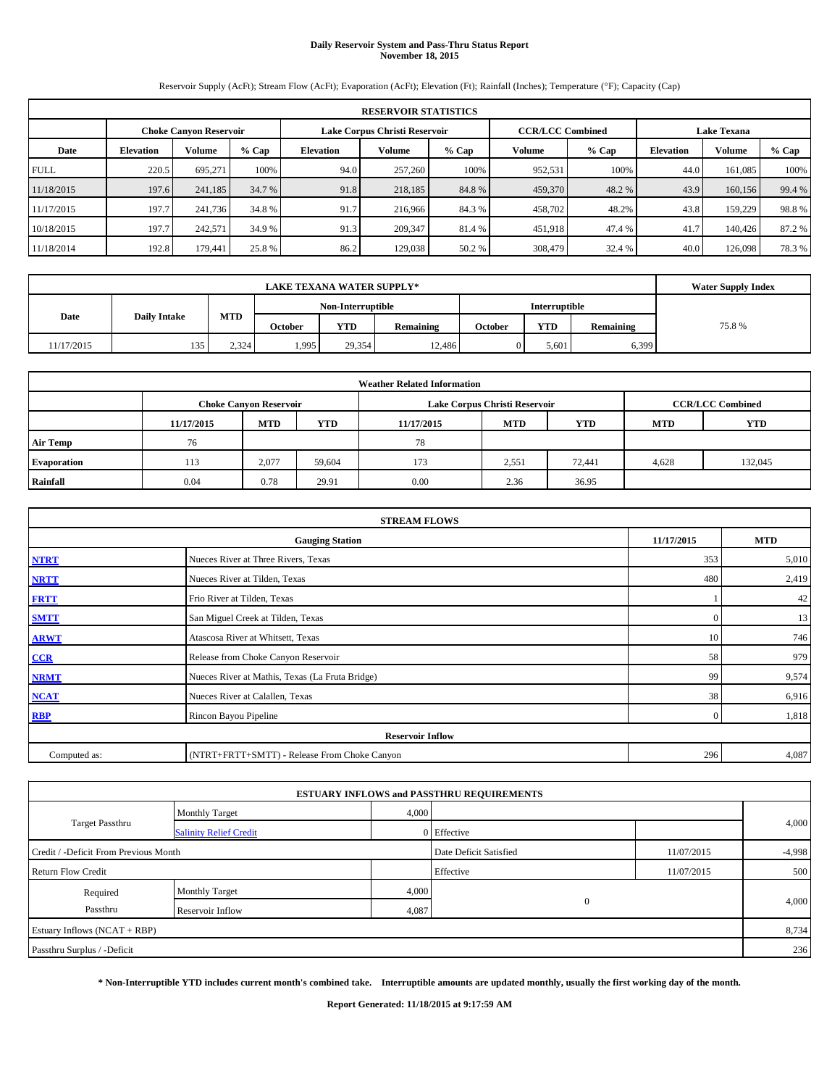# **Daily Reservoir System and Pass-Thru Status Report November 18, 2015**

Reservoir Supply (AcFt); Stream Flow (AcFt); Evaporation (AcFt); Elevation (Ft); Rainfall (Inches); Temperature (°F); Capacity (Cap)

|             | <b>RESERVOIR STATISTICS</b> |                               |         |                  |                               |         |                         |         |                  |                    |        |  |  |
|-------------|-----------------------------|-------------------------------|---------|------------------|-------------------------------|---------|-------------------------|---------|------------------|--------------------|--------|--|--|
|             |                             | <b>Choke Canvon Reservoir</b> |         |                  | Lake Corpus Christi Reservoir |         | <b>CCR/LCC Combined</b> |         |                  | <b>Lake Texana</b> |        |  |  |
| Date        | <b>Elevation</b>            | Volume                        | $%$ Cap | <b>Elevation</b> | Volume                        | $%$ Cap | Volume                  | $%$ Cap | <b>Elevation</b> | Volume             | % Cap  |  |  |
| <b>FULL</b> | 220.5                       | 695,271                       | 100%    | 94.0             | 257,260                       | 100%    | 952,531                 | 100%    | 44.0             | 161.085            | 100%   |  |  |
| 11/18/2015  | 197.6                       | 241,185                       | 34.7 %  | 91.8             | 218,185                       | 84.8%   | 459,370                 | 48.2 %  | 43.9             | 160,156            | 99.4 % |  |  |
| 11/17/2015  | 197.7                       | 241,736                       | 34.8%   | 91.7             | 216,966                       | 84.3%   | 458,702                 | 48.2%   | 43.8             | 159,229            | 98.8%  |  |  |
| 10/18/2015  | 197.7                       | 242,571                       | 34.9 %  | 91.3             | 209,347                       | 81.4 %  | 451,918                 | 47.4 %  | 41.7             | 140,426            | 87.2%  |  |  |
| 11/18/2014  | 192.8                       | 179,441                       | 25.8%   | 86.2             | 129,038                       | 50.2 %  | 308,479                 | 32.4 %  | 40.0             | 126,098            | 78.3%  |  |  |

|            | <b>Water Supply Index</b>                 |       |                |            |           |         |            |           |       |
|------------|-------------------------------------------|-------|----------------|------------|-----------|---------|------------|-----------|-------|
|            | <b>Interruptible</b><br>Non-Interruptible |       |                |            |           |         |            |           |       |
| Date       | MTD<br><b>Daily Intake</b>                |       | <b>October</b> | <b>YTD</b> | Remaining | October | <b>YTD</b> | Remaining | 75.8% |
| 11/17/2015 | 135                                       | 2.324 | 1,995          | 29.354     | 12,486    |         | 5.601      | 6,399     |       |

| <b>Weather Related Information</b> |            |                               |            |            |                               |                         |       |         |  |  |  |
|------------------------------------|------------|-------------------------------|------------|------------|-------------------------------|-------------------------|-------|---------|--|--|--|
|                                    |            | <b>Choke Canyon Reservoir</b> |            |            | Lake Corpus Christi Reservoir | <b>CCR/LCC Combined</b> |       |         |  |  |  |
|                                    | 11/17/2015 | <b>MTD</b>                    | <b>YTD</b> | <b>MTD</b> | <b>YTD</b>                    |                         |       |         |  |  |  |
| <b>Air Temp</b>                    | 76         |                               |            | 78         |                               |                         |       |         |  |  |  |
| Evaporation                        | 113        | 2,077                         | 59.604     | 173        | 2,551                         | 72,441                  | 4,628 | 132,045 |  |  |  |
| Rainfall                           | 0.04       | 0.78                          | 29.91      | 0.00       | 2.36                          | 36.95                   |       |         |  |  |  |

|              | <b>STREAM FLOWS</b>                             |              |       |  |  |  |  |
|--------------|-------------------------------------------------|--------------|-------|--|--|--|--|
|              | 11/17/2015                                      | <b>MTD</b>   |       |  |  |  |  |
| <b>NTRT</b>  | Nueces River at Three Rivers, Texas             | 353          | 5,010 |  |  |  |  |
| <b>NRTT</b>  | 480                                             | 2,419        |       |  |  |  |  |
| <b>FRTT</b>  | Frio River at Tilden, Texas                     |              | 42    |  |  |  |  |
| <b>SMTT</b>  | San Miguel Creek at Tilden, Texas               | $\mathbf{0}$ | 13    |  |  |  |  |
| <b>ARWT</b>  | Atascosa River at Whitsett, Texas               | 10           | 746   |  |  |  |  |
| $CCR$        | Release from Choke Canyon Reservoir             | 58           | 979   |  |  |  |  |
| <b>NRMT</b>  | Nueces River at Mathis, Texas (La Fruta Bridge) | 99           | 9,574 |  |  |  |  |
| <b>NCAT</b>  | Nueces River at Calallen, Texas                 | 38           | 6,916 |  |  |  |  |
| <b>RBP</b>   | Rincon Bayou Pipeline                           | $\Omega$     | 1,818 |  |  |  |  |
|              | <b>Reservoir Inflow</b>                         |              |       |  |  |  |  |
| Computed as: | (NTRT+FRTT+SMTT) - Release From Choke Canyon    |              |       |  |  |  |  |

|                                       |                               |       | <b>ESTUARY INFLOWS and PASSTHRU REQUIREMENTS</b> |            |          |
|---------------------------------------|-------------------------------|-------|--------------------------------------------------|------------|----------|
|                                       | <b>Monthly Target</b>         | 4,000 |                                                  |            |          |
| Target Passthru                       | <b>Salinity Relief Credit</b> |       | 0 Effective                                      |            | 4,000    |
| Credit / -Deficit From Previous Month |                               |       | Date Deficit Satisfied                           | 11/07/2015 | $-4,998$ |
| <b>Return Flow Credit</b>             |                               |       | Effective                                        | 11/07/2015 | 500      |
| Required                              | <b>Monthly Target</b>         | 4,000 |                                                  |            |          |
| Passthru                              | Reservoir Inflow              | 4,087 | $\mathbf{0}$                                     |            | 4,000    |
| Estuary Inflows (NCAT + RBP)          |                               |       |                                                  |            | 8,734    |
| Passthru Surplus / -Deficit           |                               |       |                                                  |            | 236      |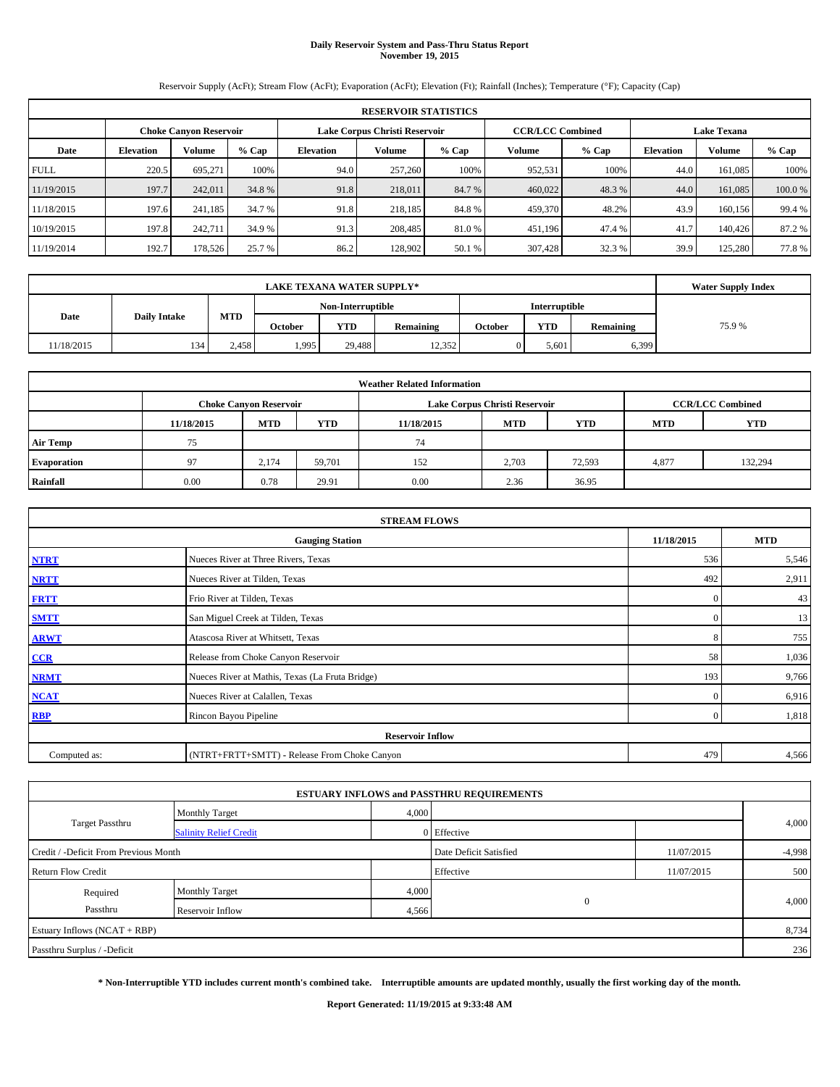# **Daily Reservoir System and Pass-Thru Status Report November 19, 2015**

Reservoir Supply (AcFt); Stream Flow (AcFt); Evaporation (AcFt); Elevation (Ft); Rainfall (Inches); Temperature (°F); Capacity (Cap)

|             |                  |                        |         |                  | <b>RESERVOIR STATISTICS</b>   |         |                         |         |                  |                    |         |
|-------------|------------------|------------------------|---------|------------------|-------------------------------|---------|-------------------------|---------|------------------|--------------------|---------|
|             |                  | Choke Canvon Reservoir |         |                  | Lake Corpus Christi Reservoir |         | <b>CCR/LCC Combined</b> |         |                  | <b>Lake Texana</b> |         |
| Date        | <b>Elevation</b> | Volume                 | $%$ Cap | <b>Elevation</b> | Volume                        | $%$ Cap | Volume                  | $%$ Cap | <b>Elevation</b> | Volume             | $%$ Cap |
| <b>FULL</b> | 220.5            | 695,271                | 100%    | 94.0             | 257,260                       | 100%    | 952,531                 | 100%    | 44.0             | 161.085            | 100%    |
| 11/19/2015  | 197.7            | 242,011                | 34.8 %  | 91.8             | 218,011                       | 84.7 %  | 460,022                 | 48.3 %  | 44.0             | 161,085            | 100.0%  |
| 11/18/2015  | 197.6            | 241.185                | 34.7 %  | 91.8             | 218.185                       | 84.8%   | 459,370                 | 48.2%   | 43.9             | 160.156            | 99.4 %  |
| 10/19/2015  | 197.8            | 242,711                | 34.9 %  | 91.3             | 208,485                       | 81.0%   | 451,196                 | 47.4 %  | 41.7             | 140,426            | 87.2 %  |
| 11/19/2014  | 192.7            | 178,526                | 25.7 %  | 86.2             | 128,902                       | 50.1 %  | 307,428                 | 32.3 %  | 39.9             | 125.280            | 77.8%   |

|            | <b>Water Supply Index</b> |       |         |                   |           |         |                      |           |       |
|------------|---------------------------|-------|---------|-------------------|-----------|---------|----------------------|-----------|-------|
|            |                           |       |         | Non-Interruptible |           |         | <b>Interruptible</b> |           |       |
| Date       | <b>Daily Intake</b>       | MTD   | October | YTD               | Remaining | October | YTD                  | Remaining | 75.9% |
| 11/18/2015 | 134                       | 2,458 | .995    | 29,488            | 12,352    |         | 5,601                | 6,399     |       |

| <b>Weather Related Information</b> |            |                               |        |            |                               |                         |       |         |  |  |  |
|------------------------------------|------------|-------------------------------|--------|------------|-------------------------------|-------------------------|-------|---------|--|--|--|
|                                    |            | <b>Choke Canyon Reservoir</b> |        |            | Lake Corpus Christi Reservoir | <b>CCR/LCC Combined</b> |       |         |  |  |  |
|                                    | 11/18/2015 | <b>MTD</b>                    | YTD    | 11/18/2015 | <b>MTD</b>                    | <b>YTD</b>              |       |         |  |  |  |
| <b>Air Temp</b>                    | 75         |                               |        | 74         |                               |                         |       |         |  |  |  |
| <b>Evaporation</b>                 | 97         | 2,174                         | 59,701 | 152        | 2,703                         | 72,593                  | 4,877 | 132,294 |  |  |  |
| Rainfall                           | 0.00       | 0.78                          | 29.91  | 0.00       | 2.36                          | 36.95                   |       |         |  |  |  |

|              | <b>STREAM FLOWS</b>                             |                |       |  |  |  |  |
|--------------|-------------------------------------------------|----------------|-------|--|--|--|--|
|              | 11/18/2015                                      | <b>MTD</b>     |       |  |  |  |  |
| <b>NTRT</b>  | Nueces River at Three Rivers, Texas             |                |       |  |  |  |  |
| <b>NRTT</b>  | Nueces River at Tilden, Texas                   | 492            | 2,911 |  |  |  |  |
| <b>FRTT</b>  | Frio River at Tilden, Texas                     | $\mathbf{0}$   | 43    |  |  |  |  |
| <b>SMTT</b>  | San Miguel Creek at Tilden, Texas               | $\mathbf{0}$   | 13    |  |  |  |  |
| <b>ARWT</b>  | Atascosa River at Whitsett, Texas               | 8              | 755   |  |  |  |  |
| CCR          | Release from Choke Canyon Reservoir             | 58             | 1,036 |  |  |  |  |
| <b>NRMT</b>  | Nueces River at Mathis, Texas (La Fruta Bridge) | 193            | 9,766 |  |  |  |  |
| <b>NCAT</b>  | Nueces River at Calallen, Texas                 | $\Omega$       | 6,916 |  |  |  |  |
| <b>RBP</b>   | Rincon Bayou Pipeline                           | $\overline{0}$ | 1,818 |  |  |  |  |
|              | <b>Reservoir Inflow</b>                         |                |       |  |  |  |  |
| Computed as: | (NTRT+FRTT+SMTT) - Release From Choke Canyon    |                |       |  |  |  |  |

|                                       |                               |             | <b>ESTUARY INFLOWS and PASSTHRU REQUIREMENTS</b> |            |          |  |  |  |
|---------------------------------------|-------------------------------|-------------|--------------------------------------------------|------------|----------|--|--|--|
|                                       | <b>Monthly Target</b>         | 4,000       |                                                  |            |          |  |  |  |
| Target Passthru                       | <b>Salinity Relief Credit</b> | 0 Effective |                                                  | 4,000      |          |  |  |  |
| Credit / -Deficit From Previous Month |                               |             | Date Deficit Satisfied                           | 11/07/2015 | $-4,998$ |  |  |  |
| <b>Return Flow Credit</b>             |                               |             | Effective                                        | 11/07/2015 | 500      |  |  |  |
| Required                              | Monthly Target                | 4,000       |                                                  |            |          |  |  |  |
| Passthru                              | Reservoir Inflow              | 4,566       | $\mathbf{0}$                                     |            | 4,000    |  |  |  |
| Estuary Inflows (NCAT + RBP)          |                               |             |                                                  |            | 8,734    |  |  |  |
| Passthru Surplus / -Deficit           |                               |             |                                                  |            |          |  |  |  |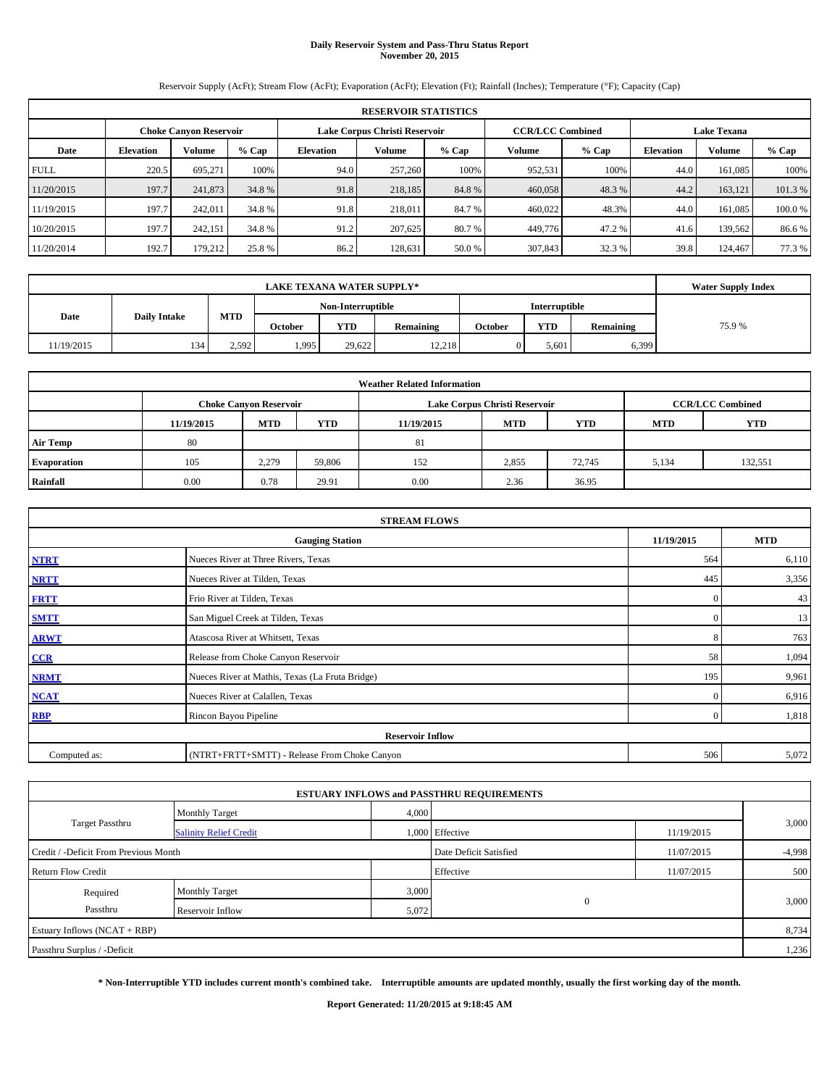# **Daily Reservoir System and Pass-Thru Status Report November 20, 2015**

Reservoir Supply (AcFt); Stream Flow (AcFt); Evaporation (AcFt); Elevation (Ft); Rainfall (Inches); Temperature (°F); Capacity (Cap)

|             | <b>RESERVOIR STATISTICS</b> |                               |         |                  |                               |         |                         |         |                  |                    |         |  |  |
|-------------|-----------------------------|-------------------------------|---------|------------------|-------------------------------|---------|-------------------------|---------|------------------|--------------------|---------|--|--|
|             |                             | <b>Choke Canyon Reservoir</b> |         |                  | Lake Corpus Christi Reservoir |         | <b>CCR/LCC Combined</b> |         |                  | <b>Lake Texana</b> |         |  |  |
| Date        | <b>Elevation</b>            | Volume                        | $%$ Cap | <b>Elevation</b> | Volume                        | $%$ Cap | Volume                  | $%$ Cap | <b>Elevation</b> | <b>Volume</b>      | $%$ Cap |  |  |
| <b>FULL</b> | 220.5                       | 695.271                       | 100%    | 94.0             | 257,260                       | 100%    | 952,531                 | 100%    | 44.0             | 161.085            | 100%    |  |  |
| 11/20/2015  | 197.7                       | 241,873                       | 34.8 %  | 91.8             | 218,185                       | 84.8%   | 460,058                 | 48.3%   | 44.2             | 163.121            | 101.3%  |  |  |
| 11/19/2015  | 197.7                       | 242,011                       | 34.8 %  | 91.8             | 218,011                       | 84.7 %  | 460,022                 | 48.3%   | 44.0             | 161.085            | 100.0%  |  |  |
| 10/20/2015  | 197.7                       | 242.151                       | 34.8 %  | 91.2             | 207,625                       | 80.7%   | 449,776                 | 47.2%   | 41.6             | 139.562            | 86.6%   |  |  |
| 11/20/2014  | 192.7                       | 179,212                       | 25.8 %  | 86.2             | 128,631                       | 50.0 %  | 307,843                 | 32.3 %  | 39.8             | 124,467            | 77.3 %  |  |  |

|            | <b>LAKE TEXANA WATER SUPPLY*</b> |       |         |                   |           |         |                      |           |       |  |  |  |
|------------|----------------------------------|-------|---------|-------------------|-----------|---------|----------------------|-----------|-------|--|--|--|
|            | <b>Daily Intake</b>              |       |         | Non-Interruptible |           |         | <b>Interruptible</b> |           |       |  |  |  |
| Date       |                                  | MTD   | October | YTD               | Remaining | October | YTD                  | Remaining | 75.9% |  |  |  |
| 11/19/2015 | 134                              | 2.592 | .995    | 29.622            | 12,218    |         | 5,601                | 6,399     |       |  |  |  |

| <b>Weather Related Information</b> |            |                                                                                           |            |            |            |            |            |            |  |  |  |  |  |
|------------------------------------|------------|-------------------------------------------------------------------------------------------|------------|------------|------------|------------|------------|------------|--|--|--|--|--|
|                                    |            | <b>Choke Canyon Reservoir</b><br><b>CCR/LCC Combined</b><br>Lake Corpus Christi Reservoir |            |            |            |            |            |            |  |  |  |  |  |
|                                    | 11/19/2015 | <b>MTD</b>                                                                                | <b>YTD</b> | 11/19/2015 | <b>MTD</b> | <b>YTD</b> | <b>MTD</b> | <b>YTD</b> |  |  |  |  |  |
| <b>Air Temp</b>                    | 80         |                                                                                           |            | 81         |            |            |            |            |  |  |  |  |  |
| Evaporation                        | 105        | 2,279                                                                                     | 59,806     | 152        | 2,855      | 72,745     | 5,134      | 132,551    |  |  |  |  |  |
| Rainfall                           | 0.00       | 0.78                                                                                      | 29.91      | 0.00       | 2.36       | 36.95      |            |            |  |  |  |  |  |

|              | <b>STREAM FLOWS</b>                             |              |            |
|--------------|-------------------------------------------------|--------------|------------|
|              | <b>Gauging Station</b>                          | 11/19/2015   | <b>MTD</b> |
| <b>NTRT</b>  | Nueces River at Three Rivers, Texas             | 564          | 6,110      |
| <b>NRTT</b>  | Nueces River at Tilden, Texas                   | 445          | 3,356      |
| <b>FRTT</b>  | Frio River at Tilden, Texas                     | $\mathbf{0}$ | 43         |
| <b>SMTT</b>  | San Miguel Creek at Tilden, Texas               | $\mathbf{0}$ | 13         |
| <b>ARWT</b>  | Atascosa River at Whitsett, Texas               | 8            | 763        |
| CCR          | Release from Choke Canyon Reservoir             | 58           | 1,094      |
| <b>NRMT</b>  | Nueces River at Mathis, Texas (La Fruta Bridge) | 195          | 9,961      |
| <b>NCAT</b>  | Nueces River at Calallen, Texas                 | $\mathbf{0}$ | 6,916      |
| <b>RBP</b>   | Rincon Bayou Pipeline                           | $\Omega$     | 1,818      |
|              | <b>Reservoir Inflow</b>                         |              |            |
| Computed as: | (NTRT+FRTT+SMTT) - Release From Choke Canyon    | 506          | 5,072      |

|                                       |                               |       | <b>ESTUARY INFLOWS and PASSTHRU REQUIREMENTS</b> |            |          |
|---------------------------------------|-------------------------------|-------|--------------------------------------------------|------------|----------|
|                                       | <b>Monthly Target</b>         | 4,000 |                                                  |            |          |
| <b>Target Passthru</b>                | <b>Salinity Relief Credit</b> |       | 1,000 Effective                                  | 11/19/2015 | 3,000    |
| Credit / -Deficit From Previous Month |                               |       | Date Deficit Satisfied                           | 11/07/2015 | $-4,998$ |
| <b>Return Flow Credit</b>             |                               |       | Effective                                        | 11/07/2015 | 500      |
| Required                              | Monthly Target                | 3,000 |                                                  |            |          |
| Passthru                              | Reservoir Inflow              | 5,072 | $\mathbf{0}$                                     |            | 3,000    |
| Estuary Inflows (NCAT + RBP)          |                               |       |                                                  |            | 8,734    |
| Passthru Surplus / -Deficit           |                               |       |                                                  |            | 1,236    |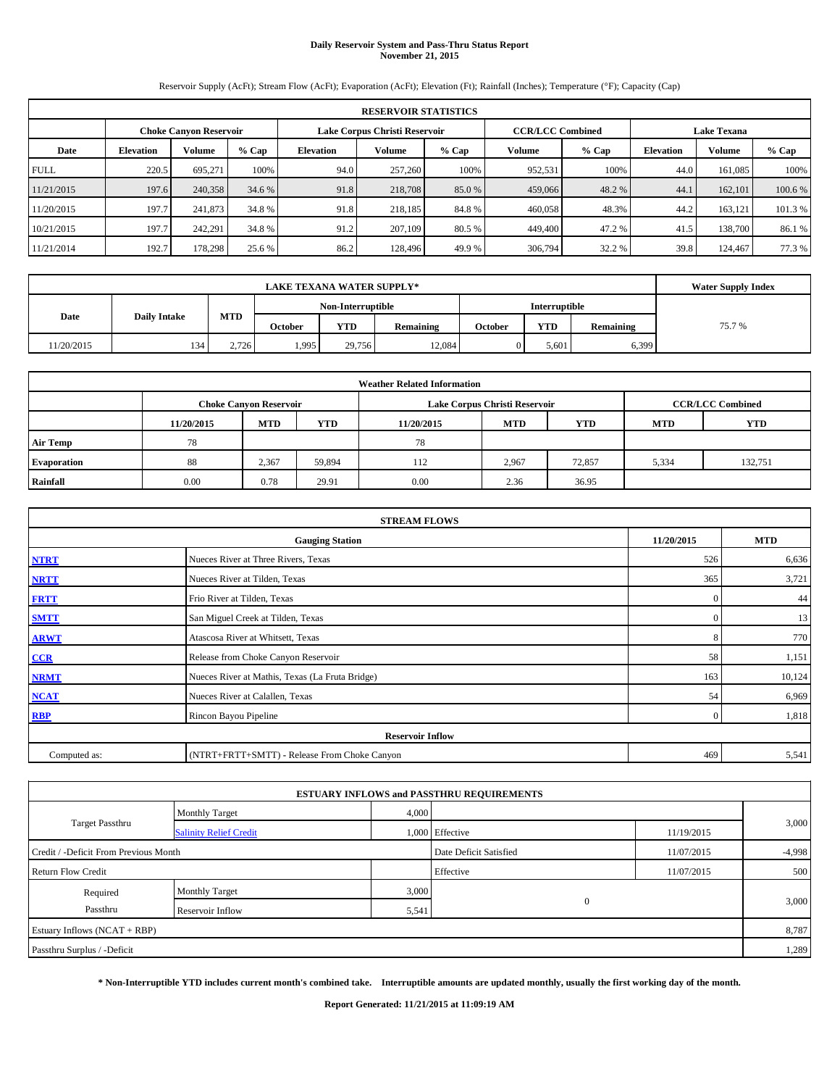# **Daily Reservoir System and Pass-Thru Status Report November 21, 2015**

Reservoir Supply (AcFt); Stream Flow (AcFt); Evaporation (AcFt); Elevation (Ft); Rainfall (Inches); Temperature (°F); Capacity (Cap)

|             | <b>RESERVOIR STATISTICS</b>                                                                                     |         |         |                  |         |        |         |         |                  |               |         |  |  |  |  |
|-------------|-----------------------------------------------------------------------------------------------------------------|---------|---------|------------------|---------|--------|---------|---------|------------------|---------------|---------|--|--|--|--|
|             | Lake Corpus Christi Reservoir<br><b>CCR/LCC Combined</b><br><b>Lake Texana</b><br><b>Choke Canyon Reservoir</b> |         |         |                  |         |        |         |         |                  |               |         |  |  |  |  |
| Date        | <b>Elevation</b>                                                                                                | Volume  | $%$ Cap | <b>Elevation</b> | Volume  | % Cap  | Volume  | $%$ Cap | <b>Elevation</b> | <b>Volume</b> | $%$ Cap |  |  |  |  |
| <b>FULL</b> | 220.5                                                                                                           | 695.271 | 100%    | 94.0             | 257,260 | 100%   | 952,531 | 100%    | 44.0             | 161.085       | 100%    |  |  |  |  |
| 11/21/2015  | 197.6                                                                                                           | 240,358 | 34.6 %  | 91.8             | 218,708 | 85.0 % | 459,066 | 48.2 %  | 44.1             | 162,101       | 100.6 % |  |  |  |  |
| 11/20/2015  | 197.7                                                                                                           | 241,873 | 34.8 %  | 91.8             | 218,185 | 84.8%  | 460,058 | 48.3%   | 44.2             | 163.121       | 101.3 % |  |  |  |  |
| 10/21/2015  | 197.7                                                                                                           | 242.291 | 34.8 %  | 91.2             | 207,109 | 80.5 % | 449,400 | 47.2%   | 41.5             | 138,700       | 86.1 %  |  |  |  |  |
| 11/21/2014  | 192.7                                                                                                           | 178.298 | 25.6 %  | 86.2             | 128,496 | 49.9 % | 306,794 | 32.2 %  | 39.8             | 124,467       | 77.3 %  |  |  |  |  |

|            | <b>Water Supply Index</b>                                                                 |       |                   |        |        |                      |       |  |
|------------|-------------------------------------------------------------------------------------------|-------|-------------------|--------|--------|----------------------|-------|--|
|            |                                                                                           |       | Non-Interruptible |        |        | <b>Interruptible</b> |       |  |
| Date       | MTD<br><b>Daily Intake</b><br><b>YTD</b><br><b>YTD</b><br>Remaining<br>October<br>October |       |                   |        |        | Remaining            | 75.7% |  |
| 11/20/2015 | 134                                                                                       | 2.726 | 1.995             | 29,756 | 12.084 | 5,601                | 6,399 |  |

| <b>Weather Related Information</b> |            |                                                                                           |        |            |            |            |            |            |  |  |  |  |  |  |
|------------------------------------|------------|-------------------------------------------------------------------------------------------|--------|------------|------------|------------|------------|------------|--|--|--|--|--|--|
|                                    |            | <b>CCR/LCC Combined</b><br>Lake Corpus Christi Reservoir<br><b>Choke Canyon Reservoir</b> |        |            |            |            |            |            |  |  |  |  |  |  |
|                                    | 11/20/2015 | <b>MTD</b>                                                                                | YTD    | 11/20/2015 | <b>MTD</b> | <b>YTD</b> | <b>MTD</b> | <b>YTD</b> |  |  |  |  |  |  |
| <b>Air Temp</b>                    | 78         |                                                                                           |        | 78         |            |            |            |            |  |  |  |  |  |  |
| <b>Evaporation</b>                 | 88         | 2,367                                                                                     | 59,894 | 112        | 2,967      | 72,857     | 5,334      | 132,751    |  |  |  |  |  |  |
| Rainfall                           | 0.00       | 0.78                                                                                      | 29.91  | 0.00       | 2.36       | 36.95      |            |            |  |  |  |  |  |  |

|              | <b>STREAM FLOWS</b>                             |              |            |
|--------------|-------------------------------------------------|--------------|------------|
|              | <b>Gauging Station</b>                          | 11/20/2015   | <b>MTD</b> |
| <b>NTRT</b>  | Nueces River at Three Rivers, Texas             | 526          | 6,636      |
| <b>NRTT</b>  | Nueces River at Tilden, Texas                   | 365          | 3,721      |
| <b>FRTT</b>  | Frio River at Tilden, Texas                     | $\mathbf{0}$ | 44         |
| <b>SMTT</b>  | San Miguel Creek at Tilden, Texas               | $\mathbf{0}$ | 13         |
| <b>ARWT</b>  | Atascosa River at Whitsett, Texas               | 8            | 770        |
| CCR          | Release from Choke Canyon Reservoir             | 58           | 1,151      |
| <b>NRMT</b>  | Nueces River at Mathis, Texas (La Fruta Bridge) | 163          | 10,124     |
| <b>NCAT</b>  | Nueces River at Calallen, Texas                 | 54           | 6,969      |
| <b>RBP</b>   | Rincon Bayou Pipeline                           | $\Omega$     | 1,818      |
|              | <b>Reservoir Inflow</b>                         |              |            |
| Computed as: | (NTRT+FRTT+SMTT) - Release From Choke Canyon    | 469          | 5,541      |

|                                       |                               |       | <b>ESTUARY INFLOWS and PASSTHRU REQUIREMENTS</b> |            |          |
|---------------------------------------|-------------------------------|-------|--------------------------------------------------|------------|----------|
|                                       | <b>Monthly Target</b>         | 4,000 |                                                  |            |          |
| <b>Target Passthru</b>                | <b>Salinity Relief Credit</b> |       | 1,000 Effective                                  | 11/19/2015 | 3,000    |
| Credit / -Deficit From Previous Month |                               |       | Date Deficit Satisfied                           | 11/07/2015 | $-4,998$ |
| <b>Return Flow Credit</b>             |                               |       | Effective                                        | 11/07/2015 | 500      |
| Required                              | Monthly Target                | 3,000 |                                                  |            |          |
| Passthru                              | Reservoir Inflow              | 5,541 | $\mathbf{0}$                                     |            | 3,000    |
| Estuary Inflows (NCAT + RBP)          |                               |       |                                                  |            | 8,787    |
| Passthru Surplus / -Deficit           |                               |       |                                                  |            | 1,289    |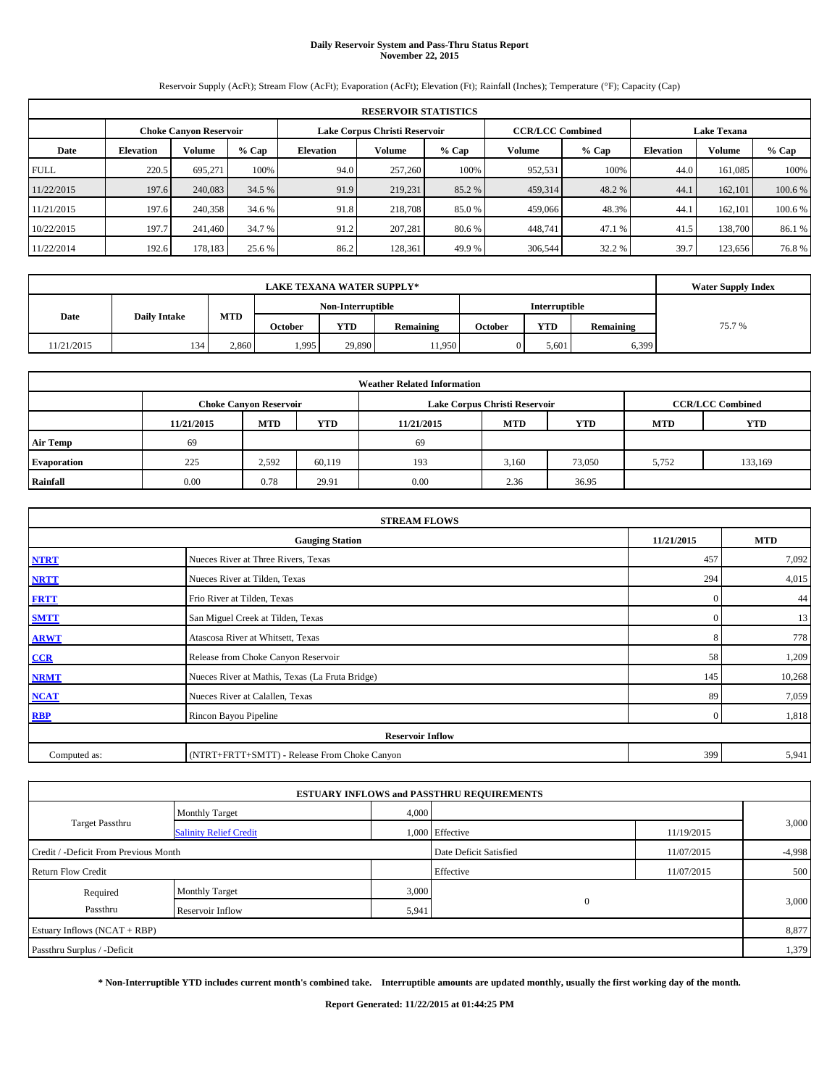# **Daily Reservoir System and Pass-Thru Status Report November 22, 2015**

Reservoir Supply (AcFt); Stream Flow (AcFt); Evaporation (AcFt); Elevation (Ft); Rainfall (Inches); Temperature (°F); Capacity (Cap)

|             | <b>RESERVOIR STATISTICS</b>                                                                                     |         |         |                  |         |         |         |         |                  |               |         |  |  |  |  |
|-------------|-----------------------------------------------------------------------------------------------------------------|---------|---------|------------------|---------|---------|---------|---------|------------------|---------------|---------|--|--|--|--|
|             | <b>CCR/LCC Combined</b><br>Lake Corpus Christi Reservoir<br><b>Choke Canyon Reservoir</b><br><b>Lake Texana</b> |         |         |                  |         |         |         |         |                  |               |         |  |  |  |  |
| Date        | <b>Elevation</b>                                                                                                | Volume  | $%$ Cap | <b>Elevation</b> | Volume  | $%$ Cap | Volume  | $%$ Cap | <b>Elevation</b> | <b>Volume</b> | $%$ Cap |  |  |  |  |
| <b>FULL</b> | 220.5                                                                                                           | 695.271 | 100%    | 94.0             | 257,260 | 100%    | 952,531 | 100%    | 44.0             | 161.085       | 100%    |  |  |  |  |
| 11/22/2015  | 197.6                                                                                                           | 240,083 | 34.5 %  | 91.9             | 219,231 | 85.2 %  | 459,314 | 48.2 %  | 44.1             | 162,101       | 100.6 % |  |  |  |  |
| 11/21/2015  | 197.6                                                                                                           | 240,358 | 34.6 %  | 91.8             | 218,708 | 85.0 %  | 459,066 | 48.3%   | 44.1             | 162,101       | 100.6 % |  |  |  |  |
| 10/22/2015  | 197.7                                                                                                           | 241,460 | 34.7 %  | 91.2             | 207.281 | 80.6 %  | 448,741 | 47.1 %  | 41.5             | 138,700       | 86.1 %  |  |  |  |  |
| 11/22/2014  | 192.6                                                                                                           | 178,183 | 25.6 %  | 86.2             | 128,361 | 49.9 %  | 306,544 | 32.2 %  | 39.7             | 123.656       | 76.8%   |  |  |  |  |

|            | <b>Water Supply Index</b>                                                |       |       |                   |        |         |                      |           |       |
|------------|--------------------------------------------------------------------------|-------|-------|-------------------|--------|---------|----------------------|-----------|-------|
|            |                                                                          |       |       | Non-Interruptible |        |         | <b>Interruptible</b> |           |       |
|            | MTD<br>Date<br><b>Daily Intake</b><br><b>YTD</b><br>Remaining<br>October |       |       |                   |        | October | <b>YTD</b>           | Remaining | 75.7% |
| 11/21/2015 | 134                                                                      | 2.860 | 1,995 | 29,890            | 11,950 |         | 5,601                | 6,399     |       |

|                 |            |                                                                                           |            | <b>Weather Related Information</b> |            |            |            |            |  |  |  |  |  |
|-----------------|------------|-------------------------------------------------------------------------------------------|------------|------------------------------------|------------|------------|------------|------------|--|--|--|--|--|
|                 |            | <b>CCR/LCC Combined</b><br>Lake Corpus Christi Reservoir<br><b>Choke Canyon Reservoir</b> |            |                                    |            |            |            |            |  |  |  |  |  |
|                 | 11/21/2015 | <b>MTD</b>                                                                                | <b>YTD</b> | 11/21/2015                         | <b>MTD</b> | <b>YTD</b> | <b>MTD</b> | <b>YTD</b> |  |  |  |  |  |
| <b>Air Temp</b> | 69         |                                                                                           |            | 69                                 |            |            |            |            |  |  |  |  |  |
| Evaporation     | 225        | 2,592                                                                                     | 60,119     | 193                                | 3,160      | 73,050     | 5.752      | 133,169    |  |  |  |  |  |
| Rainfall        | 0.00       | 0.78                                                                                      | 29.91      | 0.00                               | 2.36       | 36.95      |            |            |  |  |  |  |  |

|              | <b>STREAM FLOWS</b>                             |              |            |  |  |  |  |  |  |  |  |
|--------------|-------------------------------------------------|--------------|------------|--|--|--|--|--|--|--|--|
|              | <b>Gauging Station</b>                          | 11/21/2015   | <b>MTD</b> |  |  |  |  |  |  |  |  |
| <b>NTRT</b>  | Nueces River at Three Rivers, Texas             | 457          | 7,092      |  |  |  |  |  |  |  |  |
| <b>NRTT</b>  | Nueces River at Tilden, Texas                   | 294          | 4,015      |  |  |  |  |  |  |  |  |
| <b>FRTT</b>  | Frio River at Tilden, Texas                     | $\mathbf{0}$ | 44         |  |  |  |  |  |  |  |  |
| <b>SMTT</b>  | San Miguel Creek at Tilden, Texas               | $\mathbf{0}$ | 13         |  |  |  |  |  |  |  |  |
| <b>ARWT</b>  | Atascosa River at Whitsett, Texas               | 8            | 778        |  |  |  |  |  |  |  |  |
| CCR          | Release from Choke Canyon Reservoir             | 58           | 1,209      |  |  |  |  |  |  |  |  |
| <b>NRMT</b>  | Nueces River at Mathis, Texas (La Fruta Bridge) | 145          | 10,268     |  |  |  |  |  |  |  |  |
| <b>NCAT</b>  | Nueces River at Calallen, Texas                 | 89           | 7,059      |  |  |  |  |  |  |  |  |
| <b>RBP</b>   | Rincon Bayou Pipeline                           | $\Omega$     | 1,818      |  |  |  |  |  |  |  |  |
|              | <b>Reservoir Inflow</b>                         |              |            |  |  |  |  |  |  |  |  |
| Computed as: | (NTRT+FRTT+SMTT) - Release From Choke Canyon    | 399          | 5,941      |  |  |  |  |  |  |  |  |

|                                       |                               |       | <b>ESTUARY INFLOWS and PASSTHRU REQUIREMENTS</b> |            |          |  |
|---------------------------------------|-------------------------------|-------|--------------------------------------------------|------------|----------|--|
|                                       | <b>Monthly Target</b>         | 4,000 |                                                  |            |          |  |
| Target Passthru                       | <b>Salinity Relief Credit</b> |       | 1,000 Effective                                  | 11/19/2015 | 3,000    |  |
| Credit / -Deficit From Previous Month |                               |       | Date Deficit Satisfied                           | 11/07/2015 | $-4,998$ |  |
| <b>Return Flow Credit</b>             |                               |       | Effective                                        | 11/07/2015 | 500      |  |
| Required                              | <b>Monthly Target</b>         | 3,000 |                                                  |            |          |  |
| Passthru                              | Reservoir Inflow              | 5,941 | $\mathbf{0}$                                     |            | 3,000    |  |
| Estuary Inflows (NCAT + RBP)          |                               |       |                                                  |            | 8,877    |  |
| Passthru Surplus / -Deficit           |                               |       |                                                  |            | 1,379    |  |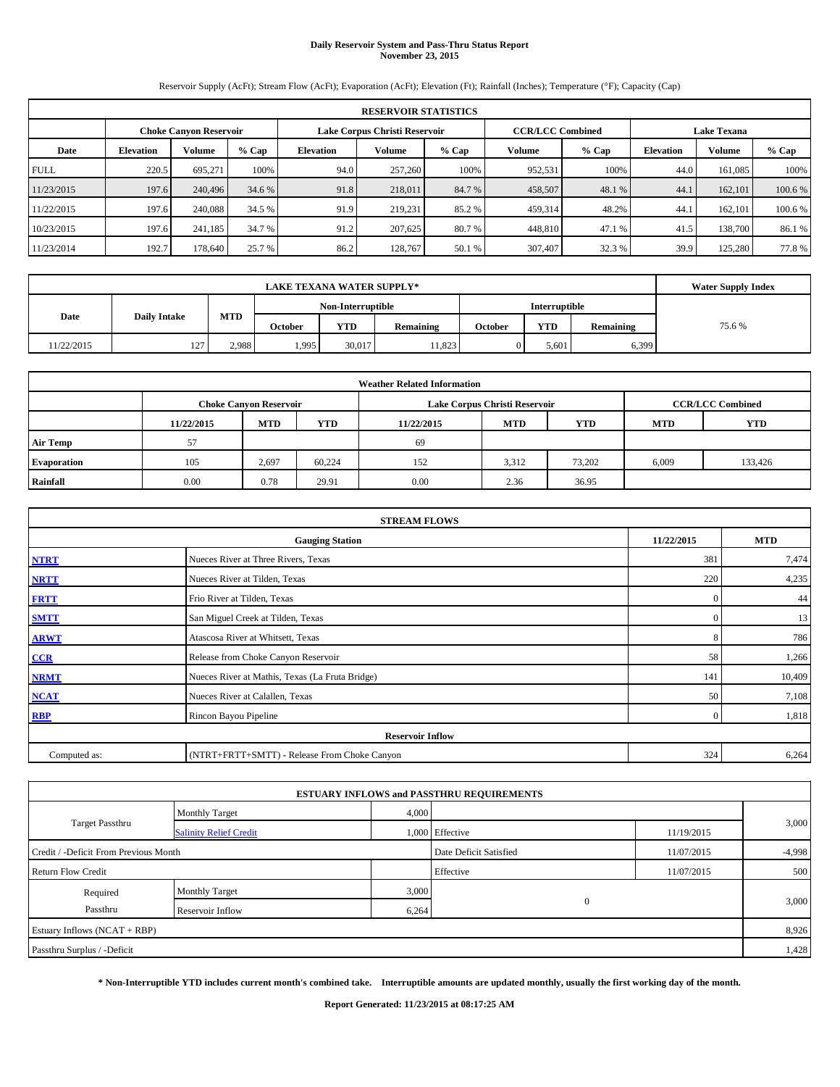# **Daily Reservoir System and Pass-Thru Status Report November 23, 2015**

Reservoir Supply (AcFt); Stream Flow (AcFt); Evaporation (AcFt); Elevation (Ft); Rainfall (Inches); Temperature (°F); Capacity (Cap)

|             | <b>RESERVOIR STATISTICS</b>                                    |         |         |                  |         |                         |         |                    |                  |               |         |  |  |
|-------------|----------------------------------------------------------------|---------|---------|------------------|---------|-------------------------|---------|--------------------|------------------|---------------|---------|--|--|
|             | Lake Corpus Christi Reservoir<br><b>Choke Canyon Reservoir</b> |         |         |                  |         | <b>CCR/LCC Combined</b> |         | <b>Lake Texana</b> |                  |               |         |  |  |
| Date        | <b>Elevation</b>                                               | Volume  | $%$ Cap | <b>Elevation</b> | Volume  | $%$ Cap                 | Volume  | $%$ Cap            | <b>Elevation</b> | <b>Volume</b> | $%$ Cap |  |  |
| <b>FULL</b> | 220.5                                                          | 695.271 | 100%    | 94.0             | 257,260 | 100%                    | 952,531 | 100%               | 44.0             | 161.085       | 100%    |  |  |
| 11/23/2015  | 197.6                                                          | 240,496 | 34.6 %  | 91.8             | 218,011 | 84.7 %                  | 458,507 | 48.1 %             | 44.1             | 162,101       | 100.6 % |  |  |
| 11/22/2015  | 197.6                                                          | 240,088 | 34.5 %  | 91.9             | 219,231 | 85.2 %                  | 459,314 | 48.2%              | 44.1             | 162,101       | 100.6 % |  |  |
| 10/23/2015  | 197.6                                                          | 241.185 | 34.7 %  | 91.2             | 207,625 | 80.7%                   | 448,810 | 47.1 %             | 41.5             | 138,700       | 86.1 %  |  |  |
| 11/23/2014  | 192.7                                                          | 178,640 | 25.7 %  | 86.2             | 128,767 | 50.1 %                  | 307,407 | 32.3 %             | 39.9             | 125,280       | 77.8%   |  |  |

|            | <b>Water Supply Index</b> |            |         |            |                  |                      |            |           |       |
|------------|---------------------------|------------|---------|------------|------------------|----------------------|------------|-----------|-------|
|            | Non-Interruptible         |            |         |            |                  | <b>Interruptible</b> |            |           |       |
| Date       | <b>Daily Intake</b>       | <b>MTD</b> | October | <b>YTD</b> | <b>Remaining</b> | October              | <b>YTD</b> | Remaining | 75.6% |
| 11/22/2015 | 127                       | 2.988      | 1,995   | 30.017     | 11.823           |                      | 5,601      | 6,399     |       |

|                    | <b>Weather Related Information</b> |                               |        |            |                               |                         |            |         |  |  |  |  |
|--------------------|------------------------------------|-------------------------------|--------|------------|-------------------------------|-------------------------|------------|---------|--|--|--|--|
|                    |                                    | <b>Choke Canyon Reservoir</b> |        |            | Lake Corpus Christi Reservoir | <b>CCR/LCC Combined</b> |            |         |  |  |  |  |
|                    | 11/22/2015                         | <b>MTD</b>                    | YTD    | 11/22/2015 | <b>MTD</b>                    | <b>YTD</b>              | <b>MTD</b> | YTD     |  |  |  |  |
| <b>Air Temp</b>    | 57                                 |                               |        | 69         |                               |                         |            |         |  |  |  |  |
| <b>Evaporation</b> | 105                                | 2,697                         | 60.224 | 152        | 3.312                         | 73.202                  | 6,009      | 133,426 |  |  |  |  |
| Rainfall           | 0.00                               | 0.78                          | 29.91  | 0.00       | 2.36                          | 36.95                   |            |         |  |  |  |  |

|              | <b>STREAM FLOWS</b>                             |              |            |  |  |  |  |  |  |  |  |
|--------------|-------------------------------------------------|--------------|------------|--|--|--|--|--|--|--|--|
|              | <b>Gauging Station</b>                          | 11/22/2015   | <b>MTD</b> |  |  |  |  |  |  |  |  |
| <b>NTRT</b>  | Nueces River at Three Rivers, Texas             | 381          | 7,474      |  |  |  |  |  |  |  |  |
| <b>NRTT</b>  | Nueces River at Tilden, Texas                   | 220          | 4,235      |  |  |  |  |  |  |  |  |
| <b>FRTT</b>  | Frio River at Tilden, Texas                     | $\mathbf{0}$ | 44         |  |  |  |  |  |  |  |  |
| <b>SMTT</b>  | San Miguel Creek at Tilden, Texas               | $\mathbf{0}$ | 13         |  |  |  |  |  |  |  |  |
| <b>ARWT</b>  | Atascosa River at Whitsett, Texas               | 8            | 786        |  |  |  |  |  |  |  |  |
| CCR          | Release from Choke Canyon Reservoir             | 58           | 1,266      |  |  |  |  |  |  |  |  |
| <b>NRMT</b>  | Nueces River at Mathis, Texas (La Fruta Bridge) | 141          | 10,409     |  |  |  |  |  |  |  |  |
| <b>NCAT</b>  | Nueces River at Calallen, Texas                 | 50           | 7,108      |  |  |  |  |  |  |  |  |
| <b>RBP</b>   | Rincon Bayou Pipeline                           | $\Omega$     | 1,818      |  |  |  |  |  |  |  |  |
|              | <b>Reservoir Inflow</b>                         |              |            |  |  |  |  |  |  |  |  |
| Computed as: | (NTRT+FRTT+SMTT) - Release From Choke Canyon    | 324          | 6,264      |  |  |  |  |  |  |  |  |

|                                       |                               |       | <b>ESTUARY INFLOWS and PASSTHRU REQUIREMENTS</b> |            |          |  |
|---------------------------------------|-------------------------------|-------|--------------------------------------------------|------------|----------|--|
|                                       | <b>Monthly Target</b>         | 4,000 |                                                  |            |          |  |
| Target Passthru                       | <b>Salinity Relief Credit</b> |       | 1,000 Effective                                  | 11/19/2015 | 3,000    |  |
| Credit / -Deficit From Previous Month |                               |       | Date Deficit Satisfied                           | 11/07/2015 | $-4,998$ |  |
| <b>Return Flow Credit</b>             |                               |       | Effective                                        | 11/07/2015 | 500      |  |
| Required                              | <b>Monthly Target</b>         | 3,000 |                                                  |            |          |  |
| Passthru                              | Reservoir Inflow              | 6,264 | $\mathbf{0}$                                     |            | 3,000    |  |
| Estuary Inflows (NCAT + RBP)          |                               |       |                                                  |            | 8,926    |  |
| Passthru Surplus / -Deficit           |                               |       |                                                  |            | 1,428    |  |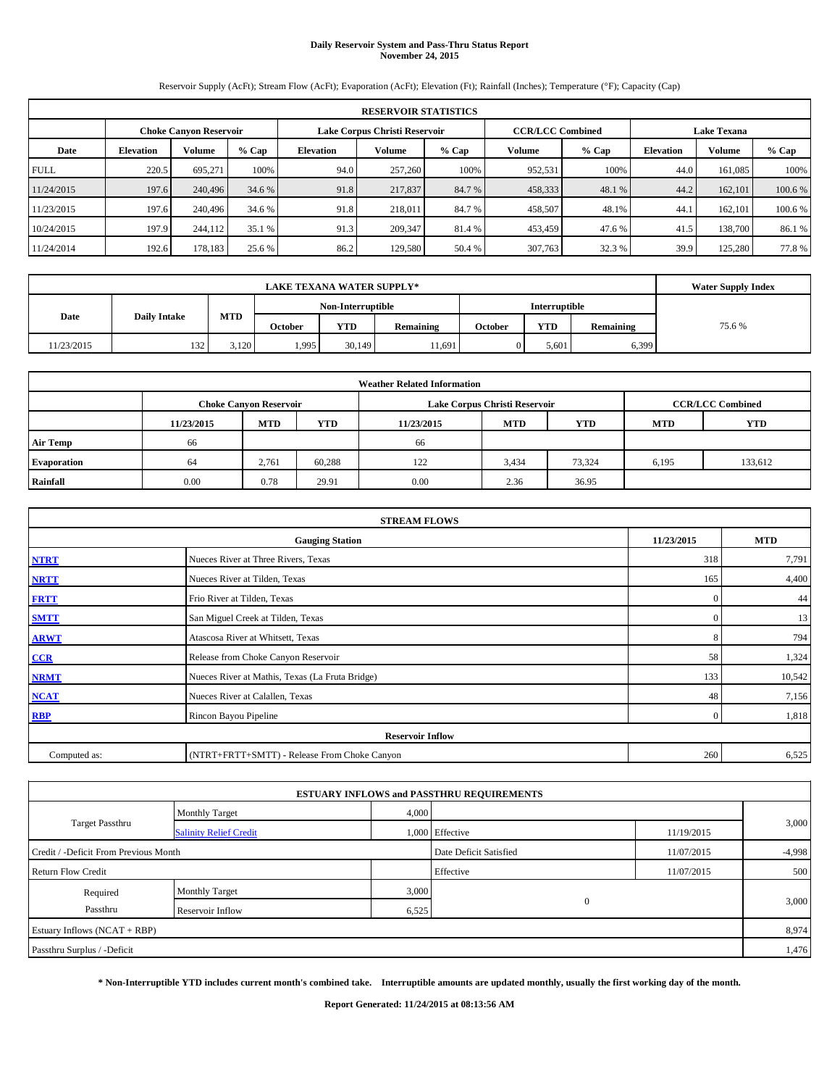# **Daily Reservoir System and Pass-Thru Status Report November 24, 2015**

Reservoir Supply (AcFt); Stream Flow (AcFt); Evaporation (AcFt); Elevation (Ft); Rainfall (Inches); Temperature (°F); Capacity (Cap)

|             | <b>RESERVOIR STATISTICS</b> |                        |         |                  |                               |         |         |                         |                    |         |         |  |
|-------------|-----------------------------|------------------------|---------|------------------|-------------------------------|---------|---------|-------------------------|--------------------|---------|---------|--|
|             |                             | Choke Canvon Reservoir |         |                  | Lake Corpus Christi Reservoir |         |         | <b>CCR/LCC Combined</b> | <b>Lake Texana</b> |         |         |  |
| Date        | <b>Elevation</b>            | Volume                 | $%$ Cap | <b>Elevation</b> | Volume                        | $%$ Cap | Volume  | $%$ Cap                 | <b>Elevation</b>   | Volume  | $%$ Cap |  |
| <b>FULL</b> | 220.5                       | 695,271                | 100%    | 94.0             | 257,260                       | 100%    | 952,531 | 100%                    | 44.0               | 161.085 | 100%    |  |
| 11/24/2015  | 197.6                       | 240,496                | 34.6 %  | 91.8             | 217,837                       | 84.7 %  | 458,333 | 48.1 %                  | 44.2               | 162,101 | 100.6 % |  |
| 11/23/2015  | 197.6                       | 240,496                | 34.6 %  | 91.8             | 218,011                       | 84.7 %  | 458,507 | 48.1%                   | 44.                | 162,101 | 100.6%  |  |
| 10/24/2015  | 197.9                       | 244,112                | 35.1 %  | 91.3             | 209,347                       | 81.4 %  | 453,459 | 47.6 %                  | 41.5               | 138,700 | 86.1%   |  |
| 11/24/2014  | 192.6                       | 178,183                | 25.6 %  | 86.2             | 129,580                       | 50.4 %  | 307,763 | 32.3 %                  | 39.9               | 125.280 | 77.8%   |  |

|            | <b>Water Supply Index</b> |            |                   |        |                  |                      |       |           |       |
|------------|---------------------------|------------|-------------------|--------|------------------|----------------------|-------|-----------|-------|
|            |                           |            | Non-Interruptible |        |                  | <b>Interruptible</b> |       |           |       |
| Date       | <b>Daily Intake</b>       | <b>MTD</b> | <b>October</b>    | YTD    | <b>Remaining</b> | October              | YTD   | Remaining | 75.6% |
| 11/23/2015 | 132                       | 3.120      | 1,995             | 30,149 | 11,691           |                      | 5,601 | 6,399     |       |

| <b>Weather Related Information</b> |            |                               |        |            |                               |                         |            |            |  |  |  |
|------------------------------------|------------|-------------------------------|--------|------------|-------------------------------|-------------------------|------------|------------|--|--|--|
|                                    |            | <b>Choke Canyon Reservoir</b> |        |            | Lake Corpus Christi Reservoir | <b>CCR/LCC Combined</b> |            |            |  |  |  |
|                                    | 11/23/2015 | <b>MTD</b>                    | YTD    | 11/23/2015 | <b>MTD</b>                    | <b>YTD</b>              | <b>MTD</b> | <b>YTD</b> |  |  |  |
| <b>Air Temp</b>                    | 66         |                               |        | 66         |                               |                         |            |            |  |  |  |
| <b>Evaporation</b>                 | 64         | 2,761                         | 60,288 | 122        | 3,434                         | 73,324                  | 6,195      | 133,612    |  |  |  |
| Rainfall                           | 0.00       | 0.78                          | 29.91  | 0.00       | 2.36                          | 36.95                   |            |            |  |  |  |

|              | <b>STREAM FLOWS</b>                             |              |            |  |  |  |  |  |  |  |  |
|--------------|-------------------------------------------------|--------------|------------|--|--|--|--|--|--|--|--|
|              | <b>Gauging Station</b>                          | 11/23/2015   | <b>MTD</b> |  |  |  |  |  |  |  |  |
| <b>NTRT</b>  | Nueces River at Three Rivers, Texas             | 318          | 7,791      |  |  |  |  |  |  |  |  |
| <b>NRTT</b>  | Nueces River at Tilden, Texas                   | 165          | 4,400      |  |  |  |  |  |  |  |  |
| <b>FRTT</b>  | Frio River at Tilden, Texas                     | $\mathbf{0}$ | 44         |  |  |  |  |  |  |  |  |
| <b>SMTT</b>  | San Miguel Creek at Tilden, Texas               | $\mathbf{0}$ | 13         |  |  |  |  |  |  |  |  |
| <b>ARWT</b>  | Atascosa River at Whitsett, Texas               | 8            | 794        |  |  |  |  |  |  |  |  |
| CCR          | Release from Choke Canyon Reservoir             | 58           | 1,324      |  |  |  |  |  |  |  |  |
| <b>NRMT</b>  | Nueces River at Mathis, Texas (La Fruta Bridge) | 133          | 10,542     |  |  |  |  |  |  |  |  |
| <b>NCAT</b>  | Nueces River at Calallen, Texas                 | 48           | 7,156      |  |  |  |  |  |  |  |  |
| <b>RBP</b>   | Rincon Bayou Pipeline                           | $\Omega$     | 1,818      |  |  |  |  |  |  |  |  |
|              | <b>Reservoir Inflow</b>                         |              |            |  |  |  |  |  |  |  |  |
| Computed as: | (NTRT+FRTT+SMTT) - Release From Choke Canyon    | 260          | 6,525      |  |  |  |  |  |  |  |  |

|                                       |                               |       | <b>ESTUARY INFLOWS and PASSTHRU REQUIREMENTS</b> |            |          |  |
|---------------------------------------|-------------------------------|-------|--------------------------------------------------|------------|----------|--|
|                                       | <b>Monthly Target</b>         | 4,000 |                                                  |            |          |  |
| Target Passthru                       | <b>Salinity Relief Credit</b> |       | 1,000 Effective                                  | 11/19/2015 | 3,000    |  |
| Credit / -Deficit From Previous Month |                               |       | Date Deficit Satisfied                           | 11/07/2015 | $-4,998$ |  |
| <b>Return Flow Credit</b>             |                               |       | Effective                                        | 11/07/2015 | 500      |  |
| Required                              | <b>Monthly Target</b>         | 3,000 |                                                  |            |          |  |
| Passthru                              | Reservoir Inflow              | 6,525 | $\mathbf{0}$                                     |            | 3,000    |  |
| Estuary Inflows (NCAT + RBP)          |                               |       |                                                  |            | 8,974    |  |
| Passthru Surplus / -Deficit           |                               |       |                                                  |            | 1,476    |  |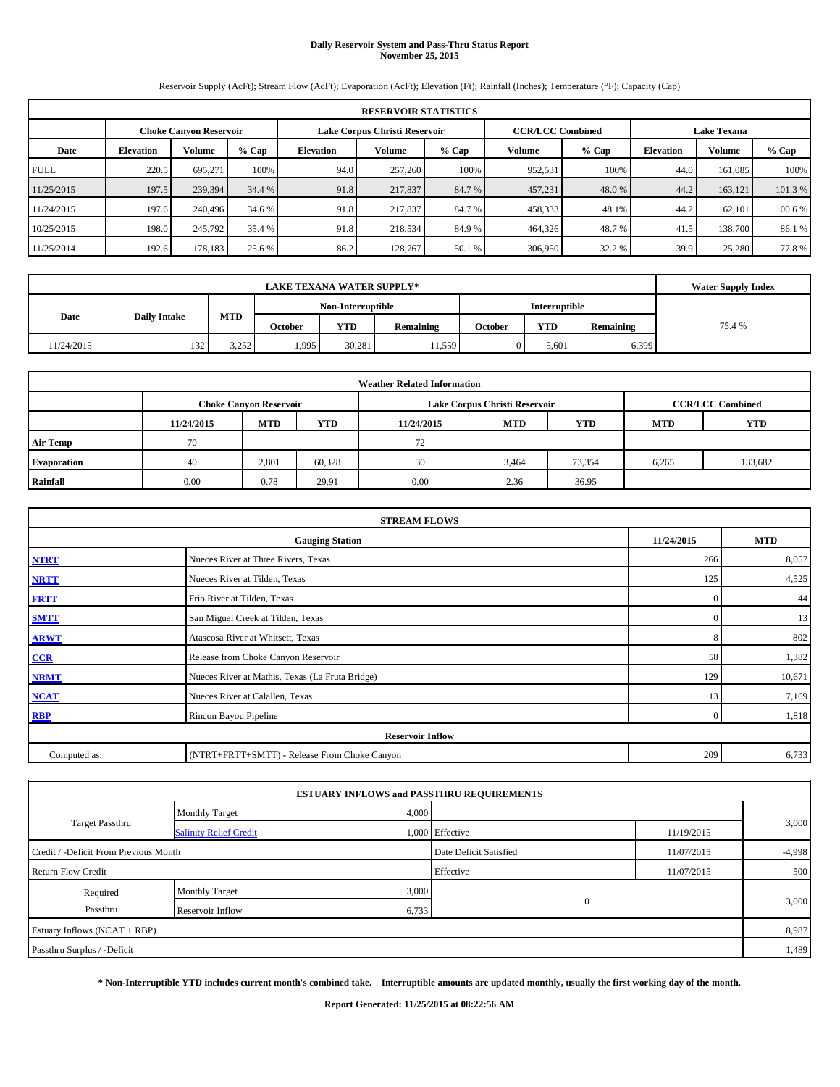# **Daily Reservoir System and Pass-Thru Status Report November 25, 2015**

Reservoir Supply (AcFt); Stream Flow (AcFt); Evaporation (AcFt); Elevation (Ft); Rainfall (Inches); Temperature (°F); Capacity (Cap)

| <b>RESERVOIR STATISTICS</b> |                                                                                                                 |         |         |                  |         |         |         |         |                  |               |         |
|-----------------------------|-----------------------------------------------------------------------------------------------------------------|---------|---------|------------------|---------|---------|---------|---------|------------------|---------------|---------|
|                             | <b>CCR/LCC Combined</b><br>Lake Corpus Christi Reservoir<br><b>Choke Canyon Reservoir</b><br><b>Lake Texana</b> |         |         |                  |         |         |         |         |                  |               |         |
| Date                        | <b>Elevation</b>                                                                                                | Volume  | $%$ Cap | <b>Elevation</b> | Volume  | $%$ Cap | Volume  | $%$ Cap | <b>Elevation</b> | <b>Volume</b> | $%$ Cap |
| <b>FULL</b>                 | 220.5                                                                                                           | 695.271 | 100%    | 94.0             | 257,260 | 100%    | 952,531 | 100%    | 44.0             | 161.085       | 100%    |
| 11/25/2015                  | 197.5                                                                                                           | 239,394 | 34.4 %  | 91.8             | 217,837 | 84.7 %  | 457,231 | 48.0%   | 44.2             | 163.121       | 101.3%  |
| 11/24/2015                  | 197.6                                                                                                           | 240,496 | 34.6 %  | 91.8             | 217,837 | 84.7 %  | 458,333 | 48.1%   | 44.2             | 162,101       | 100.6 % |
| 10/25/2015                  | 198.0                                                                                                           | 245,792 | 35.4 %  | 91.8             | 218,534 | 84.9%   | 464,326 | 48.7 %  | 41.5             | 138,700       | 86.1 %  |
| 11/25/2014                  | 192.6                                                                                                           | 178,183 | 25.6 %  | 86.2             | 128,767 | 50.1 %  | 306,950 | 32.2 %  | 39.9             | 125,280       | 77.8%   |

|                             | <b>Water Supply Index</b> |            |                |                   |           |         |               |           |        |
|-----------------------------|---------------------------|------------|----------------|-------------------|-----------|---------|---------------|-----------|--------|
|                             |                           |            |                | Non-Interruptible |           |         | Interruptible |           |        |
| Date<br><b>Daily Intake</b> |                           | <b>MTD</b> | <b>October</b> | <b>YTD</b>        | Remaining | October | <b>YTD</b>    | Remaining | 75.4 % |
| 11/24/2015                  | 132                       | 3,252      | 1,995          | 30.281            | 11,559    |         | 5,601         | 6,399     |        |

| <b>Weather Related Information</b> |            |                               |                                                                    |      |                               |                         |       |         |  |  |  |
|------------------------------------|------------|-------------------------------|--------------------------------------------------------------------|------|-------------------------------|-------------------------|-------|---------|--|--|--|
|                                    |            | <b>Choke Canyon Reservoir</b> |                                                                    |      | Lake Corpus Christi Reservoir | <b>CCR/LCC Combined</b> |       |         |  |  |  |
|                                    | 11/24/2015 | <b>MTD</b>                    | <b>YTD</b><br><b>MTD</b><br><b>YTD</b><br><b>MTD</b><br>11/24/2015 |      |                               |                         |       |         |  |  |  |
| <b>Air Temp</b>                    | 70         |                               |                                                                    | 72   |                               |                         |       |         |  |  |  |
| <b>Evaporation</b>                 | 40         | 2,801                         | 60,328                                                             | 30   | 3,464                         | 73,354                  | 6,265 | 133,682 |  |  |  |
| Rainfall                           | 0.00       | 0.78                          | 29.91                                                              | 0.00 | 2.36                          | 36.95                   |       |         |  |  |  |

| <b>STREAM FLOWS</b>                                |                                                 |              |        |  |  |  |  |  |  |
|----------------------------------------------------|-------------------------------------------------|--------------|--------|--|--|--|--|--|--|
| 11/24/2015<br><b>MTD</b><br><b>Gauging Station</b> |                                                 |              |        |  |  |  |  |  |  |
| <b>NTRT</b>                                        | Nueces River at Three Rivers, Texas             | 266          | 8,057  |  |  |  |  |  |  |
| <b>NRTT</b>                                        | Nueces River at Tilden, Texas                   | 125          | 4,525  |  |  |  |  |  |  |
| <b>FRTT</b>                                        | Frio River at Tilden, Texas                     | $\mathbf{0}$ | 44     |  |  |  |  |  |  |
| <b>SMTT</b>                                        | San Miguel Creek at Tilden, Texas               | $\mathbf{0}$ | 13     |  |  |  |  |  |  |
| <b>ARWT</b>                                        | Atascosa River at Whitsett, Texas               | 8            | 802    |  |  |  |  |  |  |
| $CCR$                                              | Release from Choke Canyon Reservoir             | 58           | 1,382  |  |  |  |  |  |  |
| <b>NRMT</b>                                        | Nueces River at Mathis, Texas (La Fruta Bridge) | 129          | 10,671 |  |  |  |  |  |  |
| <b>NCAT</b>                                        | Nueces River at Calallen, Texas                 | 13           | 7,169  |  |  |  |  |  |  |
| <b>RBP</b>                                         | Rincon Bayou Pipeline                           | $\Omega$     | 1,818  |  |  |  |  |  |  |
|                                                    | <b>Reservoir Inflow</b>                         |              |        |  |  |  |  |  |  |
| Computed as:                                       | (NTRT+FRTT+SMTT) - Release From Choke Canyon    |              |        |  |  |  |  |  |  |

|                                       |                               |       | <b>ESTUARY INFLOWS and PASSTHRU REQUIREMENTS</b> |            |          |
|---------------------------------------|-------------------------------|-------|--------------------------------------------------|------------|----------|
|                                       | <b>Monthly Target</b>         | 4,000 |                                                  |            |          |
| Target Passthru                       | <b>Salinity Relief Credit</b> |       | 1,000 Effective                                  | 11/19/2015 | 3,000    |
| Credit / -Deficit From Previous Month |                               |       | Date Deficit Satisfied                           | 11/07/2015 | $-4,998$ |
| <b>Return Flow Credit</b>             |                               |       | Effective                                        | 11/07/2015 | 500      |
| Required                              | <b>Monthly Target</b>         | 3,000 |                                                  |            |          |
| Passthru                              | Reservoir Inflow              | 6,733 | $\mathbf{0}$                                     |            | 3,000    |
| Estuary Inflows (NCAT + RBP)          |                               |       |                                                  |            | 8,987    |
| Passthru Surplus / -Deficit           |                               |       |                                                  |            | 1,489    |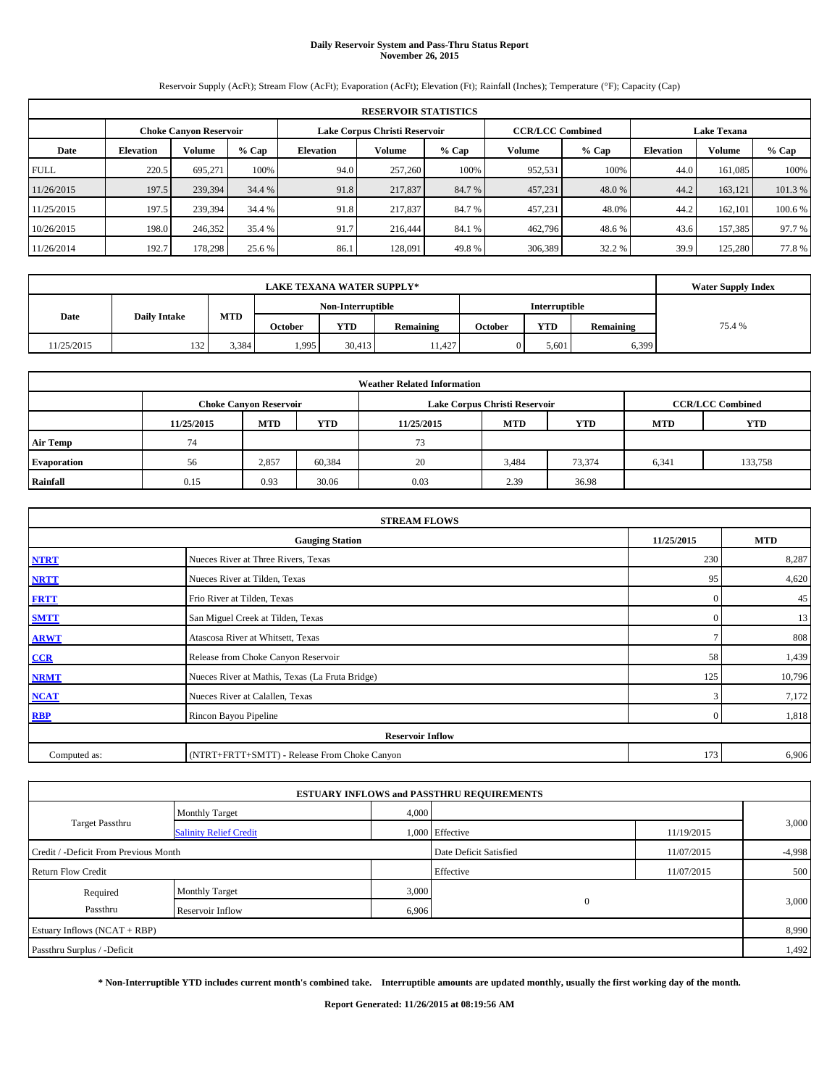# **Daily Reservoir System and Pass-Thru Status Report November 26, 2015**

Reservoir Supply (AcFt); Stream Flow (AcFt); Evaporation (AcFt); Elevation (Ft); Rainfall (Inches); Temperature (°F); Capacity (Cap)

| <b>RESERVOIR STATISTICS</b> |                                                                                                          |         |         |                  |         |         |               |         |                  |         |         |
|-----------------------------|----------------------------------------------------------------------------------------------------------|---------|---------|------------------|---------|---------|---------------|---------|------------------|---------|---------|
|                             | <b>CCR/LCC Combined</b><br>Lake Corpus Christi Reservoir<br><b>Lake Texana</b><br>Choke Canvon Reservoir |         |         |                  |         |         |               |         |                  |         |         |
| Date                        | <b>Elevation</b>                                                                                         | Volume  | $%$ Cap | <b>Elevation</b> | Volume  | $%$ Cap | <b>Volume</b> | $%$ Cap | <b>Elevation</b> | Volume  | % Cap   |
| <b>FULL</b>                 | 220.5                                                                                                    | 695.271 | 100%    | 94.0             | 257,260 | 100%    | 952,531       | 100%    | 44.0             | 161.085 | 100%    |
| 11/26/2015                  | 197.5                                                                                                    | 239,394 | 34.4 %  | 91.8             | 217,837 | 84.7 %  | 457,231       | 48.0 %  | 44.2             | 163.121 | 101.3 % |
| 11/25/2015                  | 197.5                                                                                                    | 239,394 | 34.4 %  | 91.8             | 217,837 | 84.7 %  | 457,231       | 48.0%   | 44.2             | 162,101 | 100.6 % |
| 10/26/2015                  | 198.0                                                                                                    | 246,352 | 35.4 %  | 91.7             | 216,444 | 84.1 %  | 462,796       | 48.6%   | 43.6             | 157.385 | 97.7 %  |
| 11/26/2014                  | 192.7                                                                                                    | 178.298 | 25.6 %  | 86.1             | 128,091 | 49.8%   | 306,389       | 32.2 %  | 39.9             | 125,280 | 77.8%   |

|            | <b>Water Supply Index</b> |       |                |                   |           |         |                      |           |        |
|------------|---------------------------|-------|----------------|-------------------|-----------|---------|----------------------|-----------|--------|
|            |                           |       |                | Non-Interruptible |           |         | <b>Interruptible</b> |           |        |
| Date       | <b>Daily Intake</b>       | MTD   | <b>October</b> | <b>YTD</b>        | Remaining | October | <b>YTD</b>           | Remaining | 75.4 % |
| 11/25/2015 | 132                       | 3,384 | ۔ 995،         | 30.413            | 11.427    |         | 5.601                | 6,399     |        |

| <b>Weather Related Information</b> |            |                                                                           |        |      |                               |                         |       |         |  |  |  |
|------------------------------------|------------|---------------------------------------------------------------------------|--------|------|-------------------------------|-------------------------|-------|---------|--|--|--|
|                                    |            | <b>Choke Canyon Reservoir</b>                                             |        |      | Lake Corpus Christi Reservoir | <b>CCR/LCC Combined</b> |       |         |  |  |  |
|                                    | 11/25/2015 | YTD<br><b>MTD</b><br><b>MTD</b><br><b>YTD</b><br>11/25/2015<br><b>MTD</b> |        |      |                               |                         |       |         |  |  |  |
| <b>Air Temp</b>                    | 74         |                                                                           |        | 73   |                               |                         |       |         |  |  |  |
| <b>Evaporation</b>                 | 56         | 2,857                                                                     | 60,384 | 20   | 3,484                         | 73,374                  | 6,341 | 133,758 |  |  |  |
| Rainfall                           | 0.15       | 0.93                                                                      | 30.06  | 0.03 | 2.39                          | 36.98                   |       |         |  |  |  |

| <b>STREAM FLOWS</b> |                                                    |                |        |  |  |  |  |  |  |  |
|---------------------|----------------------------------------------------|----------------|--------|--|--|--|--|--|--|--|
|                     | 11/25/2015<br><b>MTD</b><br><b>Gauging Station</b> |                |        |  |  |  |  |  |  |  |
| <b>NTRT</b>         | Nueces River at Three Rivers, Texas                | 230            | 8,287  |  |  |  |  |  |  |  |
| <b>NRTT</b>         | Nueces River at Tilden, Texas                      | 95             | 4,620  |  |  |  |  |  |  |  |
| <b>FRTT</b>         | Frio River at Tilden, Texas                        | $\mathbf{0}$   | 45     |  |  |  |  |  |  |  |
| <b>SMTT</b>         | San Miguel Creek at Tilden, Texas                  | $\Omega$       | 13     |  |  |  |  |  |  |  |
| <b>ARWT</b>         | Atascosa River at Whitsett, Texas                  |                | 808    |  |  |  |  |  |  |  |
| $CCR$               | Release from Choke Canyon Reservoir                | 58             | 1,439  |  |  |  |  |  |  |  |
| <b>NRMT</b>         | Nueces River at Mathis, Texas (La Fruta Bridge)    | 125            | 10,796 |  |  |  |  |  |  |  |
| <b>NCAT</b>         | Nueces River at Calallen, Texas                    | 3              | 7,172  |  |  |  |  |  |  |  |
| <b>RBP</b>          | Rincon Bayou Pipeline                              | $\overline{0}$ | 1,818  |  |  |  |  |  |  |  |
|                     | <b>Reservoir Inflow</b>                            |                |        |  |  |  |  |  |  |  |
| Computed as:        | (NTRT+FRTT+SMTT) - Release From Choke Canyon       | 173            | 6,906  |  |  |  |  |  |  |  |

|                                       |                               |       | <b>ESTUARY INFLOWS and PASSTHRU REQUIREMENTS</b> |            |          |
|---------------------------------------|-------------------------------|-------|--------------------------------------------------|------------|----------|
|                                       | <b>Monthly Target</b>         | 4,000 |                                                  |            |          |
| <b>Target Passthru</b>                | <b>Salinity Relief Credit</b> |       | 1,000 Effective                                  | 11/19/2015 | 3,000    |
| Credit / -Deficit From Previous Month |                               |       | Date Deficit Satisfied                           | 11/07/2015 | $-4,998$ |
| <b>Return Flow Credit</b>             |                               |       | Effective                                        | 11/07/2015 | 500      |
| Required                              | Monthly Target                | 3,000 |                                                  |            |          |
| Passthru                              | Reservoir Inflow              | 6,906 | $\mathbf{0}$                                     |            | 3,000    |
| Estuary Inflows (NCAT + RBP)          |                               |       |                                                  |            | 8,990    |
| Passthru Surplus / -Deficit           |                               |       |                                                  |            | 1,492    |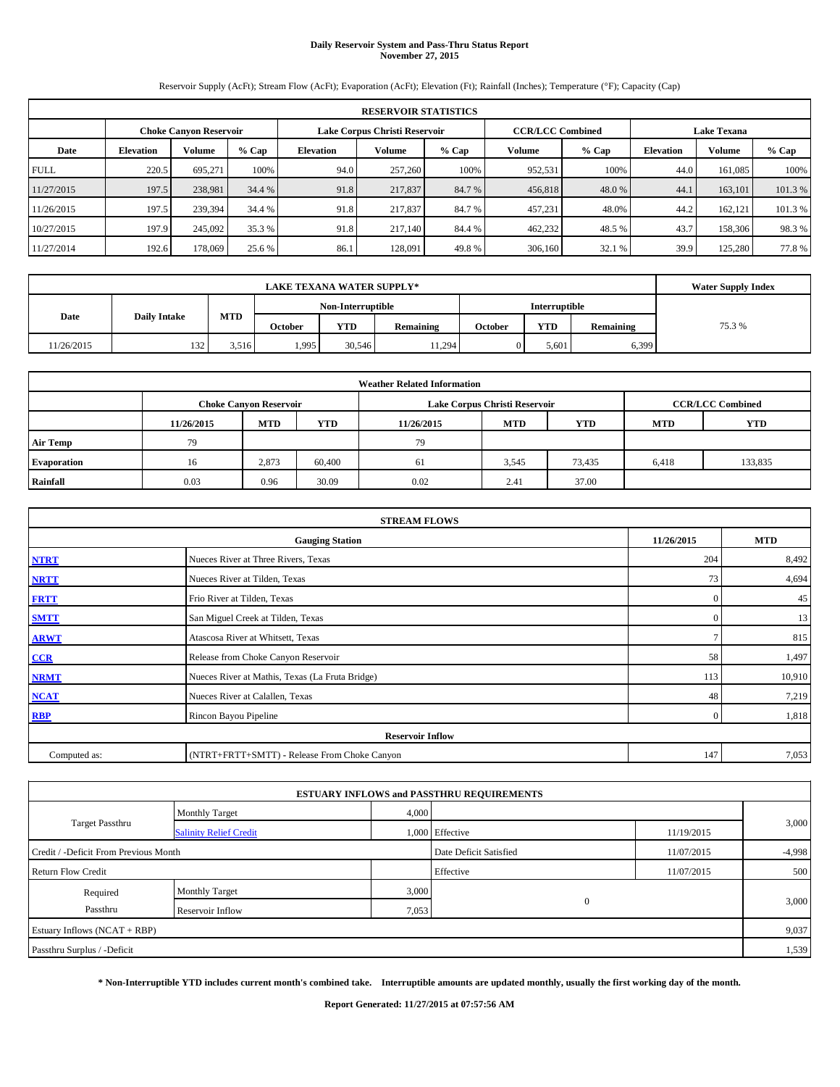# **Daily Reservoir System and Pass-Thru Status Report November 27, 2015**

Reservoir Supply (AcFt); Stream Flow (AcFt); Evaporation (AcFt); Elevation (Ft); Rainfall (Inches); Temperature (°F); Capacity (Cap)

| <b>RESERVOIR STATISTICS</b> |                                                                                                                 |         |         |                  |         |         |         |         |                  |               |         |
|-----------------------------|-----------------------------------------------------------------------------------------------------------------|---------|---------|------------------|---------|---------|---------|---------|------------------|---------------|---------|
|                             | <b>CCR/LCC Combined</b><br>Lake Corpus Christi Reservoir<br><b>Choke Canyon Reservoir</b><br><b>Lake Texana</b> |         |         |                  |         |         |         |         |                  |               |         |
| Date                        | <b>Elevation</b>                                                                                                | Volume  | $%$ Cap | <b>Elevation</b> | Volume  | $%$ Cap | Volume  | $%$ Cap | <b>Elevation</b> | <b>Volume</b> | $%$ Cap |
| <b>FULL</b>                 | 220.5                                                                                                           | 695.271 | 100%    | 94.0             | 257,260 | 100%    | 952,531 | 100%    | 44.0             | 161.085       | 100%    |
| 11/27/2015                  | 197.5                                                                                                           | 238,981 | 34.4 %  | 91.8             | 217,837 | 84.7 %  | 456,818 | 48.0%   | 44.1             | 163,101       | 101.3%  |
| 11/26/2015                  | 197.5                                                                                                           | 239,394 | 34.4 %  | 91.8             | 217,837 | 84.7 %  | 457,231 | 48.0%   | 44.2             | 162.121       | 101.3 % |
| 10/27/2015                  | 197.9                                                                                                           | 245,092 | 35.3 %  | 91.8             | 217,140 | 84.4 %  | 462,232 | 48.5%   | 43.7             | 158,306       | 98.3%   |
| 11/27/2014                  | 192.6                                                                                                           | 178,069 | 25.6 %  | 86.1             | 128,091 | 49.8%   | 306,160 | 32.1 %  | 39.9             | 125,280       | 77.8%   |

|            | <b>Water Supply Index</b> |       |         |                   |                  |         |                      |           |        |
|------------|---------------------------|-------|---------|-------------------|------------------|---------|----------------------|-----------|--------|
|            | <b>Daily Intake</b>       |       |         | Non-Interruptible |                  |         | <b>Interruptible</b> |           |        |
| Date       |                           | MTD   | October | <b>YTD</b>        | <b>Remaining</b> | October | <b>YTD</b>           | Remaining | 75.3 % |
| 11/26/2015 | 132                       | 3.516 | 1,995   | 30.546            | 11,294           |         | 5,601                | 6,399     |        |

| <b>Weather Related Information</b> |            |                               |            |            |                               |                         |            |            |  |  |
|------------------------------------|------------|-------------------------------|------------|------------|-------------------------------|-------------------------|------------|------------|--|--|
|                                    |            | <b>Choke Canyon Reservoir</b> |            |            | Lake Corpus Christi Reservoir | <b>CCR/LCC Combined</b> |            |            |  |  |
|                                    | 11/26/2015 | <b>MTD</b>                    | <b>YTD</b> | 11/26/2015 | <b>MTD</b>                    | <b>YTD</b>              | <b>MTD</b> | <b>YTD</b> |  |  |
| <b>Air Temp</b>                    | 79         |                               |            | 79         |                               |                         |            |            |  |  |
| <b>Evaporation</b>                 | 16         | 2,873                         | 60,400     | 61         | 3,545                         | 73,435                  | 6,418      | 133,835    |  |  |
| Rainfall                           | 0.03       | 0.96                          | 30.09      | 0.02       | 2.41                          | 37.00                   |            |            |  |  |

| <b>STREAM FLOWS</b> |                                                 |              |            |  |  |  |  |  |  |
|---------------------|-------------------------------------------------|--------------|------------|--|--|--|--|--|--|
|                     | <b>Gauging Station</b>                          | 11/26/2015   | <b>MTD</b> |  |  |  |  |  |  |
| <b>NTRT</b>         | Nueces River at Three Rivers, Texas             | 204          | 8,492      |  |  |  |  |  |  |
| <b>NRTT</b>         | Nueces River at Tilden, Texas                   | 73           | 4,694      |  |  |  |  |  |  |
| <b>FRTT</b>         | Frio River at Tilden, Texas                     | $\mathbf{0}$ | 45         |  |  |  |  |  |  |
| <b>SMTT</b>         | San Miguel Creek at Tilden, Texas               | $\mathbf{0}$ | 13         |  |  |  |  |  |  |
| <b>ARWT</b>         | Atascosa River at Whitsett, Texas               |              | 815        |  |  |  |  |  |  |
| CCR                 | Release from Choke Canyon Reservoir             | 58           | 1,497      |  |  |  |  |  |  |
| <b>NRMT</b>         | Nueces River at Mathis, Texas (La Fruta Bridge) | 113          | 10,910     |  |  |  |  |  |  |
| <b>NCAT</b>         | Nueces River at Calallen, Texas                 | 48           | 7,219      |  |  |  |  |  |  |
| <b>RBP</b>          | Rincon Bayou Pipeline                           | $\Omega$     | 1,818      |  |  |  |  |  |  |
|                     | <b>Reservoir Inflow</b>                         |              |            |  |  |  |  |  |  |
| Computed as:        | (NTRT+FRTT+SMTT) - Release From Choke Canyon    | 147          | 7,053      |  |  |  |  |  |  |

|                                       |                               |                        | <b>ESTUARY INFLOWS and PASSTHRU REQUIREMENTS</b> |            |       |
|---------------------------------------|-------------------------------|------------------------|--------------------------------------------------|------------|-------|
|                                       | <b>Monthly Target</b>         | 4,000                  |                                                  |            |       |
| Target Passthru                       | <b>Salinity Relief Credit</b> |                        | 1,000 Effective                                  | 11/19/2015 | 3,000 |
| Credit / -Deficit From Previous Month |                               | Date Deficit Satisfied | 11/07/2015                                       | $-4,998$   |       |
| <b>Return Flow Credit</b>             |                               |                        | Effective                                        | 11/07/2015 | 500   |
| Required                              | <b>Monthly Target</b>         | 3,000                  |                                                  |            |       |
| Passthru                              | Reservoir Inflow              | 7,053                  | $\mathbf{0}$                                     |            | 3,000 |
| Estuary Inflows (NCAT + RBP)          |                               |                        |                                                  |            | 9,037 |
| Passthru Surplus / -Deficit           |                               |                        |                                                  |            | 1,539 |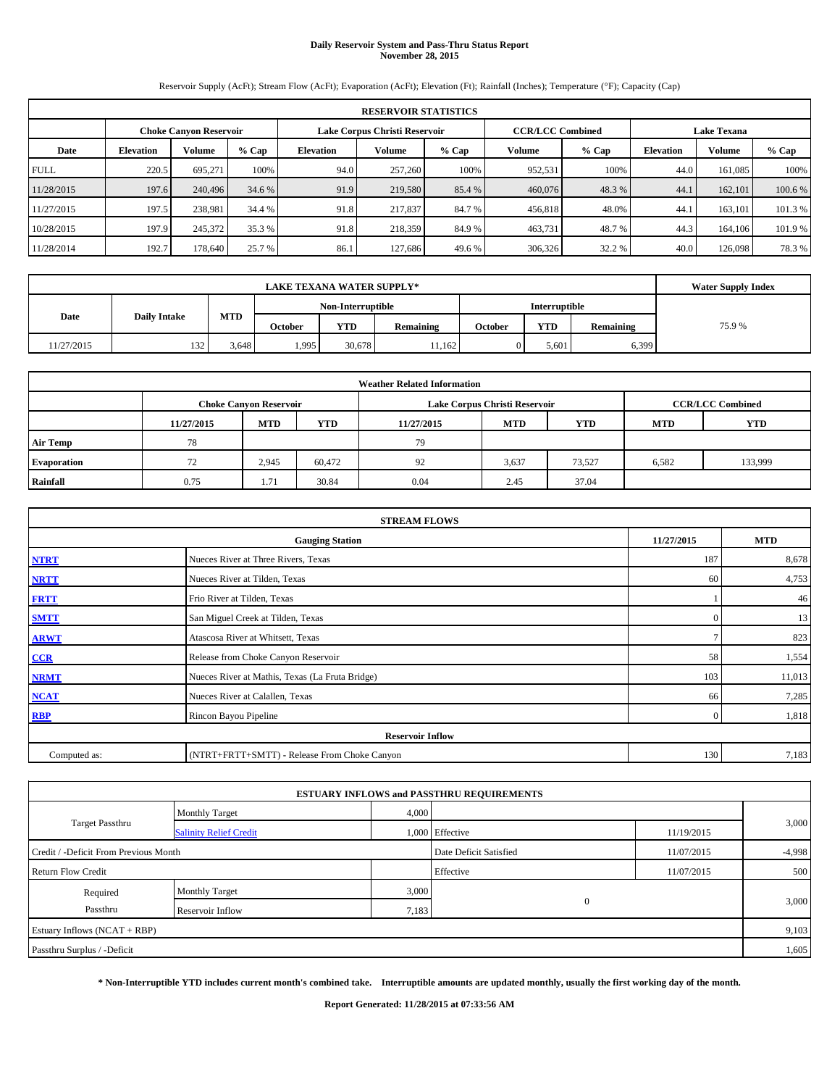# **Daily Reservoir System and Pass-Thru Status Report November 28, 2015**

Reservoir Supply (AcFt); Stream Flow (AcFt); Evaporation (AcFt); Elevation (Ft); Rainfall (Inches); Temperature (°F); Capacity (Cap)

| <b>RESERVOIR STATISTICS</b> |                  |                               |         |                  |                               |         |                         |         |                    |         |         |
|-----------------------------|------------------|-------------------------------|---------|------------------|-------------------------------|---------|-------------------------|---------|--------------------|---------|---------|
|                             |                  | <b>Choke Canyon Reservoir</b> |         |                  | Lake Corpus Christi Reservoir |         | <b>CCR/LCC Combined</b> |         | <b>Lake Texana</b> |         |         |
| Date                        | <b>Elevation</b> | Volume                        | $%$ Cap | <b>Elevation</b> | Volume                        | $%$ Cap | Volume                  | $%$ Cap | <b>Elevation</b>   | Volume  | % Cap   |
| <b>FULL</b>                 | 220.5            | 695.271                       | 100%    | 94.0             | 257,260                       | 100%    | 952,531                 | 100%    | 44.0               | 161.085 | 100%    |
| 11/28/2015                  | 197.6            | 240,496                       | 34.6 %  | 91.9             | 219,580                       | 85.4 %  | 460,076                 | 48.3 %  | 44.1               | 162,101 | 100.6 % |
| 11/27/2015                  | 197.5            | 238.981                       | 34.4 %  | 91.8             | 217,837                       | 84.7 %  | 456,818                 | 48.0%   | 44.1               | 163.101 | 101.3%  |
| 10/28/2015                  | 197.9            | 245,372                       | 35.3 %  | 91.8             | 218,359                       | 84.9 %  | 463,731                 | 48.7%   | 44.3               | 164,106 | 101.9%  |
| 11/28/2014                  | 192.7            | 178,640                       | 25.7 %  | 86.1             | 127.686                       | 49.6 %  | 306,326                 | 32.2 %  | 40.0               | 126,098 | 78.3%   |

|            | <b>Water Supply Index</b> |       |                   |        |                  |                      |       |           |       |
|------------|---------------------------|-------|-------------------|--------|------------------|----------------------|-------|-----------|-------|
|            |                           |       | Non-Interruptible |        |                  | <b>Interruptible</b> |       |           |       |
| Date       | <b>Daily Intake</b>       | MTD   | October           | YTD    | <b>Remaining</b> | October              | YTD   | Remaining | 75.9% |
| 11/27/2015 | 132                       | 3,648 | 1,995             | 30,678 | 11.162           |                      | 5,601 | 6,399     |       |

| <b>Weather Related Information</b> |            |                               |            |            |                               |                         |            |            |  |
|------------------------------------|------------|-------------------------------|------------|------------|-------------------------------|-------------------------|------------|------------|--|
|                                    |            | <b>Choke Canyon Reservoir</b> |            |            | Lake Corpus Christi Reservoir | <b>CCR/LCC Combined</b> |            |            |  |
|                                    | 11/27/2015 | <b>MTD</b>                    | <b>YTD</b> | 11/27/2015 | <b>MTD</b>                    | <b>YTD</b>              | <b>MTD</b> | <b>YTD</b> |  |
| <b>Air Temp</b>                    | 78         |                               |            | 79         |                               |                         |            |            |  |
| <b>Evaporation</b>                 | 72         | 2,945                         | 60,472     | 92         | 3,637                         | 73,527                  | 6,582      | 133,999    |  |
| Rainfall                           | 0.75       | 1.71                          | 30.84      | 0.04       | 2.45                          | 37.04                   |            |            |  |

| <b>STREAM FLOWS</b>                  |                                                 |              |        |  |  |  |  |  |  |
|--------------------------------------|-------------------------------------------------|--------------|--------|--|--|--|--|--|--|
| 11/27/2015<br><b>Gauging Station</b> |                                                 |              |        |  |  |  |  |  |  |
| <b>NTRT</b>                          | Nueces River at Three Rivers, Texas             | 187          | 8,678  |  |  |  |  |  |  |
| <b>NRTT</b>                          | Nueces River at Tilden, Texas                   | 60           | 4,753  |  |  |  |  |  |  |
| <b>FRTT</b>                          | Frio River at Tilden, Texas                     |              | 46     |  |  |  |  |  |  |
| <b>SMTT</b>                          | San Miguel Creek at Tilden, Texas               | $\mathbf{0}$ | 13     |  |  |  |  |  |  |
| <b>ARWT</b>                          | Atascosa River at Whitsett, Texas               |              | 823    |  |  |  |  |  |  |
| $CCR$                                | Release from Choke Canyon Reservoir             | 58           | 1,554  |  |  |  |  |  |  |
| <b>NRMT</b>                          | Nueces River at Mathis, Texas (La Fruta Bridge) | 103          | 11,013 |  |  |  |  |  |  |
| <b>NCAT</b>                          | Nueces River at Calallen, Texas                 | 66           | 7,285  |  |  |  |  |  |  |
| <b>RBP</b>                           | Rincon Bayou Pipeline                           | $\Omega$     | 1,818  |  |  |  |  |  |  |
|                                      | <b>Reservoir Inflow</b>                         |              |        |  |  |  |  |  |  |
| Computed as:                         | (NTRT+FRTT+SMTT) - Release From Choke Canyon    | 130          | 7,183  |  |  |  |  |  |  |

|                                       |                               |       | <b>ESTUARY INFLOWS and PASSTHRU REQUIREMENTS</b> |            |          |  |
|---------------------------------------|-------------------------------|-------|--------------------------------------------------|------------|----------|--|
|                                       | <b>Monthly Target</b>         | 4,000 |                                                  |            |          |  |
| <b>Target Passthru</b>                | <b>Salinity Relief Credit</b> |       | 1,000 Effective                                  | 11/19/2015 | 3,000    |  |
| Credit / -Deficit From Previous Month |                               |       | Date Deficit Satisfied                           | 11/07/2015 | $-4,998$ |  |
| <b>Return Flow Credit</b>             |                               |       | Effective                                        | 11/07/2015 | 500      |  |
| Required                              | Monthly Target                | 3,000 |                                                  |            |          |  |
| Passthru                              | Reservoir Inflow              | 7,183 | $\mathbf{0}$                                     |            | 3,000    |  |
| Estuary Inflows (NCAT + RBP)          |                               |       |                                                  |            | 9,103    |  |
| Passthru Surplus / -Deficit           |                               |       |                                                  |            | 1,605    |  |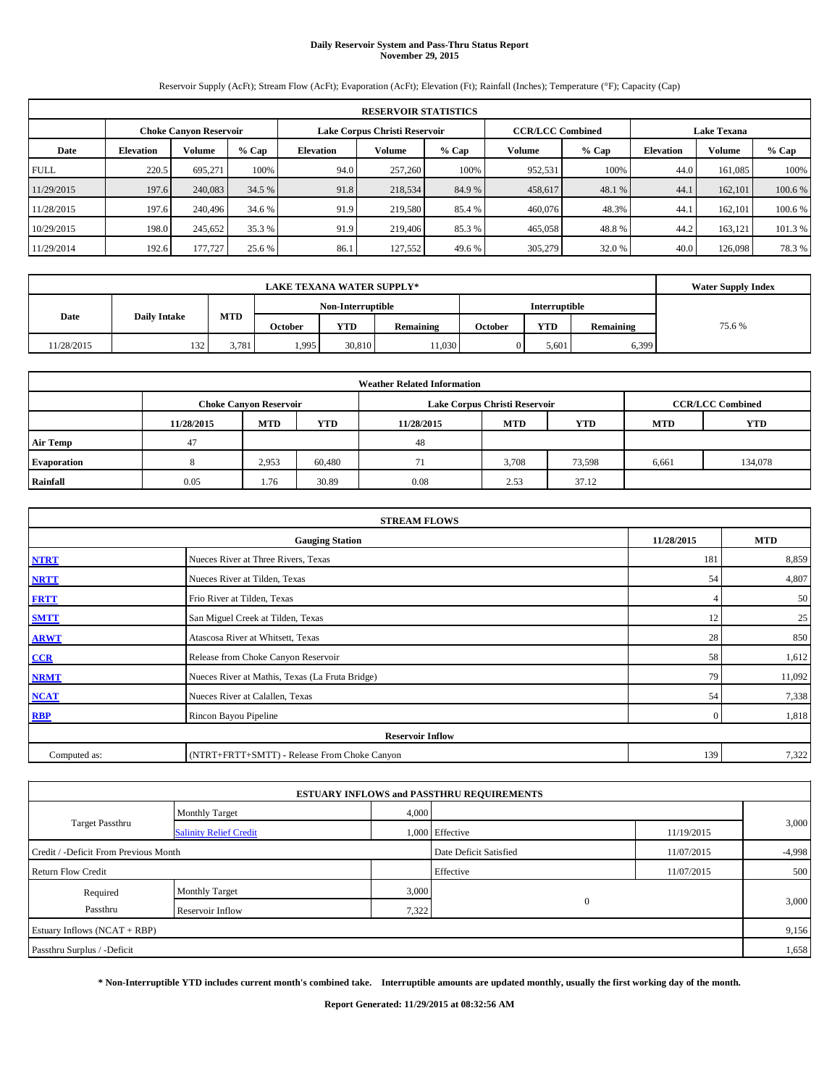# **Daily Reservoir System and Pass-Thru Status Report November 29, 2015**

Reservoir Supply (AcFt); Stream Flow (AcFt); Evaporation (AcFt); Elevation (Ft); Rainfall (Inches); Temperature (°F); Capacity (Cap)

| <b>RESERVOIR STATISTICS</b> |                  |                               |         |                  |                               |                         |         |         |                    |         |         |
|-----------------------------|------------------|-------------------------------|---------|------------------|-------------------------------|-------------------------|---------|---------|--------------------|---------|---------|
|                             |                  | <b>Choke Canyon Reservoir</b> |         |                  | Lake Corpus Christi Reservoir | <b>CCR/LCC Combined</b> |         |         | <b>Lake Texana</b> |         |         |
| Date                        | <b>Elevation</b> | Volume                        | $%$ Cap | <b>Elevation</b> | Volume                        | $%$ Cap                 | Volume  | $%$ Cap | <b>Elevation</b>   | Volume  | % Cap   |
| <b>FULL</b>                 | 220.5            | 695.271                       | 100%    | 94.0             | 257,260                       | 100%                    | 952,531 | 100%    | 44.0               | 161,085 | 100%    |
| 11/29/2015                  | 197.6            | 240,083                       | 34.5 %  | 91.8             | 218,534                       | 84.9%                   | 458,617 | 48.1 %  | 44.1               | 162,101 | 100.6 % |
| 11/28/2015                  | 197.6            | 240,496                       | 34.6 %  | 91.9             | 219,580                       | 85.4 %                  | 460,076 | 48.3%   | 44.1               | 162,101 | 100.6 % |
| 10/29/2015                  | 198.0            | 245,652                       | 35.3 %  | 91.9             | 219,406                       | 85.3 %                  | 465,058 | 48.8%   | 44.2               | 163,121 | 101.3 % |
| 11/29/2014                  | 192.6            | 177,727                       | 25.6 %  | 86.1             | 127.552                       | 49.6 %                  | 305,279 | 32.0 %  | 40.0               | 126,098 | 78.3%   |

|            | <b>Water Supply Index</b> |       |                   |            |                  |                      |            |           |       |
|------------|---------------------------|-------|-------------------|------------|------------------|----------------------|------------|-----------|-------|
|            |                           |       | Non-Interruptible |            |                  | <b>Interruptible</b> |            |           |       |
| Date       | <b>Daily Intake</b>       | MTD   | October           | <b>YTD</b> | <b>Remaining</b> | October              | <b>YTD</b> | Remaining | 75.6% |
| 11/28/2015 | 132                       | 3.781 | 1,995             | 30.810     | 11,030           |                      | 5,601      | 6,399     |       |

| <b>Weather Related Information</b> |            |                               |        |            |                               |                         |            |            |  |  |
|------------------------------------|------------|-------------------------------|--------|------------|-------------------------------|-------------------------|------------|------------|--|--|
|                                    |            | <b>Choke Canyon Reservoir</b> |        |            | Lake Corpus Christi Reservoir | <b>CCR/LCC Combined</b> |            |            |  |  |
|                                    | 11/28/2015 | <b>MTD</b>                    | YTD    | 11/28/2015 | <b>MTD</b>                    | <b>YTD</b>              | <b>MTD</b> | <b>YTD</b> |  |  |
| <b>Air Temp</b>                    | 47         |                               |        | 48         |                               |                         |            |            |  |  |
| <b>Evaporation</b>                 |            | 2,953                         | 60,480 |            | 3.708                         | 73,598                  | 6,661      | 134,078    |  |  |
| Rainfall                           | 0.05       | 1.76                          | 30.89  | 0.08       | 2.53                          | 37.12                   |            |            |  |  |

| <b>STREAM FLOWS</b> |                                                 |                |        |  |  |  |  |  |  |
|---------------------|-------------------------------------------------|----------------|--------|--|--|--|--|--|--|
|                     | 11/28/2015                                      | <b>MTD</b>     |        |  |  |  |  |  |  |
| <b>NTRT</b>         | Nueces River at Three Rivers, Texas             |                |        |  |  |  |  |  |  |
| <b>NRTT</b>         | Nueces River at Tilden, Texas                   | 54             | 4,807  |  |  |  |  |  |  |
| <b>FRTT</b>         | Frio River at Tilden, Texas                     |                | 50     |  |  |  |  |  |  |
| <b>SMTT</b>         | San Miguel Creek at Tilden, Texas               | 12             | 25     |  |  |  |  |  |  |
| <b>ARWT</b>         | Atascosa River at Whitsett, Texas               | 28             | 850    |  |  |  |  |  |  |
| CCR                 | Release from Choke Canyon Reservoir             | 58             | 1,612  |  |  |  |  |  |  |
| <b>NRMT</b>         | Nueces River at Mathis, Texas (La Fruta Bridge) | 79             | 11,092 |  |  |  |  |  |  |
| <b>NCAT</b>         | Nueces River at Calallen, Texas                 | 54             | 7,338  |  |  |  |  |  |  |
| RBP                 | Rincon Bayou Pipeline                           | $\overline{0}$ | 1,818  |  |  |  |  |  |  |
|                     | <b>Reservoir Inflow</b>                         |                |        |  |  |  |  |  |  |
| Computed as:        | (NTRT+FRTT+SMTT) - Release From Choke Canyon    | 139            | 7,322  |  |  |  |  |  |  |

|                                       |                               |       | <b>ESTUARY INFLOWS and PASSTHRU REQUIREMENTS</b> |            |          |  |
|---------------------------------------|-------------------------------|-------|--------------------------------------------------|------------|----------|--|
| Target Passthru                       | <b>Monthly Target</b>         | 4,000 |                                                  |            | 3,000    |  |
|                                       | <b>Salinity Relief Credit</b> |       | 1,000 Effective                                  | 11/19/2015 |          |  |
| Credit / -Deficit From Previous Month |                               |       | Date Deficit Satisfied                           | 11/07/2015 | $-4,998$ |  |
| <b>Return Flow Credit</b>             |                               |       | Effective                                        | 11/07/2015 | 500      |  |
| Required                              | Monthly Target                | 3,000 | $\mathbf{0}$                                     |            | 3,000    |  |
| Passthru                              | Reservoir Inflow              | 7,322 |                                                  |            |          |  |
| Estuary Inflows (NCAT + RBP)          |                               |       |                                                  |            |          |  |
| Passthru Surplus / -Deficit           |                               |       |                                                  |            | 1,658    |  |